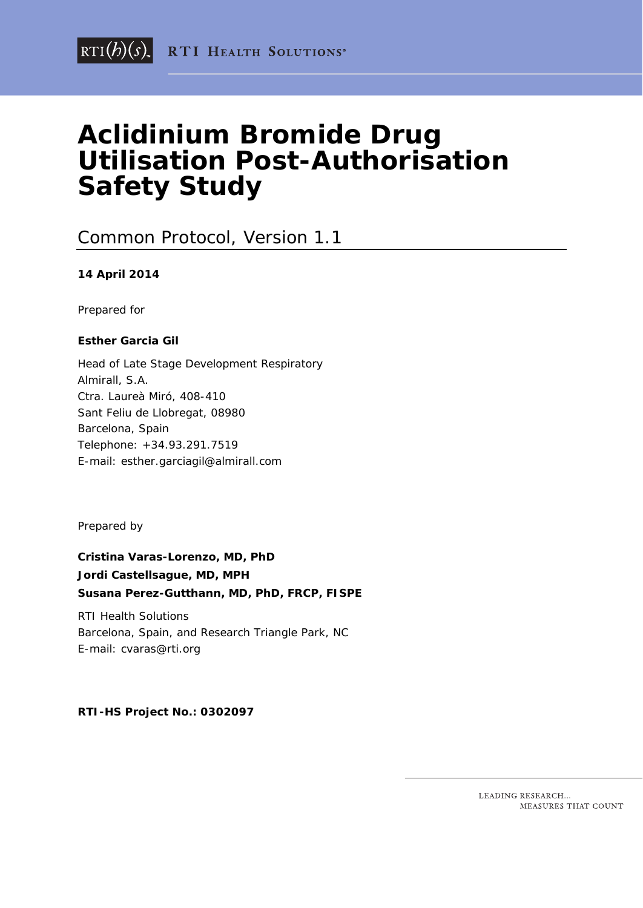# **Aclidinium Bromide Drug Utilisation Post-Authorisation Safety Study**

### Common Protocol, Version 1.1

#### **14 April 2014**

Prepared for

#### **Esther Garcia Gil**

Head of Late Stage Development Respiratory Almirall, S.A. Ctra. Laureà Miró, 408-410 Sant Feliu de Llobregat, 08980 Barcelona, Spain Telephone: +34.93.291.7519 E-mail: [esther.garciagil@almirall.com](mailto:esther.garciagil@almirall.com)

Prepared by

**Cristina Varas-Lorenzo, MD, PhD Jordi Castellsague, MD, MPH Susana Perez-Gutthann, MD, PhD, FRCP, FISPE**

RTI Health Solutions Barcelona, Spain, and Research Triangle Park, NC E-mail: cvaras@rti.org

**RTI-HS Project No.: 0302097**

LEADING RESEARCH... MEASURES THAT COUNT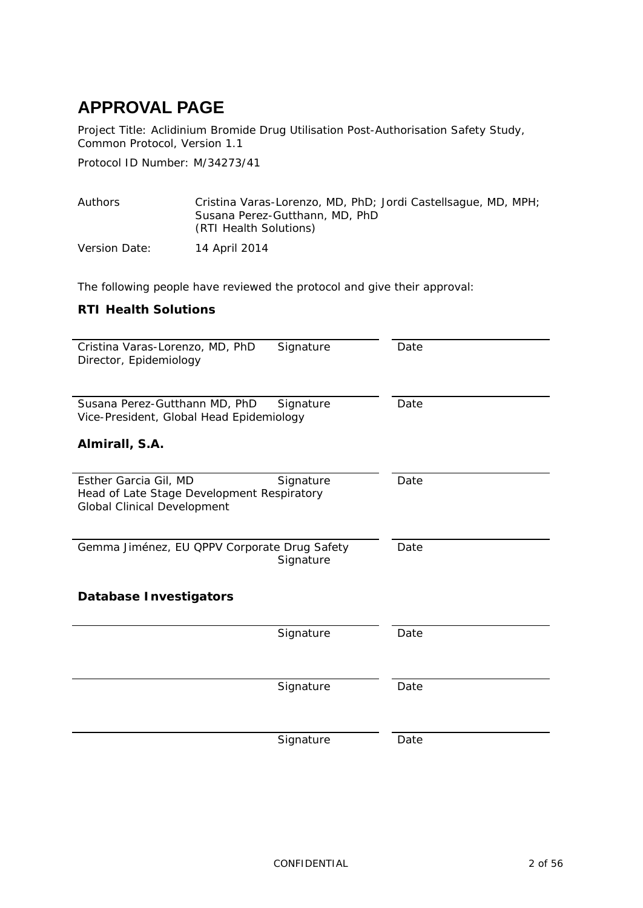# <span id="page-1-0"></span>**APPROVAL PAGE**

Project Title: Aclidinium Bromide Drug Utilisation Post-Authorisation Safety Study, Common Protocol, Version 1.1

Protocol ID Number: M/34273/41

| Authors       | Cristina Varas-Lorenzo, MD, PhD; Jordi Castellsague, MD, MPH;<br>Susana Perez-Gutthann, MD, PhD<br>(RTI Health Solutions) |
|---------------|---------------------------------------------------------------------------------------------------------------------------|
| Version Date: | 14 April 2014                                                                                                             |

The following people have reviewed the protocol and give their approval:

#### **RTI Health Solutions**

| Cristina Varas-Lorenzo, MD, PhD<br>Signature<br>Director, Epidemiology                                                 | Date |
|------------------------------------------------------------------------------------------------------------------------|------|
| Susana Perez-Gutthann MD, PhD<br>Signature<br>Vice-President, Global Head Epidemiology<br>Almirall, S.A.               | Date |
|                                                                                                                        |      |
| Esther Garcia Gil, MD<br>Signature<br>Head of Late Stage Development Respiratory<br><b>Global Clinical Development</b> | Date |
| Gemma Jiménez, EU QPPV Corporate Drug Safety<br>Signature                                                              | Date |
| <b>Database Investigators</b>                                                                                          |      |
| Signature                                                                                                              | Date |
|                                                                                                                        |      |
| Signature                                                                                                              | Date |
|                                                                                                                        |      |
| Signature                                                                                                              | Date |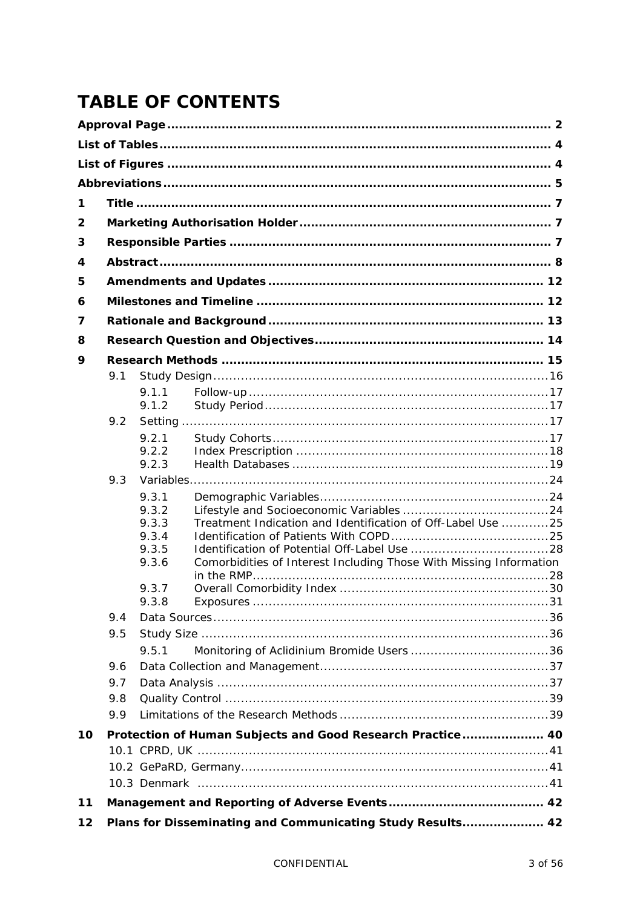# **TABLE OF CONTENTS**

| 1  |     |                |                                                                    |  |  |
|----|-----|----------------|--------------------------------------------------------------------|--|--|
| 2  |     |                |                                                                    |  |  |
| 3  |     |                |                                                                    |  |  |
| 4  |     |                |                                                                    |  |  |
| 5  |     |                |                                                                    |  |  |
| 6  |     |                |                                                                    |  |  |
| 7  |     |                |                                                                    |  |  |
|    |     |                |                                                                    |  |  |
| 8  |     |                |                                                                    |  |  |
| 9  |     |                |                                                                    |  |  |
|    | 9.1 |                |                                                                    |  |  |
|    |     | 9.1.1<br>9.1.2 |                                                                    |  |  |
|    | 9.2 |                |                                                                    |  |  |
|    |     | 9.2.1          |                                                                    |  |  |
|    |     | 9.2.2          |                                                                    |  |  |
|    |     | 9.2.3          |                                                                    |  |  |
|    | 9.3 |                |                                                                    |  |  |
|    |     | 9.3.1<br>9.3.2 |                                                                    |  |  |
|    |     | 9.3.3          | Treatment Indication and Identification of Off-Label Use 25        |  |  |
|    |     | 9.3.4          |                                                                    |  |  |
|    |     | 9.3.5          |                                                                    |  |  |
|    |     | 9.3.6          | Comorbidities of Interest Including Those With Missing Information |  |  |
|    |     | 9.3.7          |                                                                    |  |  |
|    |     | 9.3.8          |                                                                    |  |  |
|    | 9.4 |                |                                                                    |  |  |
|    | 9.5 |                |                                                                    |  |  |
|    |     | 9.5.1          |                                                                    |  |  |
|    | 9.6 |                |                                                                    |  |  |
|    | 9.7 |                |                                                                    |  |  |
|    | 9.8 |                |                                                                    |  |  |
|    | 9.9 |                |                                                                    |  |  |
| 10 |     |                | Protection of Human Subjects and Good Research Practice 40         |  |  |
|    |     |                |                                                                    |  |  |
|    |     |                |                                                                    |  |  |
|    |     |                |                                                                    |  |  |
| 11 |     |                |                                                                    |  |  |
| 12 |     |                | Plans for Disseminating and Communicating Study Results 42         |  |  |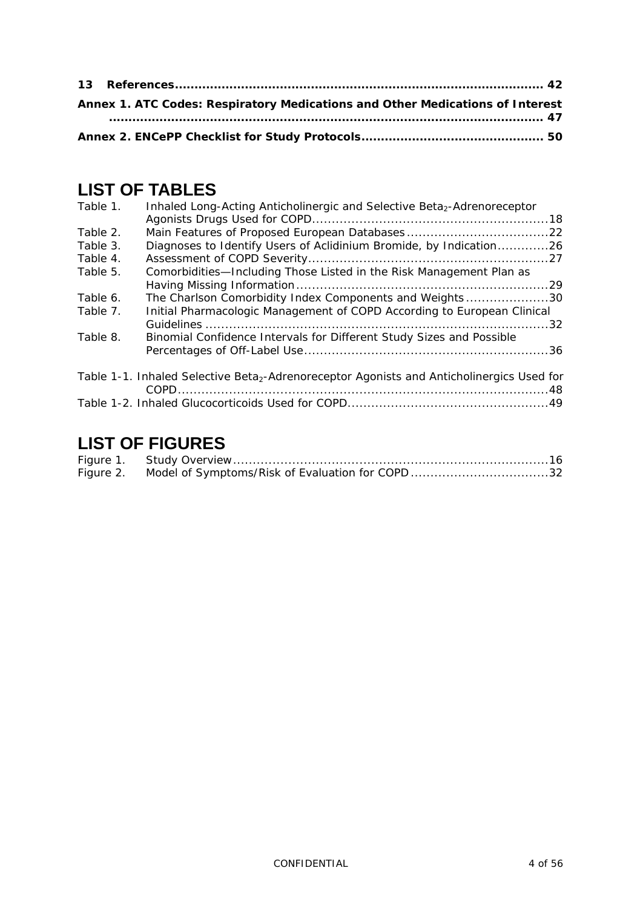| Annex 1. ATC Codes: Respiratory Medications and Other Medications of Interest |  |
|-------------------------------------------------------------------------------|--|
|                                                                               |  |
|                                                                               |  |

## <span id="page-3-0"></span>**LIST OF TABLES**

| Table 1. | Inhaled Long-Acting Anticholinergic and Selective Beta <sub>2</sub> -Adrenoreceptor                   |  |
|----------|-------------------------------------------------------------------------------------------------------|--|
| Table 2. |                                                                                                       |  |
| Table 3. | Diagnoses to Identify Users of Aclidinium Bromide, by Indication26                                    |  |
| Table 4. |                                                                                                       |  |
| Table 5. | Comorbidities-Including Those Listed in the Risk Management Plan as                                   |  |
|          |                                                                                                       |  |
| Table 6. | The Charlson Comorbidity Index Components and Weights30                                               |  |
| Table 7. | Initial Pharmacologic Management of COPD According to European Clinical                               |  |
|          |                                                                                                       |  |
| Table 8. | Binomial Confidence Intervals for Different Study Sizes and Possible                                  |  |
|          |                                                                                                       |  |
|          | Table 1-1. Inhaled Selective Beta <sub>2</sub> -Adrenoreceptor Agonists and Anticholinergics Used for |  |
|          |                                                                                                       |  |

# <span id="page-3-1"></span>**LIST OF FIGURES**

| Figure 2. Model of Symptoms/Risk of Evaluation for COPD 32 |  |
|------------------------------------------------------------|--|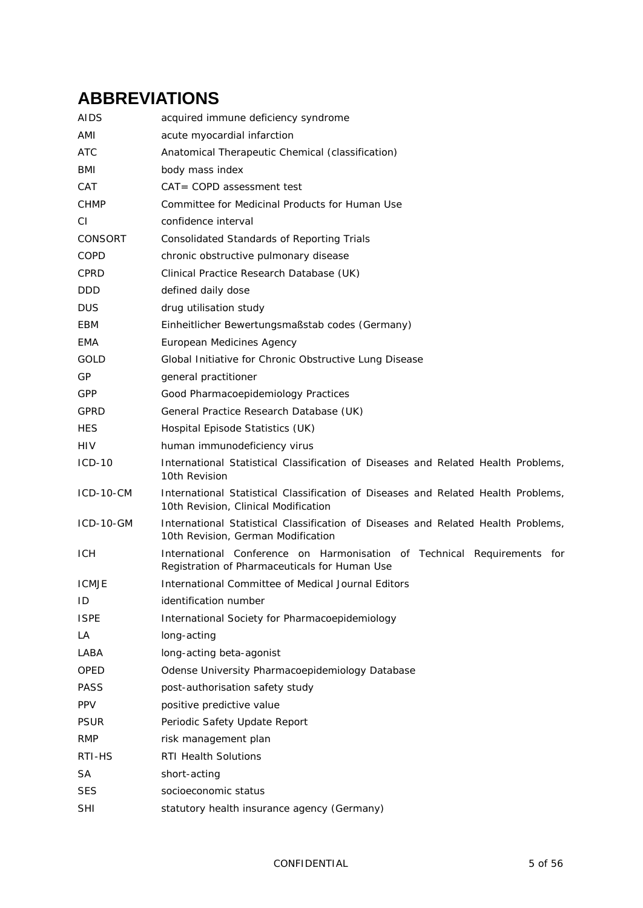# <span id="page-4-0"></span>**ABBREVIATIONS**

| AIDS             | acquired immune deficiency syndrome                                                                                       |
|------------------|---------------------------------------------------------------------------------------------------------------------------|
| AMI              | acute myocardial infarction                                                                                               |
| ATC              | Anatomical Therapeutic Chemical (classification)                                                                          |
| BMI              | body mass index                                                                                                           |
| CAT              | $CAT = COPD$ assessment test                                                                                              |
| <b>CHMP</b>      | Committee for Medicinal Products for Human Use                                                                            |
| СI               | confidence interval                                                                                                       |
| <b>CONSORT</b>   | <b>Consolidated Standards of Reporting Trials</b>                                                                         |
| COPD             | chronic obstructive pulmonary disease                                                                                     |
| <b>CPRD</b>      | Clinical Practice Research Database (UK)                                                                                  |
| <b>DDD</b>       | defined daily dose                                                                                                        |
| DUS              | drug utilisation study                                                                                                    |
| EBM              | Einheitlicher Bewertungsmaßstab codes (Germany)                                                                           |
| EMA              | European Medicines Agency                                                                                                 |
| GOLD             | Global Initiative for Chronic Obstructive Lung Disease                                                                    |
| GP               | general practitioner                                                                                                      |
| GPP              | Good Pharmacoepidemiology Practices                                                                                       |
| GPRD             | General Practice Research Database (UK)                                                                                   |
| <b>HES</b>       | Hospital Episode Statistics (UK)                                                                                          |
| HIV              | human immunodeficiency virus                                                                                              |
| $ICD-10$         | International Statistical Classification of Diseases and Related Health Problems,<br>10th Revision                        |
| $ICD-10-CM$      | International Statistical Classification of Diseases and Related Health Problems,<br>10th Revision, Clinical Modification |
| <b>ICD-10-GM</b> | International Statistical Classification of Diseases and Related Health Problems,<br>10th Revision, German Modification   |
| ICH.             | International Conference on Harmonisation of Technical Requirements for<br>Registration of Pharmaceuticals for Human Use  |
| <b>ICMJE</b>     | International Committee of Medical Journal Editors                                                                        |
| ID               | identification number                                                                                                     |
| <b>ISPE</b>      | International Society for Pharmacoepidemiology                                                                            |
| LA               | long-acting                                                                                                               |
| LABA             | long-acting beta-agonist                                                                                                  |
| OPED             | Odense University Pharmacoepidemiology Database                                                                           |
| PASS             | post-authorisation safety study                                                                                           |
| <b>PPV</b>       | positive predictive value                                                                                                 |
| <b>PSUR</b>      | Periodic Safety Update Report                                                                                             |
| <b>RMP</b>       | risk management plan                                                                                                      |
| RTI-HS           | RTI Health Solutions                                                                                                      |
| SA               | short-acting                                                                                                              |
| SES              | socioeconomic status                                                                                                      |
| <b>SHI</b>       | statutory health insurance agency (Germany)                                                                               |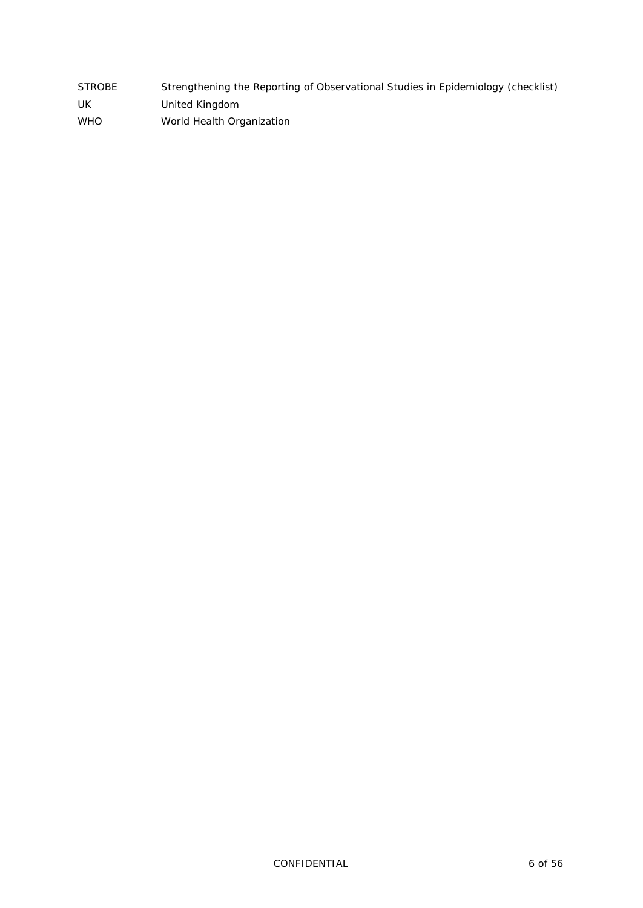| <b>STROBE</b> | Strengthening the Reporting of Observational Studies in Epidemiology (checklist) |
|---------------|----------------------------------------------------------------------------------|
| UK            | United Kingdom                                                                   |
| <b>WHO</b>    | World Health Organization                                                        |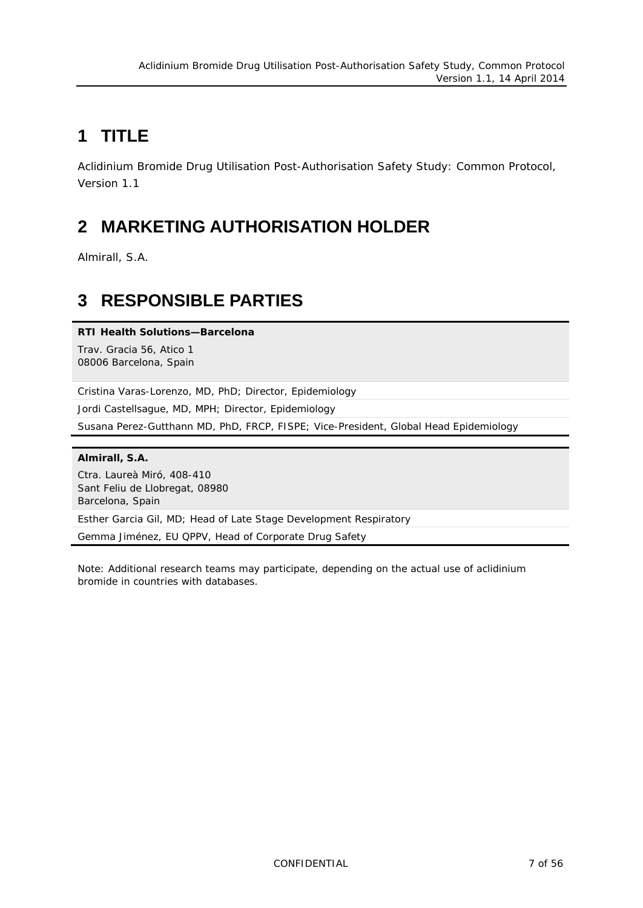# <span id="page-6-0"></span>**1 TITLE**

Aclidinium Bromide Drug Utilisation Post-Authorisation Safety Study: Common Protocol, Version 1.1

# <span id="page-6-1"></span>**2 MARKETING AUTHORISATION HOLDER**

<span id="page-6-2"></span>Almirall, S.A.

## **3 RESPONSIBLE PARTIES**

#### **RTI Health Solutions—Barcelona**

Trav. Gracia 56, Atico 1 08006 Barcelona, Spain

Cristina Varas-Lorenzo, MD, PhD; Director, Epidemiology

Jordi Castellsague, MD, MPH; Director, Epidemiology

Susana Perez-Gutthann MD, PhD, FRCP, FISPE*;* Vice-President, Global Head Epidemiology

#### **Almirall, S.A.**

Ctra. Laureà Miró, 408-410 Sant Feliu de Llobregat, 08980 Barcelona, Spain

Esther Garcia Gil, MD; Head of Late Stage Development Respiratory

Gemma Jiménez, EU QPPV, Head of Corporate Drug Safety

Note: Additional research teams may participate, depending on the actual use of aclidinium bromide in countries with databases.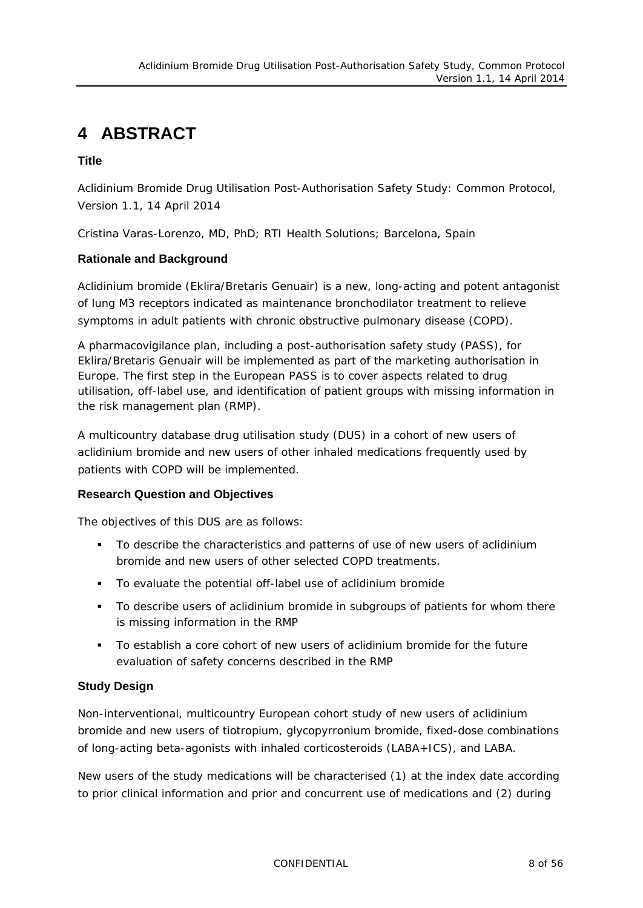# <span id="page-7-0"></span>**4 ABSTRACT**

#### **Title**

Aclidinium Bromide Drug Utilisation Post-Authorisation Safety Study: Common Protocol, Version 1.1, 14 April 2014

Cristina Varas-Lorenzo, MD, PhD; RTI Health Solutions; Barcelona, Spain

#### **Rationale and Background**

Aclidinium bromide (Eklira/Bretaris Genuair) is a new, long-acting and potent antagonist of lung M3 receptors indicated as maintenance bronchodilator treatment to relieve symptoms in adult patients with chronic obstructive pulmonary disease (COPD).

A pharmacovigilance plan, including a post-authorisation safety study (PASS), for Eklira/Bretaris Genuair will be implemented as part of the marketing authorisation in Europe. The first step in the European PASS is to cover aspects related to drug utilisation, off-label use, and identification of patient groups with missing information in the risk management plan (RMP).

A multicountry database drug utilisation study (DUS) in a cohort of new users of aclidinium bromide and new users of other inhaled medications frequently used by patients with COPD will be implemented.

#### **Research Question and Objectives**

The objectives of this DUS are as follows:

- To describe the characteristics and patterns of use of new users of aclidinium bromide and new users of other selected COPD treatments.
- To evaluate the potential off-label use of aclidinium bromide
- To describe users of aclidinium bromide in subgroups of patients for whom there is missing information in the RMP
- To establish a core cohort of new users of aclidinium bromide for the future evaluation of safety concerns described in the RMP

#### **Study Design**

Non-interventional, multicountry European cohort study of new users of aclidinium bromide and new users of tiotropium, glycopyrronium bromide, fixed-dose combinations of long-acting beta-agonists with inhaled corticosteroids (LABA+ICS), and LABA.

New users of the study medications will be characterised (1) at the index date according to prior clinical information and prior and concurrent use of medications and (2) during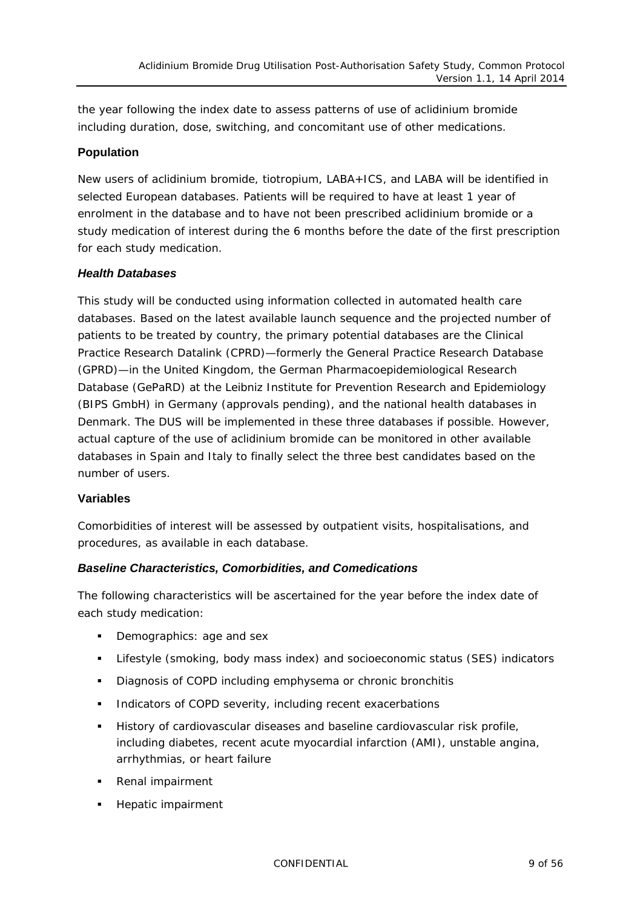the year following the index date to assess patterns of use of aclidinium bromide including duration, dose, switching, and concomitant use of other medications.

#### **Population**

New users of aclidinium bromide, tiotropium, LABA+ICS, and LABA will be identified in selected European databases. Patients will be required to have at least 1 year of enrolment in the database and to have not been prescribed aclidinium bromide or a study medication of interest during the 6 months before the date of the first prescription for each study medication.

#### *Health Databases*

This study will be conducted using information collected in automated health care databases. Based on the latest available launch sequence and the projected number of patients to be treated by country, the primary potential databases are the Clinical Practice Research Datalink (CPRD)—formerly the General Practice Research Database (GPRD)—in the United Kingdom, the German Pharmacoepidemiological Research Database (GePaRD) at the Leibniz Institute for Prevention Research and Epidemiology (BIPS GmbH) in Germany (approvals pending), and the national health databases in Denmark. The DUS will be implemented in these three databases if possible. However, actual capture of the use of aclidinium bromide can be monitored in other available databases in Spain and Italy to finally select the three best candidates based on the number of users.

#### **Variables**

Comorbidities of interest will be assessed by outpatient visits, hospitalisations, and procedures, as available in each database.

#### *Baseline Characteristics, Comorbidities, and Comedications*

The following characteristics will be ascertained for the year before the index date of each study medication:

- Demographics: age and sex
- Lifestyle (smoking, body mass index) and socioeconomic status (SES) indicators
- Diagnosis of COPD including emphysema or chronic bronchitis
- **Indicators of COPD severity, including recent exacerbations**
- History of cardiovascular diseases and baseline cardiovascular risk profile, including diabetes, recent acute myocardial infarction (AMI), unstable angina, arrhythmias, or heart failure
- **Renal impairment**
- **Hepatic impairment**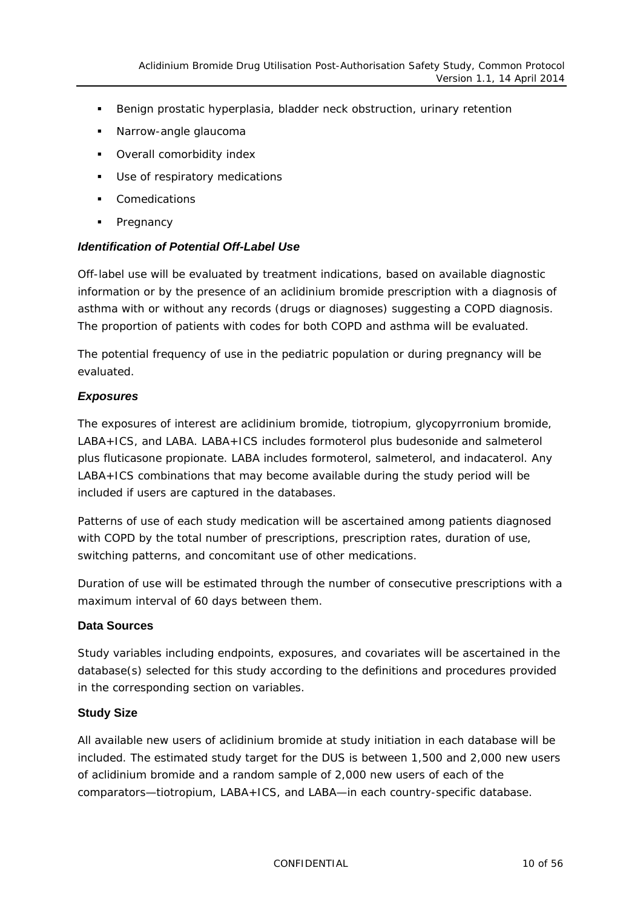- Benign prostatic hyperplasia, bladder neck obstruction, urinary retention
- **Narrow-angle glaucoma**
- **•** Overall comorbidity index
- **Use of respiratory medications**
- **•** Comedications
- Pregnancy

#### *Identification of Potential Off-Label Use*

Off-label use will be evaluated by treatment indications, based on available diagnostic information or by the presence of an aclidinium bromide prescription with a diagnosis of asthma with or without any records (drugs or diagnoses) suggesting a COPD diagnosis. The proportion of patients with codes for both COPD and asthma will be evaluated.

The potential frequency of use in the pediatric population or during pregnancy will be evaluated.

#### *Exposures*

The exposures of interest are aclidinium bromide, tiotropium, glycopyrronium bromide, LABA+ICS, and LABA. LABA+ICS includes formoterol plus budesonide and salmeterol plus fluticasone propionate. LABA includes formoterol, salmeterol, and indacaterol. Any LABA+ICS combinations that may become available during the study period will be included if users are captured in the databases.

Patterns of use of each study medication will be ascertained among patients diagnosed with COPD by the total number of prescriptions, prescription rates, duration of use, switching patterns, and concomitant use of other medications.

*Duration* of use will be estimated through the number of consecutive prescriptions with a maximum interval of 60 days between them.

#### **Data Sources**

Study variables including endpoints, exposures, and covariates will be ascertained in the database(s) selected for this study according to the definitions and procedures provided in the corresponding section on variables.

#### **Study Size**

All available new users of aclidinium bromide at study initiation in each database will be included. The estimated study target for the DUS is between 1,500 and 2,000 new users of aclidinium bromide and a random sample of 2,000 new users of each of the comparators—tiotropium, LABA+ICS, and LABA—in each country-specific database.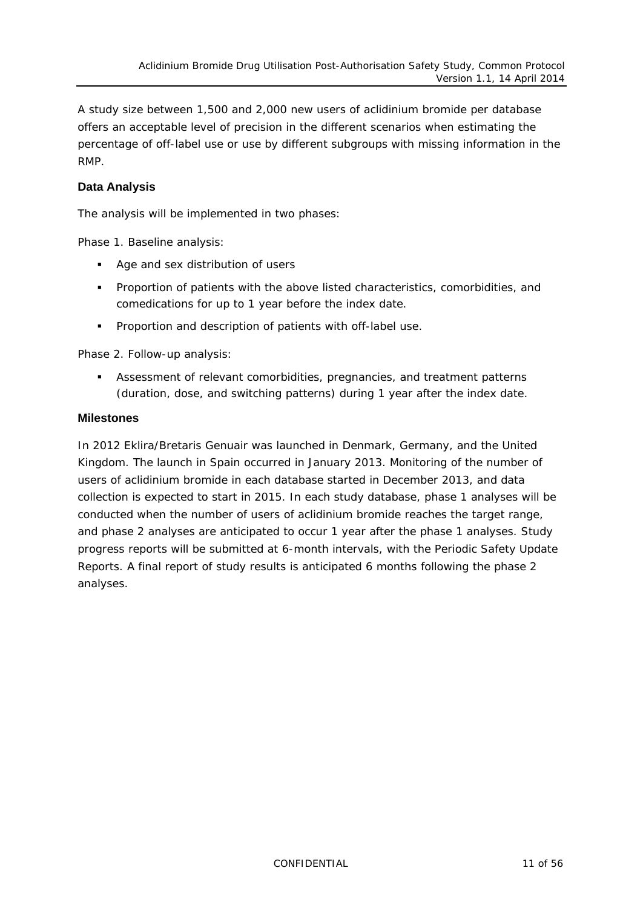A study size between 1,500 and 2,000 new users of aclidinium bromide per database offers an acceptable level of precision in the different scenarios when estimating the percentage of off-label use or use by different subgroups with missing information in the RMP.

#### **Data Analysis**

The analysis will be implemented in two phases:

Phase 1. Baseline analysis:

- Age and sex distribution of users
- Proportion of patients with the above listed characteristics, comorbidities, and comedications for up to 1 year before the index date.
- **Proportion and description of patients with off-label use.**

Phase 2. Follow-up analysis:

 Assessment of relevant comorbidities, pregnancies, and treatment patterns (duration, dose, and switching patterns) during 1 year after the index date.

#### **Milestones**

In 2012 Eklira/Bretaris Genuair was launched in Denmark, Germany, and the United Kingdom. The launch in Spain occurred in January 2013. Monitoring of the number of users of aclidinium bromide in each database started in December 2013, and data collection is expected to start in 2015. In each study database, phase 1 analyses will be conducted when the number of users of aclidinium bromide reaches the target range, and phase 2 analyses are anticipated to occur 1 year after the phase 1 analyses. Study progress reports will be submitted at 6-month intervals, with the Periodic Safety Update Reports. A final report of study results is anticipated 6 months following the phase 2 analyses.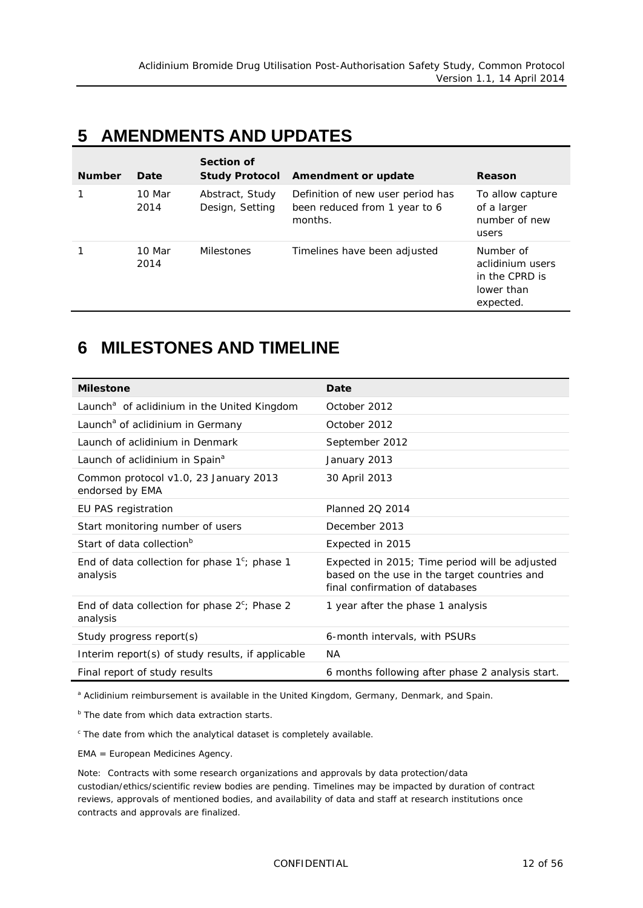## <span id="page-11-0"></span>**5 AMENDMENTS AND UPDATES**

| <b>Number</b> | Date           | Section of<br><b>Study Protocol</b> | Amendment or update                                                           | Reason                                                                     |
|---------------|----------------|-------------------------------------|-------------------------------------------------------------------------------|----------------------------------------------------------------------------|
|               | 10 Mar<br>2014 | Abstract, Study<br>Design, Setting  | Definition of new user period has<br>been reduced from 1 year to 6<br>months. | To allow capture<br>of a larger<br>number of new<br>users                  |
|               | 10 Mar<br>2014 | <b>Milestones</b>                   | Timelines have been adjusted                                                  | Number of<br>aclidinium users<br>in the CPRD is<br>lower than<br>expected. |

### <span id="page-11-1"></span>**6 MILESTONES AND TIMELINE**

| <b>Milestone</b>                                             | Date                                                                                                                              |
|--------------------------------------------------------------|-----------------------------------------------------------------------------------------------------------------------------------|
| Launch <sup>a</sup> of aclidinium in the United Kingdom      | October 2012                                                                                                                      |
| Launch <sup>a</sup> of aclidinium in Germany                 | October 2012                                                                                                                      |
| Launch of aclidinium in Denmark                              | September 2012                                                                                                                    |
| Launch of aclidinium in Spain <sup>a</sup>                   | January 2013                                                                                                                      |
| Common protocol v1.0, 23 January 2013<br>endorsed by EMA     | 30 April 2013                                                                                                                     |
| EU PAS registration                                          | <b>Planned 20 2014</b>                                                                                                            |
| Start monitoring number of users                             | December 2013                                                                                                                     |
| Start of data collection <sup>b</sup>                        | Expected in 2015                                                                                                                  |
| End of data collection for phase $1^c$ ; phase 1<br>analysis | Expected in 2015; Time period will be adjusted<br>based on the use in the target countries and<br>final confirmation of databases |
| End of data collection for phase $2^c$ ; Phase 2<br>analysis | 1 year after the phase 1 analysis                                                                                                 |
| Study progress report(s)                                     | 6-month intervals, with PSURs                                                                                                     |
| Interim report(s) of study results, if applicable            | <b>NA</b>                                                                                                                         |
| Final report of study results                                | 6 months following after phase 2 analysis start.                                                                                  |

<sup>a</sup> Aclidinium reimbursement is available in the United Kingdom, Germany, Denmark, and Spain.

**b** The date from which data extraction starts.

<sup>c</sup> The date from which the analytical dataset is completely available.

EMA = European Medicines Agency.

Note: Contracts with some research organizations and approvals by data protection/data custodian/ethics/scientific review bodies are pending. Timelines may be impacted by duration of contract reviews, approvals of mentioned bodies, and availability of data and staff at research institutions once contracts and approvals are finalized.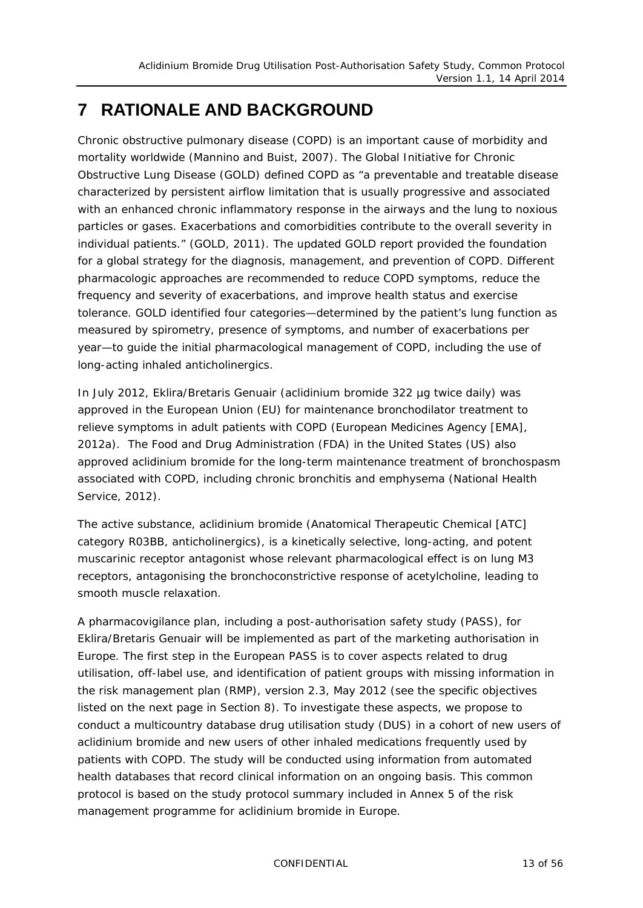# <span id="page-12-0"></span>**7 RATIONALE AND BACKGROUND**

Chronic obstructive pulmonary disease (COPD) is an important cause of morbidity and mortality worldwide (Mannino and Buist, 2007). The Global Initiative for Chronic Obstructive Lung Disease (GOLD) defined COPD as "*a preventable and treatable disease characterized by persistent airflow limitation that is usually progressive and associated with an enhanced chronic inflammatory response in the airways and the lung to noxious particles or gases. Exacerbations and comorbidities contribute to the overall severity in individual patients*." (GOLD, 2011). The updated GOLD report provided the foundation for a global strategy for the diagnosis, management, and prevention of COPD. Different pharmacologic approaches are recommended to reduce COPD symptoms, reduce the frequency and severity of exacerbations, and improve health status and exercise tolerance. GOLD identified four categories—determined by the patient's lung function as measured by spirometry, presence of symptoms, and number of exacerbations per year—to guide the initial pharmacological management of COPD, including the use of long-acting inhaled anticholinergics.

In July 2012, Eklira/Bretaris Genuair (aclidinium bromide 322 µg twice daily) was approved in the European Union (EU) for maintenance bronchodilator treatment to relieve symptoms in adult patients with COPD (European Medicines Agency [EMA], 2012a). The Food and Drug Administration (FDA) in the United States (US) also approved aclidinium bromide for the long-term maintenance treatment of bronchospasm associated with COPD, including chronic bronchitis and emphysema (National Health Service, 2012).

The active substance, aclidinium bromide (Anatomical Therapeutic Chemical [ATC] category R03BB, anticholinergics), is a kinetically selective, long-acting, and potent muscarinic receptor antagonist whose relevant pharmacological effect is on lung M3 receptors, antagonising the bronchoconstrictive response of acetylcholine, leading to smooth muscle relaxation.

A pharmacovigilance plan, including a post-authorisation safety study (PASS), for Eklira/Bretaris Genuair will be implemented as part of the marketing authorisation in Europe. The first step in the European PASS is to cover aspects related to drug utilisation, off-label use, and identification of patient groups with missing information in the risk management plan (RMP), version 2.3, May 2012 (see the specific objectives listed on the next page in Section [8\)](#page-13-0). To investigate these aspects, we propose to conduct a multicountry database drug utilisation study (DUS) in a cohort of new users of aclidinium bromide and new users of other inhaled medications frequently used by patients with COPD. The study will be conducted using information from automated health databases that record clinical information on an ongoing basis. This common protocol is based on the study protocol summary included in Annex 5 of the risk management programme for aclidinium bromide in Europe.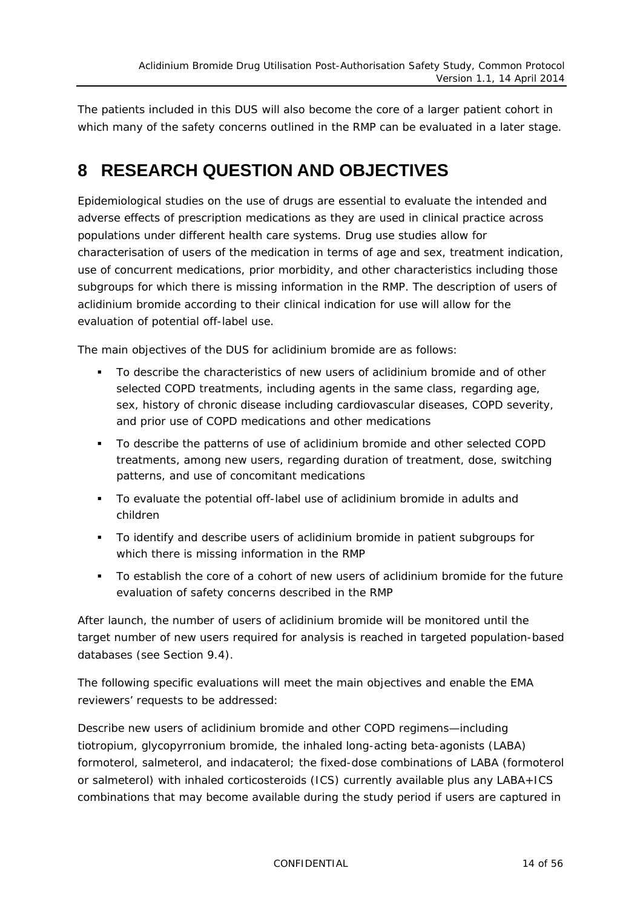The patients included in this DUS will also become the core of a larger patient cohort in which many of the safety concerns outlined in the RMP can be evaluated in a later stage.

### <span id="page-13-0"></span>**8 RESEARCH QUESTION AND OBJECTIVES**

Epidemiological studies on the use of drugs are essential to evaluate the intended and adverse effects of prescription medications as they are used in clinical practice across populations under different health care systems. Drug use studies allow for characterisation of users of the medication in terms of age and sex, treatment indication, use of concurrent medications, prior morbidity, and other characteristics including those subgroups for which there is missing information in the RMP. The description of users of aclidinium bromide according to their clinical indication for use will allow for the evaluation of potential off-label use.

The main objectives of the DUS for aclidinium bromide are as follows:

- To describe the characteristics of new users of aclidinium bromide and of other selected COPD treatments, including agents in the same class, regarding age, sex, history of chronic disease including cardiovascular diseases, COPD severity, and prior use of COPD medications and other medications
- To describe the patterns of use of aclidinium bromide and other selected COPD treatments, among new users, regarding duration of treatment, dose, switching patterns, and use of concomitant medications
- To evaluate the potential off-label use of aclidinium bromide in adults and children
- To identify and describe users of aclidinium bromide in patient subgroups for which there is missing information in the RMP
- To establish the core of a cohort of new users of aclidinium bromide for the future evaluation of safety concerns described in the RMP

After launch, the number of users of aclidinium bromide will be monitored until the target number of new users required for analysis is reached in targeted population-based databases (see Section [9.4\)](#page-35-0).

The following specific evaluations will meet the main objectives and enable the EMA reviewers' requests to be addressed:

Describe new users of aclidinium bromide and other COPD regimens—including tiotropium, glycopyrronium bromide, the inhaled long-acting beta-agonists (LABA) formoterol, salmeterol, and indacaterol; the fixed-dose combinations of LABA (formoterol or salmeterol) with inhaled corticosteroids (ICS) currently available plus any LABA+ICS combinations that may become available during the study period if users are captured in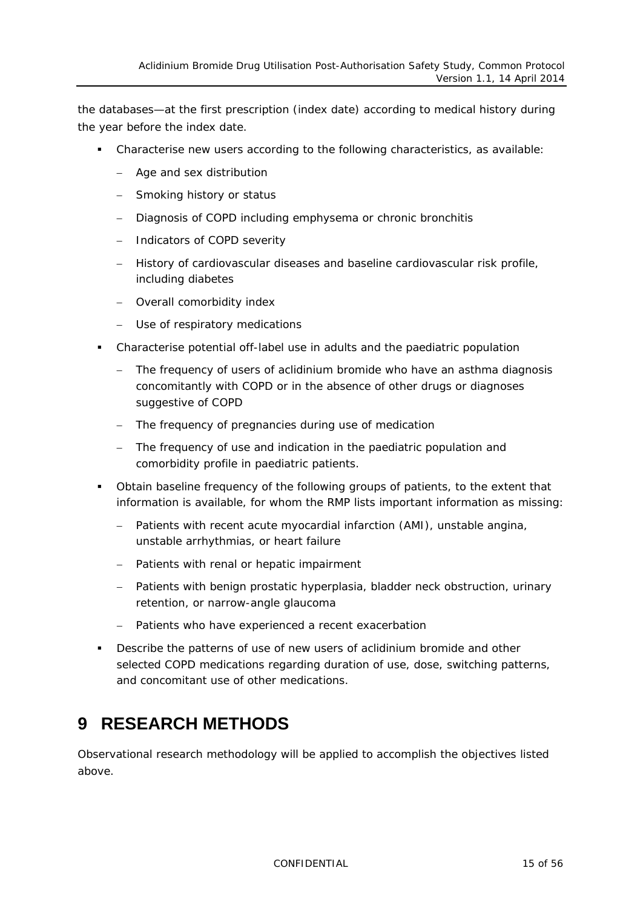the databases—at the first prescription (index date) according to medical history during the year before the index date.

- Characterise new users according to the following characteristics, as available:
	- − Age and sex distribution
	- − Smoking history or status
	- − Diagnosis of COPD including emphysema or chronic bronchitis
	- − Indicators of COPD severity
	- − History of cardiovascular diseases and baseline cardiovascular risk profile, including diabetes
	- − Overall comorbidity index
	- − Use of respiratory medications
- Characterise potential off-label use in adults and the paediatric population
	- − The frequency of users of aclidinium bromide who have an asthma diagnosis concomitantly with COPD or in the absence of other drugs or diagnoses suggestive of COPD
	- − The frequency of pregnancies during use of medication
	- − The frequency of use and indication in the paediatric population and comorbidity profile in paediatric patients.
- Obtain baseline frequency of the following groups of patients, to the extent that information is available, for whom the RMP lists important information as missing:
	- Patients with recent acute myocardial infarction (AMI), unstable angina, unstable arrhythmias, or heart failure
	- − Patients with renal or hepatic impairment
	- − Patients with benign prostatic hyperplasia, bladder neck obstruction, urinary retention, or narrow-angle glaucoma
	- Patients who have experienced a recent exacerbation
- **•** Describe the patterns of use of new users of aclidinium bromide and other selected COPD medications regarding duration of use, dose, switching patterns, and concomitant use of other medications.

# <span id="page-14-0"></span>**9 RESEARCH METHODS**

Observational research methodology will be applied to accomplish the objectives listed above.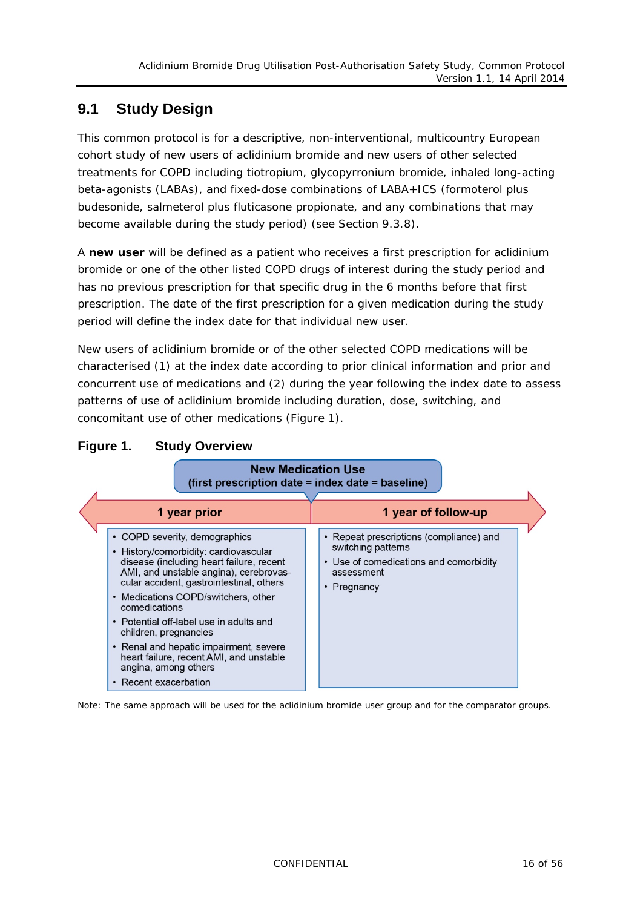### <span id="page-15-0"></span>**9.1 Study Design**

This common protocol is for a descriptive, non-interventional, multicountry European cohort study of new users of aclidinium bromide and new users of other selected treatments for COPD including tiotropium, glycopyrronium bromide, inhaled long-acting beta-agonists (LABAs), and fixed-dose combinations of LABA+ICS (formoterol plus budesonide, salmeterol plus fluticasone propionate, and any combinations that may become available during the study period) (see Section [9.3.8\)](#page-30-0).

A *new user* will be defined as a patient who receives a first prescription for aclidinium bromide or one of the other listed COPD drugs of interest during the study period and has no previous prescription for that specific drug in the 6 months before that first prescription. The date of the first prescription for a given medication during the study period will define the index date for that individual new user.

New users of aclidinium bromide or of the other selected COPD medications will be characterised (1) at the index date according to prior clinical information and prior and concurrent use of medications and (2) during the year following the index date to assess patterns of use of aclidinium bromide including duration, dose, switching, and concomitant use of other medications [\(Figure](#page-15-1) 1).

| <b>New Medication Use</b><br>(first prescription date = index date = baseline)                                                                                                                                                                                                                                                                                                                                                                                             |                                                                                                                                      |  |
|----------------------------------------------------------------------------------------------------------------------------------------------------------------------------------------------------------------------------------------------------------------------------------------------------------------------------------------------------------------------------------------------------------------------------------------------------------------------------|--------------------------------------------------------------------------------------------------------------------------------------|--|
| 1 year prior                                                                                                                                                                                                                                                                                                                                                                                                                                                               | 1 year of follow-up                                                                                                                  |  |
| • COPD severity, demographics<br>• History/comorbidity: cardiovascular<br>disease (including heart failure, recent<br>AMI, and unstable angina), cerebrovas-<br>cular accident, gastrointestinal, others<br>• Medications COPD/switchers, other<br>comedications<br>• Potential off-label use in adults and<br>children, pregnancies<br>• Renal and hepatic impairment, severe<br>heart failure, recent AMI, and unstable<br>angina, among others<br>• Recent exacerbation | • Repeat prescriptions (compliance) and<br>switching patterns<br>• Use of comedications and comorbidity<br>assessment<br>• Pregnancy |  |

#### <span id="page-15-1"></span>**Figure 1. Study Overview**

Note: The same approach will be used for the aclidinium bromide user group and for the comparator groups.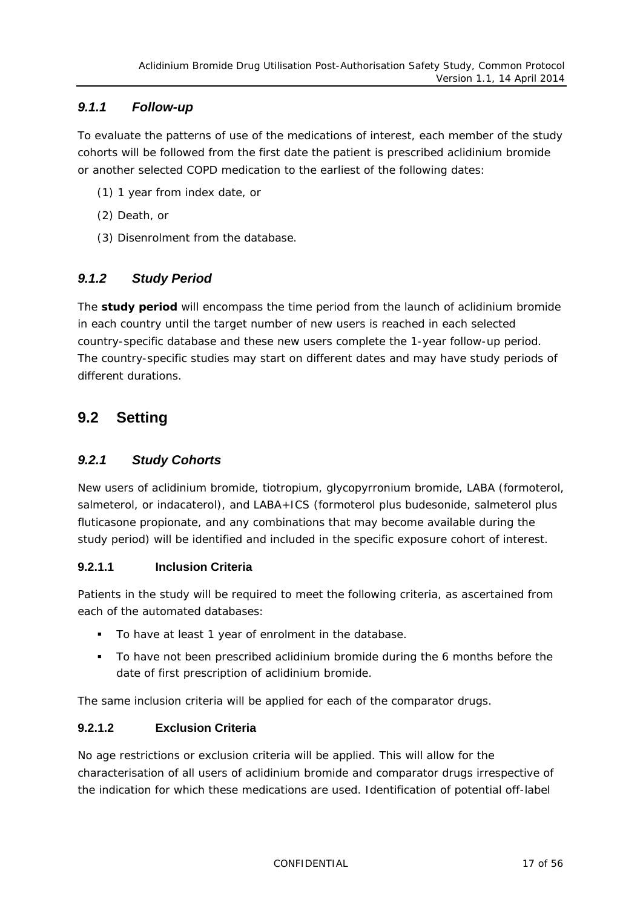#### <span id="page-16-0"></span>*9.1.1 Follow-up*

To evaluate the patterns of use of the medications of interest, each member of the study cohorts will be followed from the first date the patient is prescribed aclidinium bromide or another selected COPD medication to the earliest of the following dates:

- (1) 1 year from index date, or
- (2) Death, or
- (3) Disenrolment from the database.

#### <span id="page-16-1"></span>*9.1.2 Study Period*

The *study period* will encompass the time period from the launch of aclidinium bromide in each country until the target number of new users is reached in each selected country-specific database and these new users complete the 1-year follow-up period. The country-specific studies may start on different dates and may have study periods of different durations.

### <span id="page-16-3"></span><span id="page-16-2"></span>**9.2 Setting**

#### *9.2.1 Study Cohorts*

New users of aclidinium bromide, tiotropium, glycopyrronium bromide, LABA (formoterol, salmeterol, or indacaterol), and LABA+ICS (formoterol plus budesonide, salmeterol plus fluticasone propionate, and any combinations that may become available during the study period) will be identified and included in the specific exposure cohort of interest.

#### **9.2.1.1 Inclusion Criteria**

Patients in the study will be required to meet the following criteria, as ascertained from each of the automated databases:

- To have at least 1 year of enrolment in the database.
- To have not been prescribed aclidinium bromide during the 6 months before the date of first prescription of aclidinium bromide.

The same inclusion criteria will be applied for each of the comparator drugs.

#### **9.2.1.2 Exclusion Criteria**

No age restrictions or exclusion criteria will be applied. This will allow for the characterisation of all users of aclidinium bromide and comparator drugs irrespective of the indication for which these medications are used. Identification of potential off-label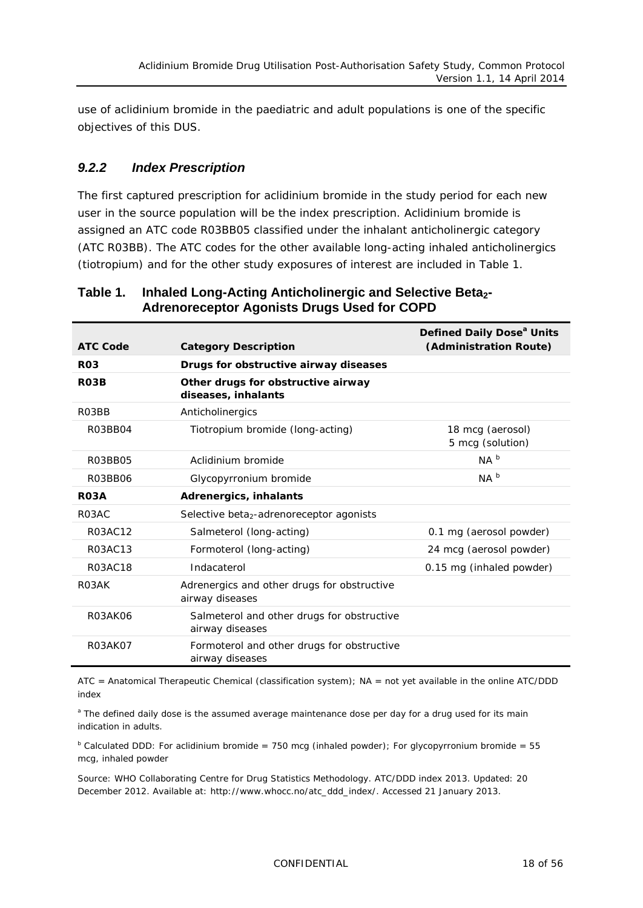use of aclidinium bromide in the paediatric and adult populations is one of the specific objectives of this DUS.

#### <span id="page-17-0"></span>*9.2.2 Index Prescription*

The first captured prescription for aclidinium bromide in the study period for each new user in the source population will be the *index prescription*. Aclidinium bromide is assigned an ATC code R03BB05 classified under the inhalant anticholinergic category (ATC R03BB). The ATC codes for the other available long-acting inhaled anticholinergics (tiotropium) and for the other study exposures of interest are included in [Table](#page-17-1) 1.

| <b>ATC Code</b>    | <b>Category Description</b>                                    | Defined Daily Dose <sup>a</sup> Units<br>(Administration Route) |
|--------------------|----------------------------------------------------------------|-----------------------------------------------------------------|
| R <sub>03</sub>    | Drugs for obstructive airway diseases                          |                                                                 |
| <b>R03B</b>        | Other drugs for obstructive airway<br>diseases, inhalants      |                                                                 |
| R03BB              | Anticholinergics                                               |                                                                 |
| R03BB04            | Tiotropium bromide (long-acting)                               | 18 mcg (aerosol)<br>5 mcg (solution)                            |
| R03BB05            | Aclidinium bromide                                             | NA <sup>b</sup>                                                 |
| R03BB06            | Glycopyrronium bromide                                         | NA <sup>b</sup>                                                 |
| <b>RO3A</b>        | Adrenergics, inhalants                                         |                                                                 |
| R03AC              | Selective beta <sub>2</sub> -adrenoreceptor agonists           |                                                                 |
| R03AC12            | Salmeterol (long-acting)                                       | 0.1 mg (aerosol powder)                                         |
| R03AC13            | Formoterol (long-acting)                                       | 24 mcg (aerosol powder)                                         |
| R03AC18            | Indacaterol                                                    | 0.15 mg (inhaled powder)                                        |
| R <sub>0</sub> 3AK | Adrenergics and other drugs for obstructive<br>airway diseases |                                                                 |
| R03AK06            | Salmeterol and other drugs for obstructive<br>airway diseases  |                                                                 |
| <b>R03AK07</b>     | Formoterol and other drugs for obstructive<br>airway diseases  |                                                                 |

#### <span id="page-17-1"></span>**Table 1.** Inhaled Long-Acting Anticholinergic and Selective Beta<sub>2</sub>-**Adrenoreceptor Agonists Drugs Used for COPD**

ATC = Anatomical Therapeutic Chemical (classification system); NA = not yet available in the online ATC/DDD index

<sup>a</sup> The defined daily dose is the assumed average maintenance dose per day for a drug used for its main indication in adults.

 $b$  Calculated DDD: For aclidinium bromide = 750 mcg (inhaled powder); For glycopyrronium bromide = 55 mcg, inhaled powder

Source: WHO Collaborating Centre for Drug Statistics Methodology. ATC/DDD index 2013. Updated: 20 December 2012. Available at: [http://www.whocc.no/atc\\_ddd\\_index/.](http://www.whocc.no/atc_ddd_index/) Accessed 21 January 2013.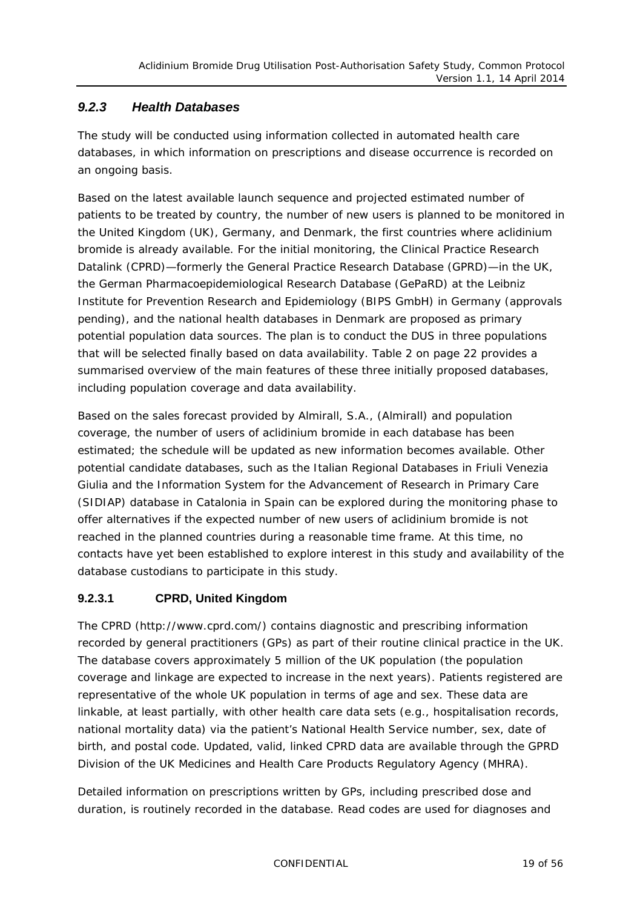#### <span id="page-18-0"></span>*9.2.3 Health Databases*

The study will be conducted using information collected in automated health care databases, in which information on prescriptions and disease occurrence is recorded on an ongoing basis.

Based on the latest available launch sequence and projected estimated number of patients to be treated by country, the number of new users is planned to be monitored in the United Kingdom (UK), Germany, and Denmark, the first countries where aclidinium bromide is already available. For the initial monitoring, the Clinical Practice Research Datalink (CPRD)—formerly the General Practice Research Database (GPRD)—in the UK, the German Pharmacoepidemiological Research Database (GePaRD) at the Leibniz Institute for Prevention Research and Epidemiology (BIPS GmbH) in Germany (approvals pending), and the national health databases in Denmark are proposed as primary potential population data sources. The plan is to conduct the DUS in three populations that will be selected finally based on data availability. [Table](#page-21-0) 2 on page [22](#page-21-0) provides a summarised overview of the main features of these three initially proposed databases, including population coverage and data availability.

Based on the sales forecast provided by Almirall, S.A., (Almirall) and population coverage, the number of users of aclidinium bromide in each database has been estimated; the schedule will be updated as new information becomes available. Other potential candidate databases, such as the Italian Regional Databases in Friuli Venezia Giulia and the Information System for the Advancement of Research in Primary Care (SIDIAP) database in Catalonia in Spain can be explored during the monitoring phase to offer alternatives if the expected number of new users of aclidinium bromide is not reached in the planned countries during a reasonable time frame. At this time, no contacts have yet been established to explore interest in this study and availability of the database custodians to participate in this study.

#### **9.2.3.1 CPRD, United Kingdom**

The CPRD (http://www.cprd.com/) contains diagnostic and prescribing information recorded by general practitioners (GPs) as part of their routine clinical practice in the UK. The database covers approximately 5 million of the UK population (the population coverage and linkage are expected to increase in the next years). Patients registered are representative of the whole UK population in terms of age and sex. These data are linkable, at least partially, with other health care data sets (e.g., hospitalisation records, national mortality data) via the patient's National Health Service number, sex, date of birth, and postal code. Updated, valid, linked CPRD data are available through the GPRD Division of the UK Medicines and Health Care Products Regulatory Agency (MHRA).

Detailed information on prescriptions written by GPs, including prescribed dose and duration, is routinely recorded in the database. Read codes are used for diagnoses and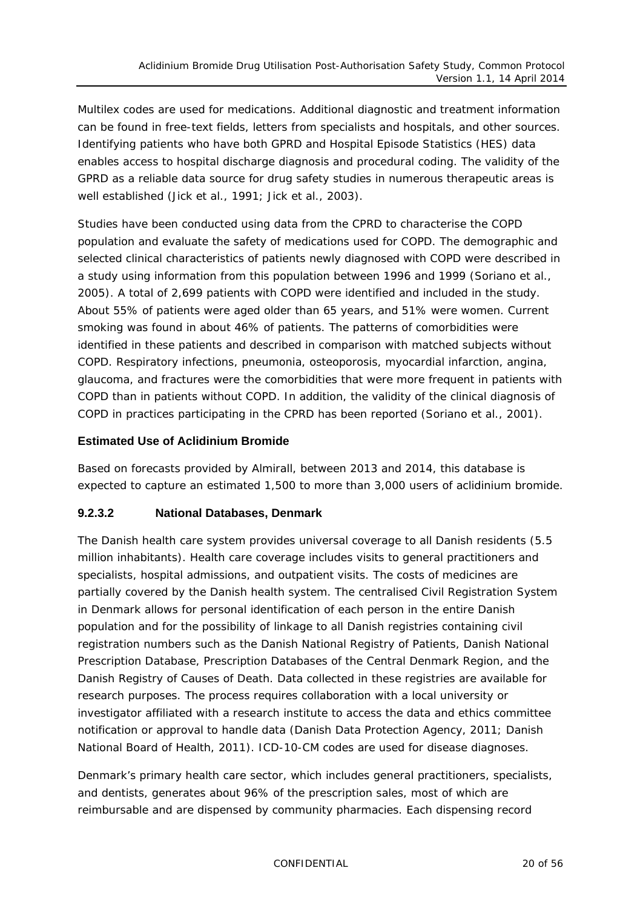Multilex codes are used for medications. Additional diagnostic and treatment information can be found in free-text fields, letters from specialists and hospitals, and other sources. Identifying patients who have both GPRD and Hospital Episode Statistics (HES) data enables access to hospital discharge diagnosis and procedural coding. The validity of the GPRD as a reliable data source for drug safety studies in numerous therapeutic areas is well established (Jick et al., 1991; Jick et al., 2003).

Studies have been conducted using data from the CPRD to characterise the COPD population and evaluate the safety of medications used for COPD. The demographic and selected clinical characteristics of patients newly diagnosed with COPD were described in a study using information from this population between 1996 and 1999 (Soriano et al., 2005). A total of 2,699 patients with COPD were identified and included in the study. About 55% of patients were aged older than 65 years, and 51% were women. Current smoking was found in about 46% of patients. The patterns of comorbidities were identified in these patients and described in comparison with matched subjects without COPD. Respiratory infections, pneumonia, osteoporosis, myocardial infarction, angina, glaucoma, and fractures were the comorbidities that were more frequent in patients with COPD than in patients without COPD. In addition, the validity of the clinical diagnosis of COPD in practices participating in the CPRD has been reported (Soriano et al., 2001).

#### **Estimated Use of Aclidinium Bromide**

Based on forecasts provided by Almirall, between 2013 and 2014, this database is expected to capture an estimated 1,500 to more than 3,000 users of aclidinium bromide.

#### **9.2.3.2 National Databases, Denmark**

The Danish health care system provides universal coverage to all Danish residents (5.5 million inhabitants). Health care coverage includes visits to general practitioners and specialists, hospital admissions, and outpatient visits. The costs of medicines are partially covered by the Danish health system. The centralised Civil Registration System in Denmark allows for personal identification of each person in the entire Danish population and for the possibility of linkage to all Danish registries containing civil registration numbers such as the Danish National Registry of Patients, Danish National Prescription Database, Prescription Databases of the Central Denmark Region, and the Danish Registry of Causes of Death. Data collected in these registries are available for research purposes. The process requires collaboration with a local university or investigator affiliated with a research institute to access the data and ethics committee notification or approval to handle data (Danish Data Protection Agency, 2011; Danish National Board of Health, 2011). ICD-10-CM codes are used for disease diagnoses.

Denmark's primary health care sector, which includes general practitioners, specialists, and dentists, generates about 96% of the prescription sales, most of which are reimbursable and are dispensed by community pharmacies. Each dispensing record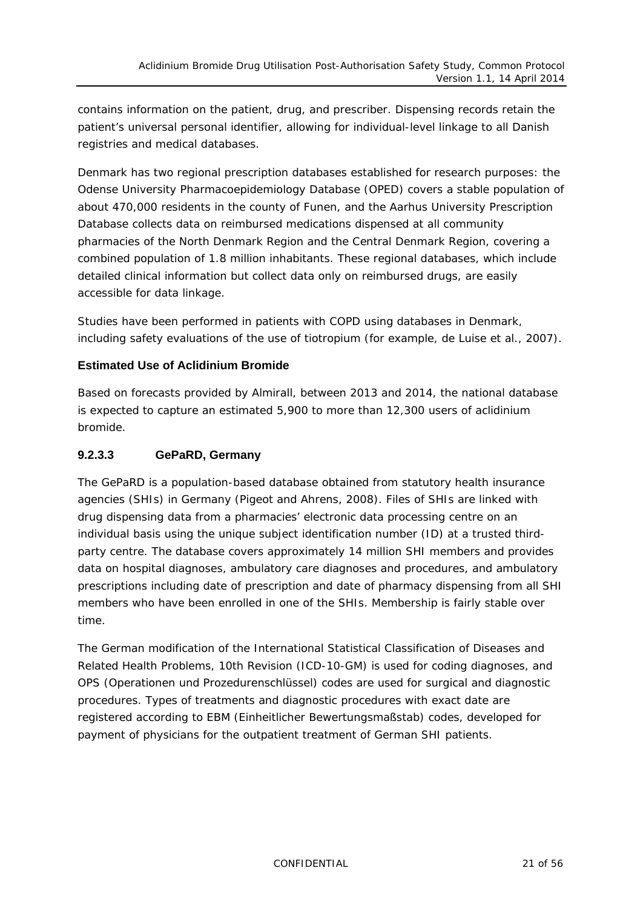contains information on the patient, drug, and prescriber. Dispensing records retain the patient's universal personal identifier, allowing for individual-level linkage to all Danish registries and medical databases.

Denmark has two regional prescription databases established for research purposes: the Odense University Pharmacoepidemiology Database (OPED) covers a stable population of about 470,000 residents in the county of Funen, and the Aarhus University Prescription Database collects data on reimbursed medications dispensed at all community pharmacies of the North Denmark Region and the Central Denmark Region, covering a combined population of 1.8 million inhabitants. These regional databases, which include detailed clinical information but collect data only on reimbursed drugs, are easily accessible for data linkage.

Studies have been performed in patients with COPD using databases in Denmark, including safety evaluations of the use of tiotropium (for example, de Luise et al., 2007).

#### **Estimated Use of Aclidinium Bromide**

Based on forecasts provided by Almirall, between 2013 and 2014, the national database is expected to capture an estimated 5,900 to more than 12,300 users of aclidinium bromide.

#### **9.2.3.3 GePaRD, Germany**

The GePaRD is a population-based database obtained from statutory health insurance agencies (SHIs) in Germany (Pigeot and Ahrens, 2008). Files of SHIs are linked with drug dispensing data from a pharmacies' electronic data processing centre on an individual basis using the unique subject identification number (ID) at a trusted thirdparty centre. The database covers approximately 14 million SHI members and provides data on hospital diagnoses, ambulatory care diagnoses and procedures, and ambulatory prescriptions including date of prescription and date of pharmacy dispensing from all SHI members who have been enrolled in one of the SHIs. Membership is fairly stable over time.

The German modification of the International Statistical Classification of Diseases and Related Health Problems, 10th Revision (ICD-10-GM) is used for coding diagnoses, and OPS (Operationen und Prozedurenschlüssel) codes are used for surgical and diagnostic procedures. Types of treatments and diagnostic procedures with exact date are registered according to EBM (Einheitlicher Bewertungsmaßstab) codes, developed for payment of physicians for the outpatient treatment of German SHI patients.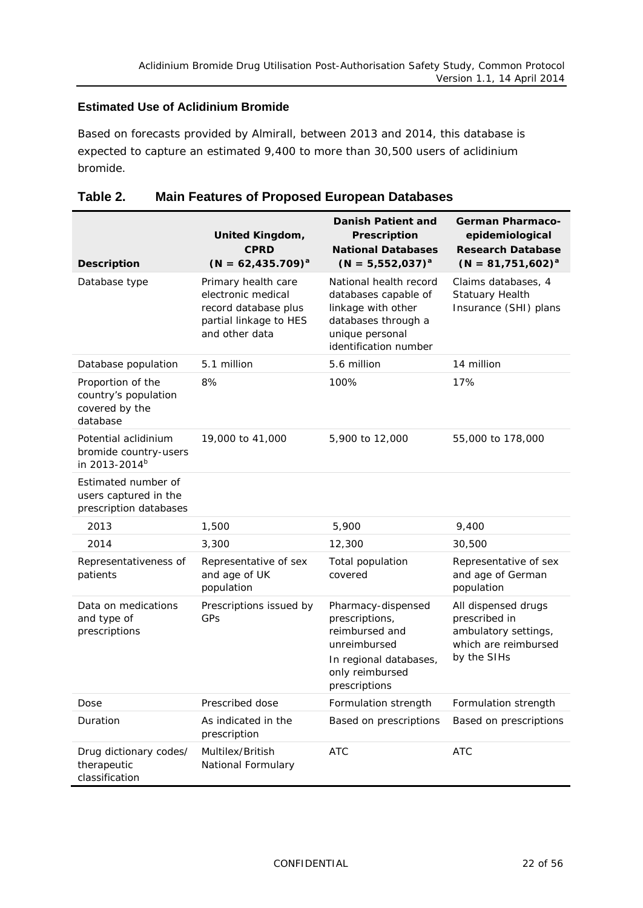#### **Estimated Use of Aclidinium Bromide**

Based on forecasts provided by Almirall, between 2013 and 2014, this database is expected to capture an estimated 9,400 to more than 30,500 users of aclidinium bromide.

<span id="page-21-0"></span>

| Table 2. | <b>Main Features of Proposed European Databases</b> |  |
|----------|-----------------------------------------------------|--|
|----------|-----------------------------------------------------|--|

| <b>Description</b>                                                         | <b>United Kingdom,</b><br><b>CPRD</b><br>$(N = 62, 435.709)^{a}$                                              | Danish Patient and<br>Prescription<br><b>National Databases</b><br>$(N = 5,552,037)^{a}$                                                | <b>German Pharmaco-</b><br>epidemiological<br><b>Research Database</b><br>$(N = 81, 751, 602)^{a}$  |
|----------------------------------------------------------------------------|---------------------------------------------------------------------------------------------------------------|-----------------------------------------------------------------------------------------------------------------------------------------|-----------------------------------------------------------------------------------------------------|
| Database type                                                              | Primary health care<br>electronic medical<br>record database plus<br>partial linkage to HES<br>and other data | National health record<br>databases capable of<br>linkage with other<br>databases through a<br>unique personal<br>identification number | Claims databases, 4<br><b>Statuary Health</b><br>Insurance (SHI) plans                              |
| Database population                                                        | 5.1 million                                                                                                   | 5.6 million                                                                                                                             | 14 million                                                                                          |
| Proportion of the<br>country's population<br>covered by the<br>database    | 8%                                                                                                            | 100%                                                                                                                                    | 17%                                                                                                 |
| Potential aclidinium<br>bromide country-users<br>in 2013-2014 <sup>b</sup> | 19,000 to 41,000                                                                                              | 5,900 to 12,000                                                                                                                         | 55,000 to 178,000                                                                                   |
| Estimated number of<br>users captured in the<br>prescription databases     |                                                                                                               |                                                                                                                                         |                                                                                                     |
| 2013                                                                       | 1,500                                                                                                         | 5,900                                                                                                                                   | 9,400                                                                                               |
| 2014                                                                       | 3,300                                                                                                         | 12,300                                                                                                                                  | 30,500                                                                                              |
| Representativeness of<br>patients                                          | Representative of sex<br>and age of UK<br>population                                                          | Total population<br>covered                                                                                                             | Representative of sex<br>and age of German<br>population                                            |
| Data on medications<br>and type of<br>prescriptions                        | Prescriptions issued by<br>GPs                                                                                | Pharmacy-dispensed<br>prescriptions,<br>reimbursed and<br>unreimbursed<br>In regional databases,<br>only reimbursed<br>prescriptions    | All dispensed drugs<br>prescribed in<br>ambulatory settings,<br>which are reimbursed<br>by the SIHs |
| Dose                                                                       | Prescribed dose                                                                                               | Formulation strength                                                                                                                    | Formulation strength                                                                                |
| Duration                                                                   | As indicated in the<br>prescription                                                                           | Based on prescriptions                                                                                                                  | Based on prescriptions                                                                              |
| Drug dictionary codes/<br>therapeutic<br>classification                    | Multilex/British<br>National Formulary                                                                        | <b>ATC</b>                                                                                                                              | <b>ATC</b>                                                                                          |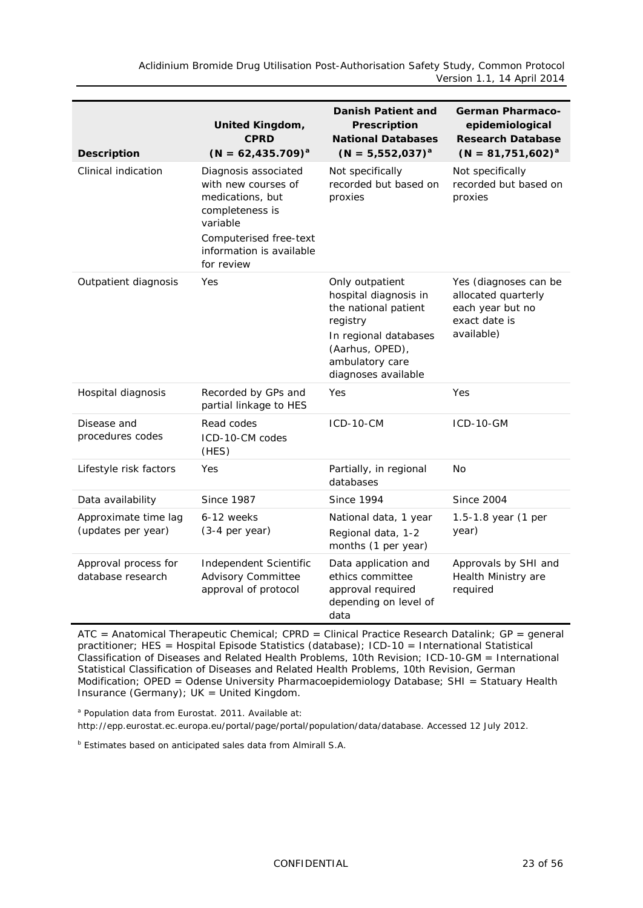*Aclidinium Bromide Drug Utilisation Post-Authorisation Safety Study, Common Protocol Version 1.1, 14 April 2014*

| <b>Description</b>                         | <b>United Kingdom,</b><br><b>CPRD</b><br>$(N = 62, 435.709)^{a}$                               | <b>Danish Patient and</b><br>Prescription<br><b>National Databases</b><br>$(N = 5,552,037)^{a}$                                                                    | <b>German Pharmaco-</b><br>epidemiological<br><b>Research Database</b><br>$(N = 81, 751, 602)^{a}$ |
|--------------------------------------------|------------------------------------------------------------------------------------------------|--------------------------------------------------------------------------------------------------------------------------------------------------------------------|----------------------------------------------------------------------------------------------------|
| Clinical indication                        | Diagnosis associated<br>with new courses of<br>medications, but<br>completeness is<br>variable | Not specifically<br>recorded but based on<br>proxies                                                                                                               | Not specifically<br>recorded but based on<br>proxies                                               |
|                                            | Computerised free-text<br>information is available<br>for review                               |                                                                                                                                                                    |                                                                                                    |
| Outpatient diagnosis                       | Yes                                                                                            | Only outpatient<br>hospital diagnosis in<br>the national patient<br>registry<br>In regional databases<br>(Aarhus, OPED),<br>ambulatory care<br>diagnoses available | Yes (diagnoses can be<br>allocated quarterly<br>each year but no<br>exact date is<br>available)    |
| Hospital diagnosis                         | Recorded by GPs and<br>partial linkage to HES                                                  | Yes                                                                                                                                                                | Yes                                                                                                |
| Disease and<br>procedures codes            | Read codes<br>ICD-10-CM codes<br>(HES)                                                         | $ICD-10-CM$                                                                                                                                                        | <b>ICD-10-GM</b>                                                                                   |
| Lifestyle risk factors                     | Yes                                                                                            | Partially, in regional<br>databases                                                                                                                                | No                                                                                                 |
| Data availability                          | <b>Since 1987</b>                                                                              | <b>Since 1994</b>                                                                                                                                                  | <b>Since 2004</b>                                                                                  |
| Approximate time lag<br>(updates per year) | 6-12 weeks<br>$(3-4$ per year)                                                                 | National data, 1 year<br>Regional data, 1-2<br>months (1 per year)                                                                                                 | 1.5-1.8 year (1 per<br>year)                                                                       |
| Approval process for<br>database research  | Independent Scientific<br><b>Advisory Committee</b><br>approval of protocol                    | Data application and<br>ethics committee<br>approval required<br>depending on level of<br>data                                                                     | Approvals by SHI and<br>Health Ministry are<br>required                                            |

ATC = Anatomical Therapeutic Chemical; CPRD = Clinical Practice Research Datalink; GP = general practitioner; HES = Hospital Episode Statistics (database); ICD-10 = International Statistical Classification of Diseases and Related Health Problems, 10th Revision; ICD-10-GM = International Statistical Classification of Diseases and Related Health Problems, 10th Revision, German Modification; OPED = Odense University Pharmacoepidemiology Database; SHI = Statuary Health Insurance (Germany); UK = United Kingdom.

<sup>a</sup> Population data from Eurostat. 2011. Available at:

[http://epp.eurostat.ec.europa.eu/portal/page/portal/population/data/database.](http://epp.eurostat.ec.europa.eu/portal/page/portal/population/data/database) Accessed 12 July 2012.

**b** Estimates based on anticipated sales data from Almirall S.A.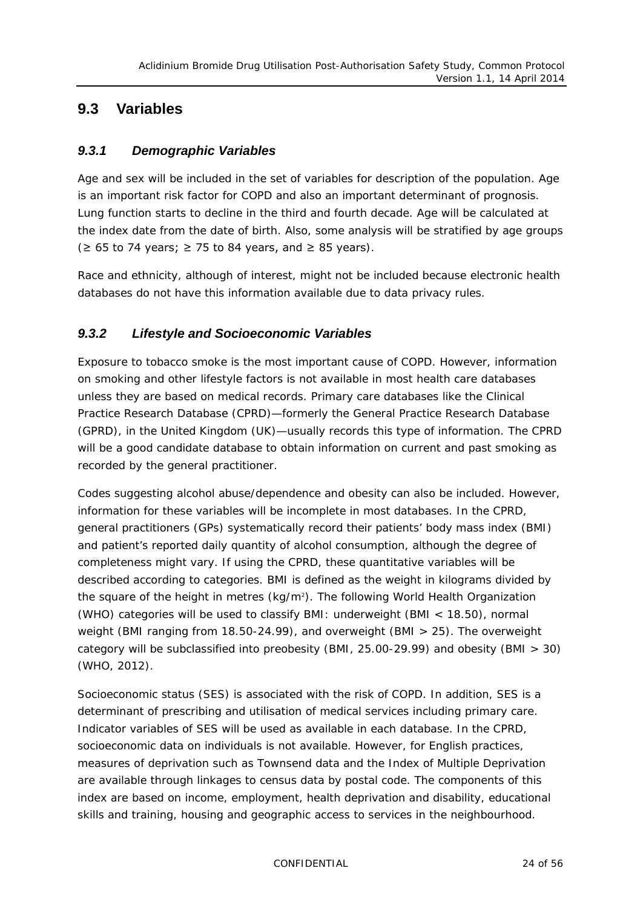### <span id="page-23-1"></span><span id="page-23-0"></span>**9.3 Variables**

#### *9.3.1 Demographic Variables*

Age and sex will be included in the set of variables for description of the population. Age is an important risk factor for COPD and also an important determinant of prognosis. Lung function starts to decline in the third and fourth decade. Age will be calculated at the index date from the date of birth. Also, some analysis will be stratified by age groups ( $≥$  65 to 74 years;  $≥$  75 to 84 years, and  $≥$  85 years).

Race and ethnicity, although of interest, might not be included because electronic health databases do not have this information available due to data privacy rules.

#### <span id="page-23-2"></span>*9.3.2 Lifestyle and Socioeconomic Variables*

Exposure to tobacco smoke is the most important cause of COPD. However, information on smoking and other lifestyle factors is not available in most health care databases unless they are based on medical records. Primary care databases like the Clinical Practice Research Database (CPRD)—formerly the General Practice Research Database (GPRD), in the United Kingdom (UK)—usually records this type of information. The CPRD will be a good candidate database to obtain information on current and past smoking as recorded by the general practitioner.

Codes suggesting alcohol abuse/dependence and obesity can also be included. However, information for these variables will be incomplete in most databases. In the CPRD, general practitioners (GPs) systematically record their patients' body mass index (BMI) and patient's reported daily quantity of alcohol consumption, although the degree of completeness might vary. If using the CPRD, these quantitative variables will be described according to categories. BMI is defined as the weight in kilograms divided by the square of the height in metres  $(kg/m^2)$ . The following World Health Organization (WHO) categories will be used to classify BMI: underweight (BMI < 18.50), normal weight (BMI ranging from 18.50-24.99), and overweight (BMI > 25). The overweight category will be subclassified into preobesity (BMI, 25.00-29.99) and obesity (BMI > 30) (WHO, 2012).

Socioeconomic status (SES) is associated with the risk of COPD. In addition, SES is a determinant of prescribing and utilisation of medical services including primary care. Indicator variables of SES will be used as available in each database. In the CPRD, socioeconomic data on individuals is not available. However, for English practices, measures of deprivation such as Townsend data and the Index of Multiple Deprivation are available through linkages to census data by postal code. The components of this index are based on income, employment, health deprivation and disability, educational skills and training, housing and geographic access to services in the neighbourhood.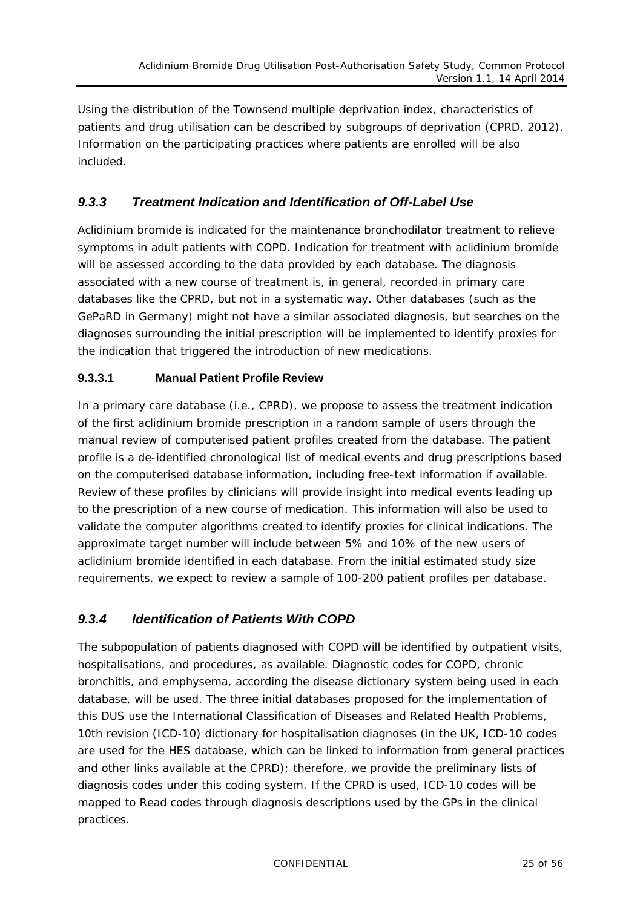Using the distribution of the Townsend multiple deprivation index, characteristics of patients and drug utilisation can be described by subgroups of deprivation (CPRD, 2012). Information on the participating practices where patients are enrolled will be also included.

#### <span id="page-24-0"></span>*9.3.3 Treatment Indication and Identification of Off-Label Use*

Aclidinium bromide is indicated for the maintenance bronchodilator treatment to relieve symptoms in adult patients with COPD. Indication for treatment with aclidinium bromide will be assessed according to the data provided by each database. The diagnosis associated with a new course of treatment is, in general, recorded in primary care databases like the CPRD, but not in a systematic way. Other databases (such as the GePaRD in Germany) might not have a similar associated diagnosis, but searches on the diagnoses surrounding the initial prescription will be implemented to identify proxies for the indication that triggered the introduction of new medications.

#### **9.3.3.1 Manual Patient Profile Review**

In a primary care database (i.e., CPRD), we propose to assess the treatment indication of the first aclidinium bromide prescription in a random sample of users through the manual review of computerised patient profiles created from the database. The patient profile is a de-identified chronological list of medical events and drug prescriptions based on the computerised database information, including free-text information if available. Review of these profiles by clinicians will provide insight into medical events leading up to the prescription of a new course of medication. This information will also be used to validate the computer algorithms created to identify proxies for clinical indications. The approximate target number will include between 5% and 10% of the new users of aclidinium bromide identified in each database. From the initial estimated study size requirements, we expect to review a sample of 100-200 patient profiles per database.

#### <span id="page-24-1"></span>*9.3.4 Identification of Patients With COPD*

The subpopulation of patients diagnosed with COPD will be identified by outpatient visits, hospitalisations, and procedures, as available. Diagnostic codes for COPD, chronic bronchitis, and emphysema, according the disease dictionary system being used in each database, will be used. The three initial databases proposed for the implementation of this DUS use the International Classification of Diseases and Related Health Problems, 10th revision (ICD-10) dictionary for hospitalisation diagnoses (in the UK, ICD-10 codes are used for the HES database, which can be linked to information from general practices and other links available at the CPRD); therefore, we provide the preliminary lists of diagnosis codes under this coding system. If the CPRD is used, ICD-10 codes will be mapped to Read codes through diagnosis descriptions used by the GPs in the clinical practices.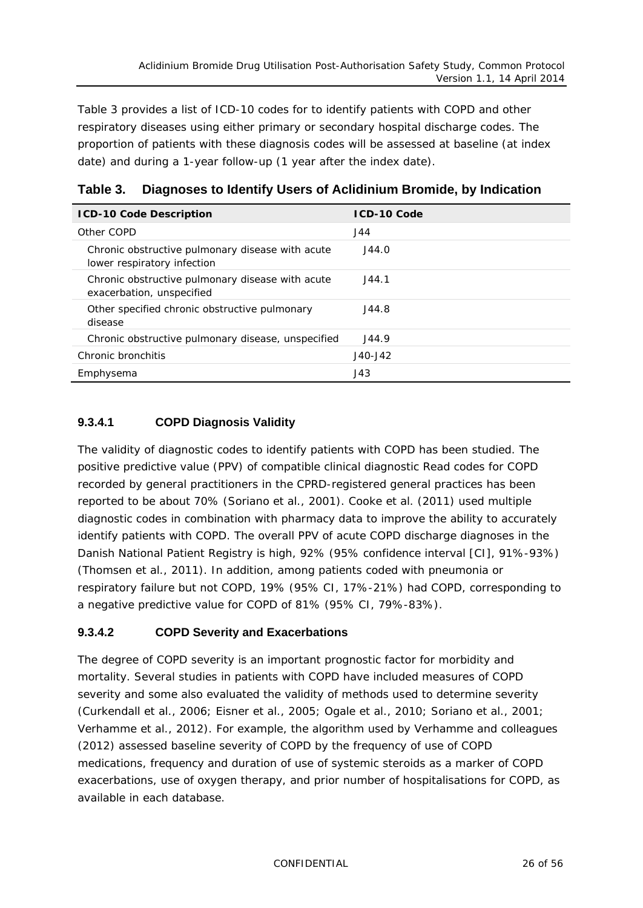[Table](#page-25-0) 3 provides a list of ICD-10 codes for to identify patients with COPD and other respiratory diseases using either primary or secondary hospital discharge codes. The proportion of patients with these diagnosis codes will be assessed at baseline (at index date) and during a 1-year follow-up (1 year after the index date).

| <b>ICD-10 Code Description</b>                                                  | <b>ICD-10 Code</b> |
|---------------------------------------------------------------------------------|--------------------|
| Other COPD                                                                      | J44                |
| Chronic obstructive pulmonary disease with acute<br>lower respiratory infection | J44.0              |
| Chronic obstructive pulmonary disease with acute<br>exacerbation, unspecified   | J44.1              |
| Other specified chronic obstructive pulmonary<br>disease                        | J44.8              |
| Chronic obstructive pulmonary disease, unspecified                              | J44.9              |
| Chronic bronchitis                                                              | $J40 - J42$        |
| Emphysema                                                                       | J43                |

<span id="page-25-0"></span>**Table 3. Diagnoses to Identify Users of Aclidinium Bromide, by Indication**

#### **9.3.4.1 COPD Diagnosis Validity**

The validity of diagnostic codes to identify patients with COPD has been studied. The positive predictive value (PPV) of compatible clinical diagnostic Read codes for COPD recorded by general practitioners in the CPRD-registered general practices has been reported to be about 70% (Soriano et al., 2001). Cooke et al. (2011) used multiple diagnostic codes in combination with pharmacy data to improve the ability to accurately identify patients with COPD. The overall PPV of acute COPD discharge diagnoses in the Danish National Patient Registry is high, 92% (95% confidence interval [CI], 91%-93%) (Thomsen et al., 2011). In addition, among patients coded with pneumonia or respiratory failure but not COPD, 19% (95% CI, 17%-21%) had COPD, corresponding to a negative predictive value for COPD of 81% (95% CI, 79%-83%).

#### **9.3.4.2 COPD Severity and Exacerbations**

The degree of COPD severity is an important prognostic factor for morbidity and mortality. Several studies in patients with COPD have included measures of COPD severity and some also evaluated the validity of methods used to determine severity (Curkendall et al., 2006; Eisner et al., 2005; Ogale et al., 2010; Soriano et al., 2001; Verhamme et al., 2012). For example, the algorithm used by Verhamme and colleagues (2012) assessed baseline severity of COPD by the frequency of use of COPD medications, frequency and duration of use of systemic steroids as a marker of COPD exacerbations, use of oxygen therapy, and prior number of hospitalisations for COPD, as available in each database.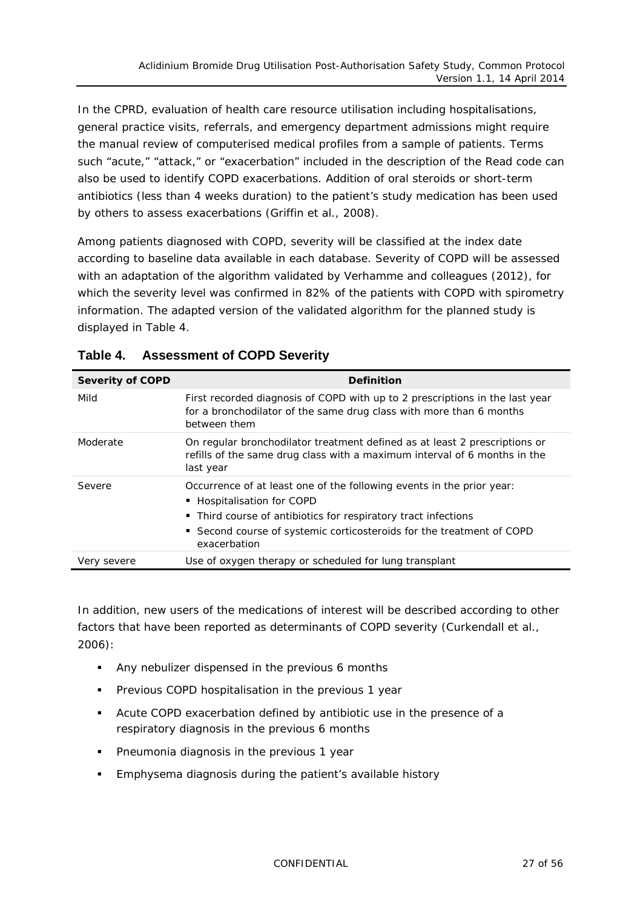In the CPRD, evaluation of health care resource utilisation including hospitalisations, general practice visits, referrals, and emergency department admissions might require the manual review of computerised medical profiles from a sample of patients. Terms such "acute," "attack," or "exacerbation" included in the description of the Read code can also be used to identify COPD exacerbations. Addition of oral steroids or short-term antibiotics (less than 4 weeks duration) to the patient's study medication has been used by others to assess exacerbations (Griffin et al., 2008).

Among patients diagnosed with COPD, severity will be classified at the index date according to baseline data available in each database. Severity of COPD will be assessed with an adaptation of the algorithm validated by Verhamme and colleagues (2012), for which the severity level was confirmed in 82% of the patients with COPD with spirometry information. The adapted version of the validated algorithm for the planned study is displayed in [Table](#page-26-0) 4.

| <b>Severity of COPD</b> | <b>Definition</b>                                                                                                                                                                                                                                              |
|-------------------------|----------------------------------------------------------------------------------------------------------------------------------------------------------------------------------------------------------------------------------------------------------------|
| Mild                    | First recorded diagnosis of COPD with up to 2 prescriptions in the last year<br>for a bronchodilator of the same drug class with more than 6 months<br>between them                                                                                            |
| Moderate                | On regular bronchodilator treatment defined as at least 2 prescriptions or<br>refills of the same drug class with a maximum interval of 6 months in the<br>last year                                                                                           |
| Severe                  | Occurrence of at least one of the following events in the prior year:<br>■ Hospitalisation for COPD<br>• Third course of antibiotics for respiratory tract infections<br>■ Second course of systemic corticosteroids for the treatment of COPD<br>exacerbation |
| Very severe             | Use of oxygen therapy or scheduled for lung transplant                                                                                                                                                                                                         |

#### <span id="page-26-0"></span>**Table 4. Assessment of COPD Severity**

In addition, new users of the medications of interest will be described according to other factors that have been reported as determinants of COPD severity (Curkendall et al., 2006):

- Any nebulizer dispensed in the previous 6 months
- **Previous COPD hospitalisation in the previous 1 year**
- Acute COPD exacerbation defined by antibiotic use in the presence of a respiratory diagnosis in the previous 6 months
- **Pheumonia diagnosis in the previous 1 year**
- Emphysema diagnosis during the patient's available history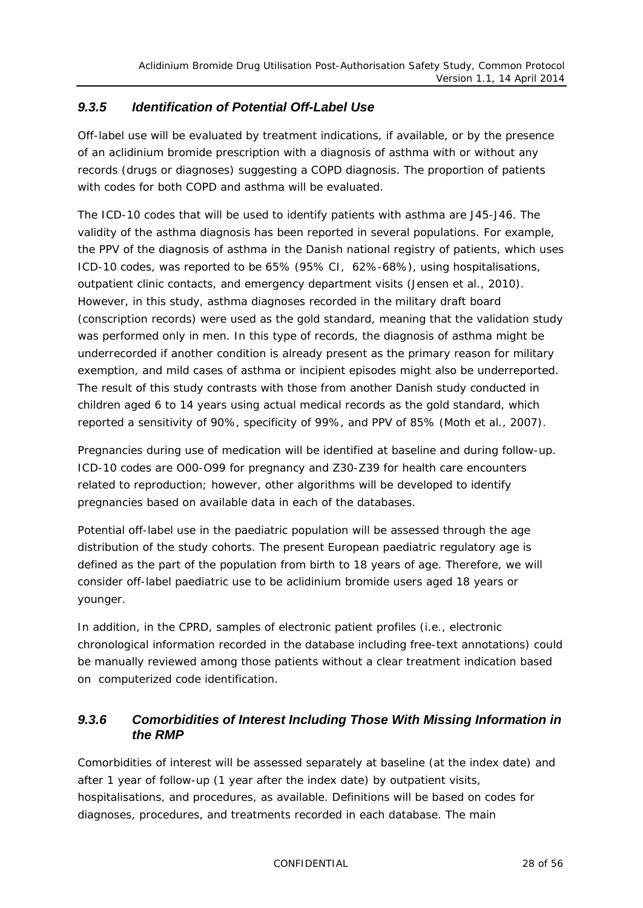#### <span id="page-27-0"></span>*9.3.5 Identification of Potential Off-Label Use*

Off-label use will be evaluated by treatment indications, if available, or by the presence of an aclidinium bromide prescription with a diagnosis of asthma with or without any records (drugs or diagnoses) suggesting a COPD diagnosis. The proportion of patients with codes for both COPD and asthma will be evaluated.

The ICD-10 codes that will be used to identify patients with asthma are J45-J46. The validity of the asthma diagnosis has been reported in several populations. For example, the PPV of the diagnosis of asthma in the Danish national registry of patients, which uses ICD-10 codes, was reported to be 65% (95% CI, 62%-68%), using hospitalisations, outpatient clinic contacts, and emergency department visits (Jensen et al., 2010). However, in this study, asthma diagnoses recorded in the military draft board (conscription records) were used as the gold standard, meaning that the validation study was performed only in men. In this type of records, the diagnosis of asthma might be underrecorded if another condition is already present as the primary reason for military exemption, and mild cases of asthma or incipient episodes might also be underreported. The result of this study contrasts with those from another Danish study conducted in children aged 6 to 14 years using actual medical records as the gold standard, which reported a sensitivity of 90%, specificity of 99%, and PPV of 85% (Moth et al., 2007).

Pregnancies during use of medication will be identified at baseline and during follow-up. ICD-10 codes are O00-O99 for pregnancy and Z30-Z39 for health care encounters related to reproduction; however, other algorithms will be developed to identify pregnancies based on available data in each of the databases.

Potential off-label use in the paediatric population will be assessed through the age distribution of the study cohorts. The present European paediatric regulatory age is defined as the part of the population from birth to 18 years of age. Therefore, we will consider off-label paediatric use to be aclidinium bromide users aged 18 years or younger.

In addition, in the CPRD, samples of electronic patient profiles (i.e., electronic chronological information recorded in the database including free-text annotations) could be manually reviewed among those patients without a clear treatment indication based on computerized code identification.

#### <span id="page-27-1"></span>*9.3.6 Comorbidities of Interest Including Those With Missing Information in the RMP*

Comorbidities of interest will be assessed separately at baseline (at the index date) and after 1 year of follow-up (1 year after the index date) by outpatient visits, hospitalisations, and procedures, as available. Definitions will be based on codes for diagnoses, procedures, and treatments recorded in each database. The main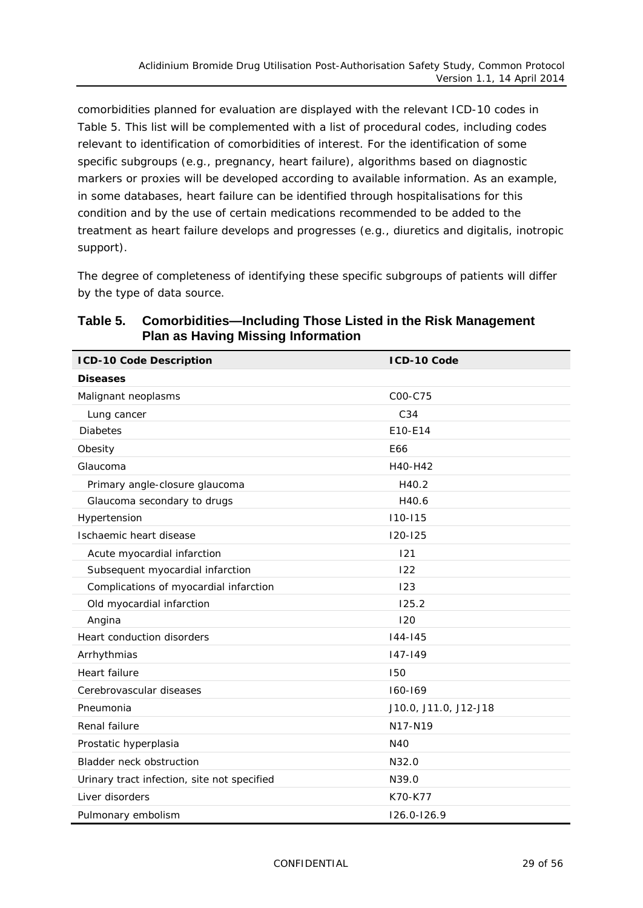comorbidities planned for evaluation are displayed with the relevant ICD-10 codes in [Table](#page-28-0) 5. This list will be complemented with a list of procedural codes, including codes relevant to identification of comorbidities of interest. For the identification of some specific subgroups (e.g., pregnancy, heart failure), algorithms based on diagnostic markers or proxies will be developed according to available information. As an example, in some databases, heart failure can be identified through hospitalisations for this condition and by the use of certain medications recommended to be added to the treatment as heart failure develops and progresses (e.g., diuretics and digitalis, inotropic support).

The degree of completeness of identifying these specific subgroups of patients will differ by the type of data source.

| <b>ICD-10 Code Description</b>              | ICD-10 Code           |
|---------------------------------------------|-----------------------|
| <b>Diseases</b>                             |                       |
| Malignant neoplasms                         | C00-C75               |
| Lung cancer                                 | C <sub>34</sub>       |
| <b>Diabetes</b>                             | E10-E14               |
| Obesity                                     | E66                   |
| Glaucoma                                    | H40-H42               |
| Primary angle-closure glaucoma              | H40.2                 |
| Glaucoma secondary to drugs                 | H40.6                 |
| Hypertension                                | $110 - 115$           |
| Ischaemic heart disease                     | $120 - 125$           |
| Acute myocardial infarction                 | 121                   |
| Subsequent myocardial infarction            | 122                   |
| Complications of myocardial infarction      | 123                   |
| Old myocardial infarction                   | 125.2                 |
| Angina                                      | 120                   |
| Heart conduction disorders                  | $144 - 145$           |
| Arrhythmias                                 | $147 - 149$           |
| Heart failure                               | 150                   |
| Cerebrovascular diseases                    | 160-169               |
| Pneumonia                                   | J10.0, J11.0, J12-J18 |
| Renal failure                               | N17-N19               |
| Prostatic hyperplasia                       | N40                   |
| Bladder neck obstruction                    | N32.0                 |
| Urinary tract infection, site not specified | N39.0                 |
| Liver disorders                             | K70-K77               |
| Pulmonary embolism                          | $126.0 - 126.9$       |

<span id="page-28-0"></span>**Table 5. Comorbidities—Including Those Listed in the Risk Management Plan as Having Missing Information**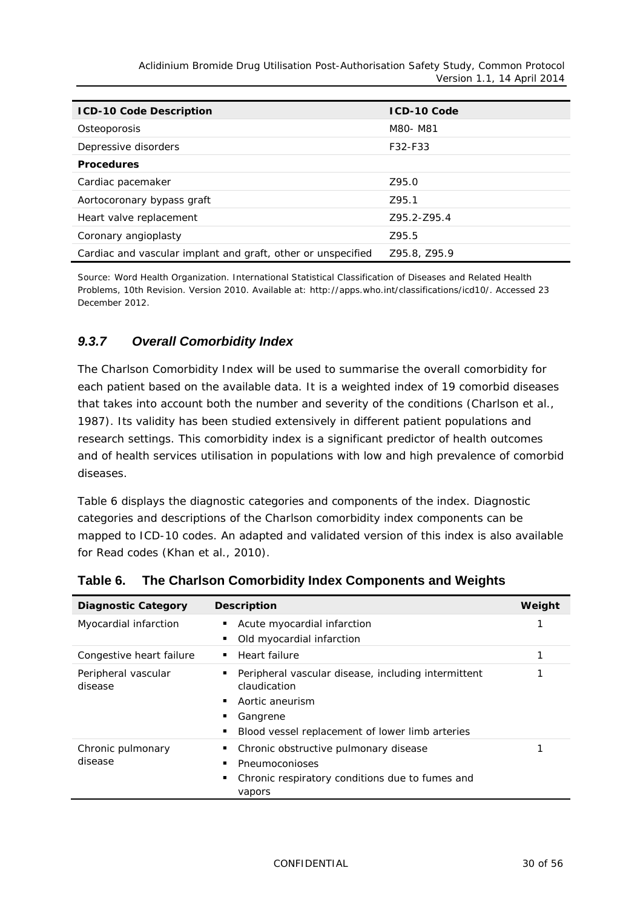| <b>ICD-10 Code Description</b>                               | <b>ICD-10 Code</b> |
|--------------------------------------------------------------|--------------------|
| Osteoporosis                                                 | M80- M81           |
| Depressive disorders                                         | F32-F33            |
| <b>Procedures</b>                                            |                    |
| Cardiac pacemaker                                            | Z95.0              |
| Aortocoronary bypass graft                                   | Z95.1              |
| Heart valve replacement                                      | 795.2-795.4        |
| Coronary angioplasty                                         | 795.5              |
| Cardiac and vascular implant and graft, other or unspecified | Z95.8, Z95.9       |

Source: Word Health Organization. International Statistical Classification of Diseases and Related Health Problems, 10th Revision. Version 2010. Available at: [http://apps.who.int/classifications/icd10/.](http://apps.who.int/classifications/icd10/) Accessed 23 December 2012.

#### <span id="page-29-0"></span>*9.3.7 Overall Comorbidity Index*

The Charlson Comorbidity Index will be used to summarise the overall comorbidity for each patient based on the available data. It is a weighted index of 19 comorbid diseases that takes into account both the number and severity of the conditions (Charlson et al., 1987). Its validity has been studied extensively in different patient populations and research settings. This comorbidity index is a significant predictor of health outcomes and of health services utilisation in populations with low and high prevalence of comorbid diseases.

[Table](#page-29-1) 6 displays the diagnostic categories and components of the index. Diagnostic categories and descriptions of the Charlson comorbidity index components can be mapped to ICD-10 codes. An adapted and validated version of this index is also available for Read codes (Khan et al., 2010).

| <b>Diagnostic Category</b>     | <b>Description</b>                                                  | Weight |
|--------------------------------|---------------------------------------------------------------------|--------|
| Myocardial infarction          | Acute myocardial infarction                                         |        |
|                                | Old myocardial infarction                                           |        |
| Congestive heart failure       | Heart failure                                                       |        |
| Peripheral vascular<br>disease | Peripheral vascular disease, including intermittent<br>claudication |        |
|                                | Aortic aneurism                                                     |        |
|                                | Gangrene                                                            |        |
|                                | Blood vessel replacement of lower limb arteries                     |        |
| Chronic pulmonary              | Chronic obstructive pulmonary disease                               |        |
| disease                        | Pneumoconioses                                                      |        |
|                                | Chronic respiratory conditions due to fumes and<br>vapors           |        |

<span id="page-29-1"></span>**Table 6. The Charlson Comorbidity Index Components and Weights**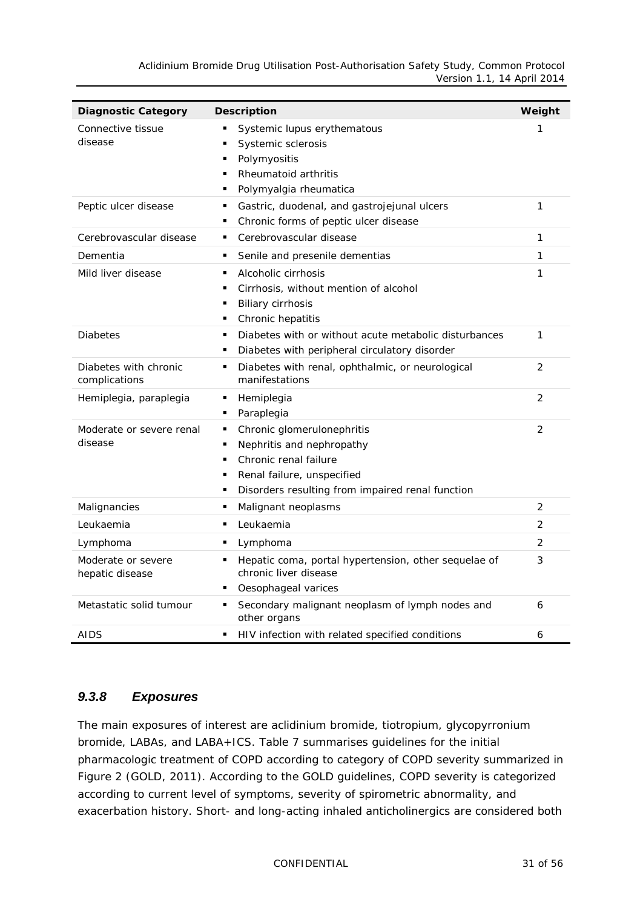*Aclidinium Bromide Drug Utilisation Post-Authorisation Safety Study, Common Protocol Version 1.1, 14 April 2014*

| <b>Diagnostic Category</b>             | <b>Description</b>                                                                                                                                                                             | Weight         |
|----------------------------------------|------------------------------------------------------------------------------------------------------------------------------------------------------------------------------------------------|----------------|
| Connective tissue<br>disease           | Systemic lupus erythematous<br>Systemic sclerosis<br>Polymyositis<br>п<br>Rheumatoid arthritis<br>Polymyalgia rheumatica                                                                       | 1              |
| Peptic ulcer disease                   | Gastric, duodenal, and gastrojejunal ulcers<br>٠<br>Chronic forms of peptic ulcer disease<br>٠                                                                                                 | 1              |
| Cerebrovascular disease                | Cerebrovascular disease<br>٠                                                                                                                                                                   | 1              |
| Dementia                               | Senile and presenile dementias<br>٠                                                                                                                                                            | 1              |
| Mild liver disease                     | Alcoholic cirrhosis<br>٠<br>Cirrhosis, without mention of alcohol<br>٠<br><b>Biliary cirrhosis</b><br>٠<br>Chronic hepatitis<br>٠                                                              | 1              |
| <b>Diabetes</b>                        | Diabetes with or without acute metabolic disturbances<br>$\blacksquare$<br>Diabetes with peripheral circulatory disorder                                                                       | 1              |
| Diabetes with chronic<br>complications | Diabetes with renal, ophthalmic, or neurological<br>٠<br>manifestations                                                                                                                        | $\overline{2}$ |
| Hemiplegia, paraplegia                 | Hemiplegia<br>٠<br>Paraplegia<br>п                                                                                                                                                             | $\overline{2}$ |
| Moderate or severe renal<br>disease    | Chronic glomerulonephritis<br>п<br>Nephritis and nephropathy<br>П<br>Chronic renal failure<br>$\blacksquare$<br>Renal failure, unspecified<br>Disorders resulting from impaired renal function | $\overline{2}$ |
| Malignancies                           | Malignant neoplasms<br>٠                                                                                                                                                                       | $\overline{2}$ |
| Leukaemia                              | Leukaemia<br>п                                                                                                                                                                                 | $\overline{2}$ |
| Lymphoma                               | Lymphoma<br>п                                                                                                                                                                                  | $\overline{2}$ |
| Moderate or severe<br>hepatic disease  | Hepatic coma, portal hypertension, other sequelae of<br>٠<br>chronic liver disease<br>Oesophageal varices                                                                                      | 3              |
| Metastatic solid tumour                | Secondary malignant neoplasm of lymph nodes and<br>٠<br>other organs                                                                                                                           | 6              |
| AIDS                                   | HIV infection with related specified conditions<br>٠                                                                                                                                           | 6              |

#### <span id="page-30-0"></span>*9.3.8 Exposures*

The main exposures of interest are aclidinium bromide, tiotropium, glycopyrronium bromide, LABAs, and LABA+ICS. [Table](#page-31-0) 7 summarises guidelines for the initial pharmacologic treatment of COPD according to category of COPD severity summarized in [Figure](#page-31-1) 2 (GOLD, 2011). According to the GOLD guidelines, COPD severity is categorized according to current level of symptoms, severity of spirometric abnormality, and exacerbation history. Short- and long-acting inhaled anticholinergics are considered both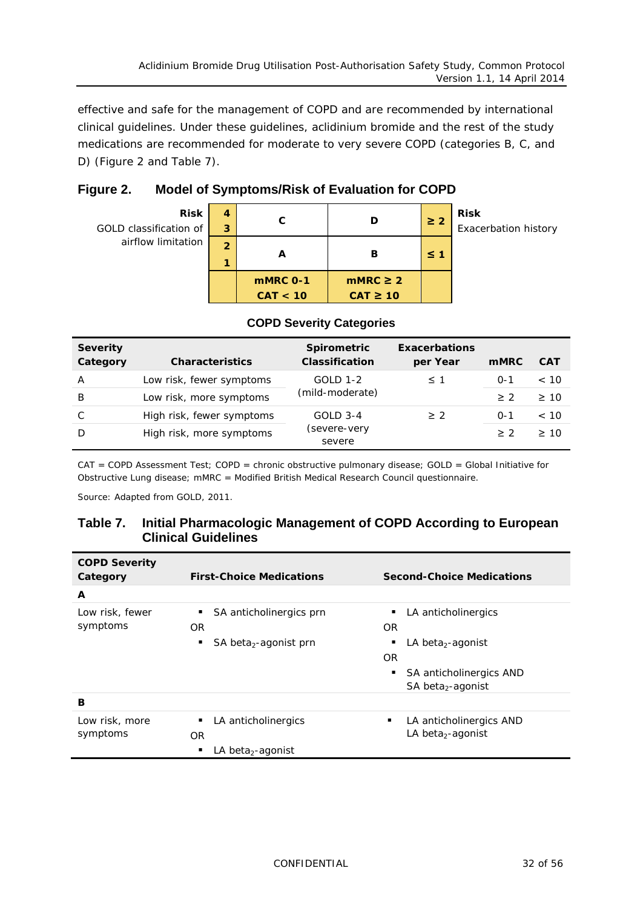effective and safe for the management of COPD and are recommended by international clinical guidelines. Under these guidelines, aclidinium bromide and the rest of the study medications are recommended for moderate to very severe COPD (categories B, C, and D) [\(Figure](#page-31-1) 2 and [Table](#page-31-0) 7).

<span id="page-31-1"></span>

| Figure 2. | Model of Symptoms/Risk of Evaluation for COPD |  |
|-----------|-----------------------------------------------|--|
|           |                                               |  |

| <b>Risk</b><br>GOLD classification of | 4<br>3              | С                    | D                              | $\geq 2$ | <b>Risk</b><br>Exacerbation history |
|---------------------------------------|---------------------|----------------------|--------------------------------|----------|-------------------------------------|
| airflow limitation                    | $\overline{2}$<br>и | A                    | в                              | $\leq 1$ |                                     |
|                                       |                     | mMRC 0-1<br>CAT < 10 | $mMRC \geq 2$<br>$CAT \geq 10$ |          |                                     |

| <b>Severity</b><br>Category   | <b>Characteristics</b>    | <b>Spirometric</b><br><b>Classification</b> | <b>Exacerbations</b><br>per Year | <b>mMRC</b> | <b>CAT</b> |
|-------------------------------|---------------------------|---------------------------------------------|----------------------------------|-------------|------------|
| A                             | Low risk, fewer symptoms  | <b>GOLD 1-2</b>                             | $\leq 1$                         | $O - 1$     | < 10       |
| B                             | Low risk, more symptoms   | (mild-moderate)                             |                                  | > 2         | >10        |
| C                             | High risk, fewer symptoms | $GOLD$ 3-4                                  | > 2                              | $O - 1$     | < 10       |
| High risk, more symptoms<br>D |                           | (severe-very<br>severe                      |                                  | $>$ 2       | >10        |

#### **COPD Severity Categories**

CAT = COPD Assessment Test; COPD = chronic obstructive pulmonary disease; GOLD = Global Initiative for Obstructive Lung disease; mMRC = Modified British Medical Research Council questionnaire.

<span id="page-31-0"></span>Source: Adapted from GOLD, 2011.

| Table 7. | Initial Pharmacologic Management of COPD According to European |
|----------|----------------------------------------------------------------|
|          | <b>Clinical Guidelines</b>                                     |

| <b>COPD Severity</b><br>Category | <b>First-Choice Medications</b>        | <b>Second-Choice Medications</b>   |  |  |  |  |
|----------------------------------|----------------------------------------|------------------------------------|--|--|--|--|
| A                                |                                        |                                    |  |  |  |  |
| Low risk, fewer                  | SA anticholinergics prn                | LA anticholinergics                |  |  |  |  |
| symptoms                         | <b>OR</b>                              | <b>OR</b>                          |  |  |  |  |
|                                  | SA beta <sub>2</sub> -agonist prn<br>٠ | LA beta <sub>2</sub> -agonist<br>٠ |  |  |  |  |
|                                  |                                        | OR                                 |  |  |  |  |
|                                  |                                        | SA anticholinergics AND<br>٠       |  |  |  |  |
|                                  |                                        | SA beta <sub>2</sub> -agonist      |  |  |  |  |
| в                                |                                        |                                    |  |  |  |  |
| Low risk, more                   | LA anticholinergics<br>٠               | LA anticholinergics AND<br>٠       |  |  |  |  |
| symptoms                         | <b>OR</b>                              | LA beta <sub>2</sub> -agonist      |  |  |  |  |
|                                  | LA beta <sub>2</sub> -agonist<br>٠     |                                    |  |  |  |  |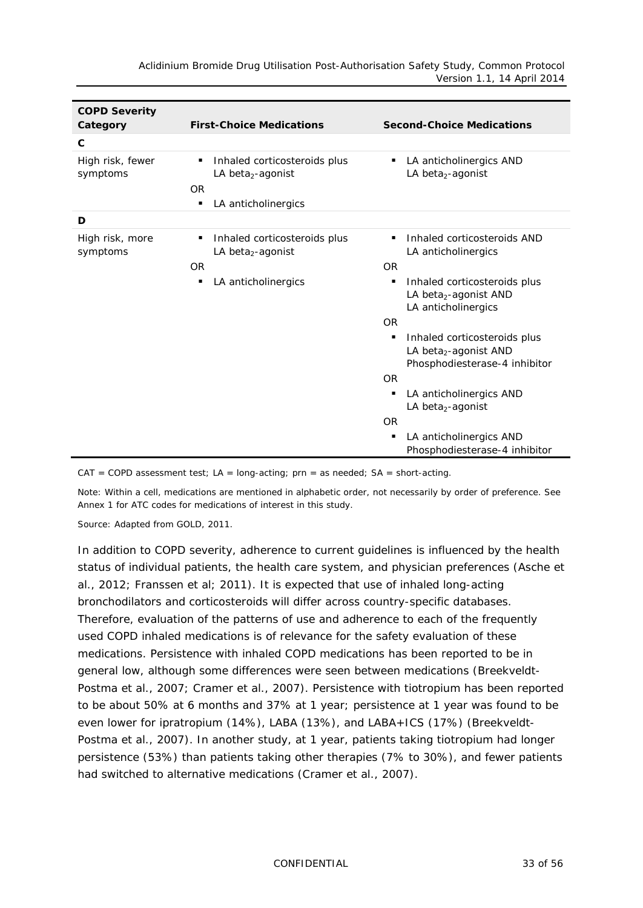| <b>COPD Severity</b><br>Category | <b>Second-Choice Medications</b>                                                                            |                                                                                                         |
|----------------------------------|-------------------------------------------------------------------------------------------------------------|---------------------------------------------------------------------------------------------------------|
| $\mathbf{C}$                     |                                                                                                             |                                                                                                         |
| High risk, fewer<br>symptoms     | Inhaled corticosteroids plus<br>٠<br>LA beta <sub>2</sub> -agonist<br><b>OR</b><br>LA anticholinergics<br>٠ | LA anticholinergics AND<br>٠<br>LA beta <sub>2</sub> -agonist                                           |
| D                                |                                                                                                             |                                                                                                         |
| High risk, more<br>symptoms      | Inhaled corticosteroids plus<br>٠<br>LA beta <sub>2</sub> -agonist<br><b>OR</b>                             | Inhaled corticosteroids AND<br>LA anticholinergics<br><b>OR</b>                                         |
|                                  | LA anticholinergics<br>п                                                                                    | Inhaled corticosteroids plus<br>٠<br>LA beta <sub>2</sub> -agonist AND<br>LA anticholinergics           |
|                                  |                                                                                                             | <b>OR</b>                                                                                               |
|                                  |                                                                                                             | Inhaled corticosteroids plus<br>٠<br>LA beta <sub>2</sub> -agonist AND<br>Phosphodiesterase-4 inhibitor |
|                                  |                                                                                                             | <b>OR</b>                                                                                               |
|                                  |                                                                                                             | LA anticholinergics AND<br>٠<br>LA beta <sub>2</sub> -agonist                                           |
|                                  |                                                                                                             | <b>OR</b>                                                                                               |
|                                  |                                                                                                             | LA anticholinergics AND<br>٠<br>Phosphodiesterase-4 inhibitor                                           |

 $CAT = COPD$  assessment test;  $LA = long-acting$ ;  $prn = as needed$ ;  $SA = short-acting$ .

Note: Within a cell, medications are mentioned in alphabetic order, not necessarily by order of preference. See Annex 1 for ATC codes for medications of interest in this study.

Source: Adapted from GOLD, 2011.

In addition to COPD severity, adherence to current guidelines is influenced by the health status of individual patients, the health care system, and physician preferences (Asche et al., 2012; Franssen et al; 2011). It is expected that use of inhaled long-acting bronchodilators and corticosteroids will differ across country-specific databases. Therefore, evaluation of the patterns of use and adherence to each of the frequently used COPD inhaled medications is of relevance for the safety evaluation of these medications. Persistence with inhaled COPD medications has been reported to be in general low, although some differences were seen between medications (Breekveldt-Postma et al., 2007; Cramer et al., 2007). Persistence with tiotropium has been reported to be about 50% at 6 months and 37% at 1 year; persistence at 1 year was found to be even lower for ipratropium (14%), LABA (13%), and LABA+ICS (17%) (Breekveldt-Postma et al., 2007). In another study, at 1 year, patients taking tiotropium had longer persistence (53%) than patients taking other therapies (7% to 30%), and fewer patients had switched to alternative medications (Cramer et al., 2007).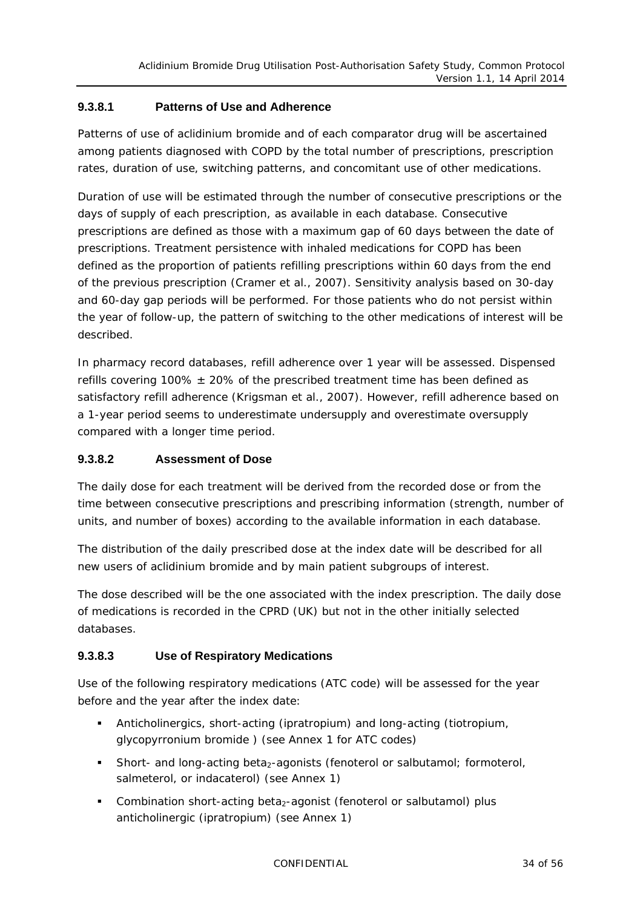#### **9.3.8.1 Patterns of Use and Adherence**

Patterns of use of aclidinium bromide and of each comparator drug will be ascertained among patients diagnosed with COPD by the total number of prescriptions, prescription rates, duration of use, switching patterns, and concomitant use of other medications.

*Duration* of use will be estimated through the number of consecutive prescriptions or the days of supply of each prescription, as available in each database. Consecutive prescriptions are defined as those with a maximum gap of 60 days between the date of prescriptions. Treatment persistence with inhaled medications for COPD has been defined as the proportion of patients refilling prescriptions within 60 days from the end of the previous prescription (Cramer et al., 2007). Sensitivity analysis based on 30-day and 60-day gap periods will be performed. For those patients who do not persist within the year of follow-up, the pattern of switching to the other medications of interest will be described.

In pharmacy record databases, refill adherence over 1 year will be assessed. Dispensed refills covering 100%  $\pm$  20% of the prescribed treatment time has been defined as satisfactory refill adherence (Krigsman et al., 2007). However, refill adherence based on a 1-year period seems to underestimate undersupply and overestimate oversupply compared with a longer time period.

#### **9.3.8.2 Assessment of Dose**

The daily dose for each treatment will be derived from the recorded dose or from the time between consecutive prescriptions and prescribing information (strength, number of units, and number of boxes) according to the available information in each database.

The distribution of the daily prescribed dose at the index date will be described for all new users of aclidinium bromide and by main patient subgroups of interest.

The dose described will be the one associated with the index prescription. The daily dose of medications is recorded in the CPRD (UK) but not in the other initially selected databases.

#### **9.3.8.3 Use of Respiratory Medications**

Use of the following respiratory medications (ATC code) will be assessed for the year before and the year after the index date:

- Anticholinergics, short-acting (ipratropium) and long-acting (tiotropium, glycopyrronium bromide ) (see Annex 1 for ATC codes)
- Short- and long-acting beta<sub>2</sub>-agonists (fenoterol or salbutamol; formoterol, salmeterol, or indacaterol) (see Annex 1)
- Combination short-acting beta<sub>2</sub>-agonist (fenoterol or salbutamol) plus anticholinergic (ipratropium) (see Annex 1)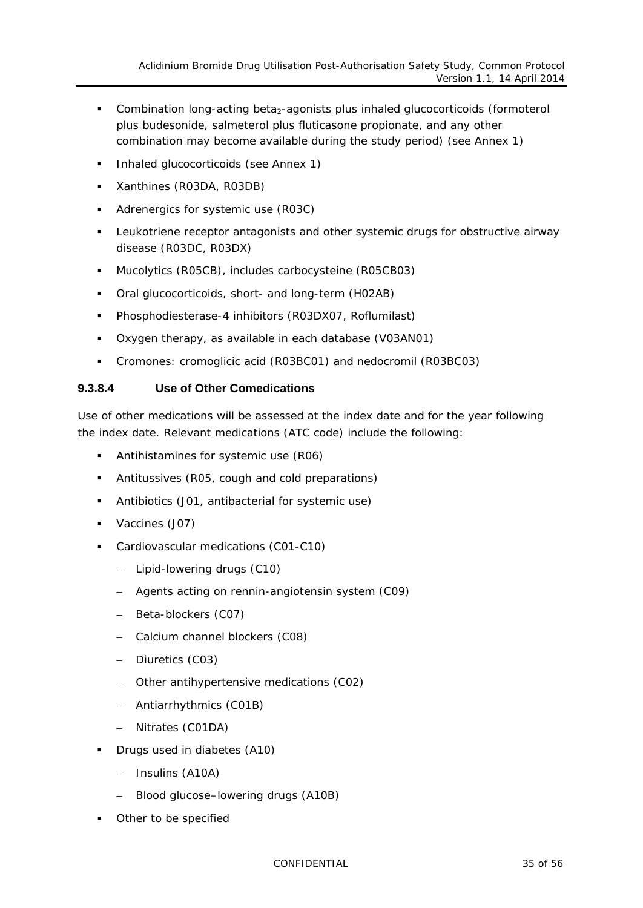- Combination long-acting beta<sub>2</sub>-agonists plus inhaled glucocorticoids (formoterol plus budesonide, salmeterol plus fluticasone propionate, and any other combination may become available during the study period) (see Annex 1)
- **Inhaled glucocorticoids (see Annex 1)**
- **Xanthines (R03DA, R03DB)**
- Adrenergics for systemic use (R03C)
- Leukotriene receptor antagonists and other systemic drugs for obstructive airway disease (R03DC, R03DX)
- Mucolytics (R05CB), includes carbocysteine (R05CB03)
- Oral glucocorticoids, short- and long-term (H02AB)
- Phosphodiesterase-4 inhibitors (R03DX07, Roflumilast)
- Oxygen therapy, as available in each database (V03AN01)
- Cromones: cromoglicic acid (R03BC01) and nedocromil (R03BC03)

#### **9.3.8.4 Use of Other Comedications**

Use of other medications will be assessed at the index date and for the year following the index date. Relevant medications (ATC code) include the following:

- **Antihistamines for systemic use (R06)**
- Antitussives (R05, cough and cold preparations)
- Antibiotics (J01, antibacterial for systemic use)
- **Vaccines (J07)**
- Cardiovascular medications (C01-C10)
	- − Lipid-lowering drugs (C10)
	- − Agents acting on rennin-angiotensin system (C09)
	- − Beta-blockers (C07)
	- − Calcium channel blockers (C08)
	- − Diuretics (C03)
	- − Other antihypertensive medications (C02)
	- − Antiarrhythmics (C01B)
	- − Nitrates (C01DA)
- Drugs used in diabetes (A10)
	- − Insulins (A10A)
	- − Blood glucose–lowering drugs (A10B)
- Other to be specified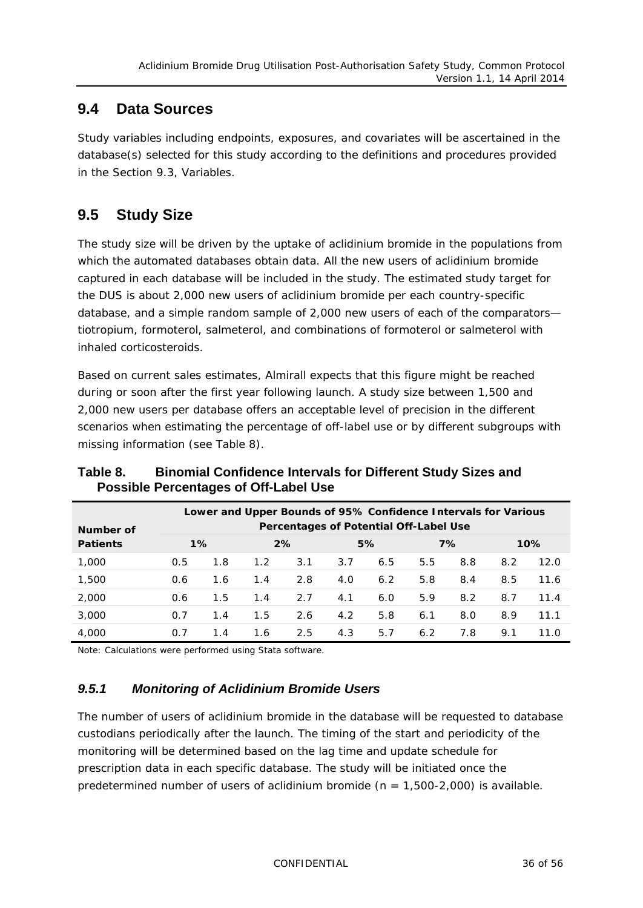### <span id="page-35-0"></span>**9.4 Data Sources**

Study variables including endpoints, exposures, and covariates will be ascertained in the database(s) selected for this study according to the definitions and procedures provided in the Section [9.3,](#page-23-0) Variables.

### <span id="page-35-1"></span>**9.5 Study Size**

The study size will be driven by the uptake of aclidinium bromide in the populations from which the automated databases obtain data. All the new users of aclidinium bromide captured in each database will be included in the study. The estimated study target for the DUS is about 2,000 new users of aclidinium bromide per each country-specific database, and a simple random sample of 2,000 new users of each of the comparators tiotropium, formoterol, salmeterol, and combinations of formoterol or salmeterol with inhaled corticosteroids.

Based on current sales estimates, Almirall expects that this figure might be reached during or soon after the first year following launch. A study size between 1,500 and 2,000 new users per database offers an acceptable level of precision in the different scenarios when estimating the percentage of off-label use or by different subgroups with missing information (see [Table](#page-35-3) 8).

| Lower and Upper Bounds of 95% Confidence Intervals for Various<br>Percentages of Potential Off-Label Use<br>Number of |       |     |     |     |     |     |     |     |     |      |
|-----------------------------------------------------------------------------------------------------------------------|-------|-----|-----|-----|-----|-----|-----|-----|-----|------|
| <b>Patients</b>                                                                                                       | $1\%$ |     | 2%  |     | 5%  |     | 7%  |     | 10% |      |
| 1,000                                                                                                                 | 0.5   | 1.8 | 1.2 | 3.1 | 3.7 | 6.5 | 5.5 | 8.8 | 8.2 | 12.0 |
| 1,500                                                                                                                 | 0.6   | 1.6 | 1.4 | 2.8 | 4.0 | 6.2 | 5.8 | 8.4 | 8.5 | 11.6 |
| 2,000                                                                                                                 | 0.6   | 1.5 | 1.4 | 2.7 | 4.1 | 6.0 | 5.9 | 8.2 | 8.7 | 11.4 |
| 3,000                                                                                                                 | 0.7   | 1.4 | 1.5 | 2.6 | 4.2 | 5.8 | 6.1 | 8.0 | 8.9 | 11.1 |
| 4,000                                                                                                                 | 0.7   | 1.4 | 1.6 | 2.5 | 4.3 | 5.7 | 6.2 | 7.8 | 9.1 | 11 N |

#### <span id="page-35-3"></span>**Table 8. Binomial Confidence Intervals for Different Study Sizes and Possible Percentages of Off-Label Use**

<span id="page-35-2"></span>Note: Calculations were performed using Stata software.

#### *9.5.1 Monitoring of Aclidinium Bromide Users*

The number of users of aclidinium bromide in the database will be requested to database custodians periodically after the launch. The timing of the start and periodicity of the monitoring will be determined based on the lag time and update schedule for prescription data in each specific database. The study will be initiated once the predetermined number of users of aclidinium bromide ( $n = 1,500-2,000$ ) is available.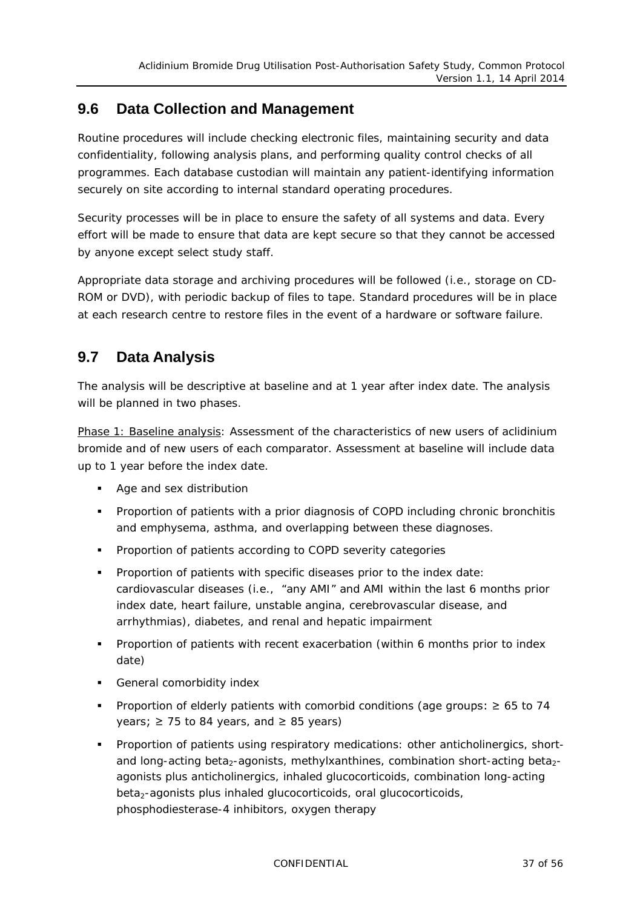### <span id="page-36-0"></span>**9.6 Data Collection and Management**

Routine procedures will include checking electronic files, maintaining security and data confidentiality, following analysis plans, and performing quality control checks of all programmes. Each database custodian will maintain any patient-identifying information securely on site according to internal standard operating procedures.

Security processes will be in place to ensure the safety of all systems and data. Every effort will be made to ensure that data are kept secure so that they cannot be accessed by anyone except select study staff.

Appropriate data storage and archiving procedures will be followed (i.e., storage on CD-ROM or DVD), with periodic backup of files to tape. Standard procedures will be in place at each research centre to restore files in the event of a hardware or software failure.

### <span id="page-36-1"></span>**9.7 Data Analysis**

The analysis will be descriptive at baseline and at 1 year after index date. The analysis will be planned in two phases.

Phase 1: Baseline analysis: Assessment of the characteristics of new users of aclidinium bromide and of new users of each comparator. Assessment at baseline will include data up to 1 year before the index date.

- **Age and sex distribution**
- Proportion of patients with a prior diagnosis of COPD including chronic bronchitis and emphysema, asthma, and overlapping between these diagnoses.
- **Proportion of patients according to COPD severity categories**
- **Proportion of patients with specific diseases prior to the index date:** cardiovascular diseases (i.e., "any AMI" and AMI within the last 6 months prior index date, heart failure, unstable angina, cerebrovascular disease, and arrhythmias), diabetes, and renal and hepatic impairment
- **Proportion of patients with recent exacerbation (within 6 months prior to index** date)
- **General comorbidity index**
- Proportion of elderly patients with comorbid conditions (age groups: ≥ 65 to 74 years;  $\geq$  75 to 84 years, and  $\geq$  85 years)
- **Proportion of patients using respiratory medications: other anticholinergics, short**and long-acting beta<sub>2</sub>-agonists, methylxanthines, combination short-acting beta<sub>2</sub>agonists plus anticholinergics, inhaled glucocorticoids, combination long-acting beta<sub>2</sub>-agonists plus inhaled glucocorticoids, oral glucocorticoids, phosphodiesterase-4 inhibitors, oxygen therapy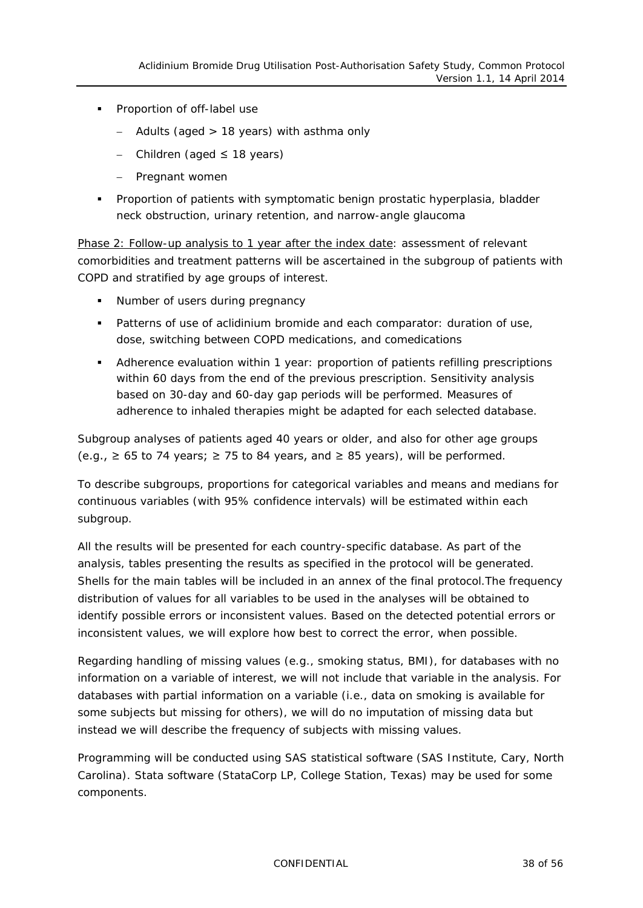- **Proportion of off-label use** 
	- − Adults (aged > 18 years) with asthma only
	- − Children (aged ≤ 18 years)
	- − Pregnant women
- **Proportion of patients with symptomatic benign prostatic hyperplasia, bladder** neck obstruction, urinary retention, and narrow-angle glaucoma

Phase 2: Follow-up analysis to 1 year after the index date: assessment of relevant comorbidities and treatment patterns will be ascertained in the subgroup of patients with COPD and stratified by age groups of interest.

- Number of users during pregnancy
- Patterns of use of aclidinium bromide and each comparator: duration of use, dose, switching between COPD medications, and comedications
- Adherence evaluation within 1 year: proportion of patients refilling prescriptions within 60 days from the end of the previous prescription. Sensitivity analysis based on 30-day and 60-day gap periods will be performed. Measures of adherence to inhaled therapies might be adapted for each selected database.

Subgroup analyses of patients aged 40 years or older, and also for other age groups (e.g.,  $\geq$  65 to 74 years;  $\geq$  75 to 84 years, and  $\geq$  85 years), will be performed.

To describe subgroups, proportions for categorical variables and means and medians for continuous variables (with 95% confidence intervals) will be estimated within each subgroup.

All the results will be presented for each country-specific database. As part of the analysis, tables presenting the results as specified in the protocol will be generated. Shells for the main tables will be included in an annex of the final protocol.The frequency distribution of values for all variables to be used in the analyses will be obtained to identify possible errors or inconsistent values. Based on the detected potential errors or inconsistent values, we will explore how best to correct the error, when possible.

Regarding handling of missing values (e.g., smoking status, BMI), for databases with no information on a variable of interest, we will not include that variable in the analysis. For databases with partial information on a variable (i.e., data on smoking is available for some subjects but missing for others), we will do no imputation of missing data but instead we will describe the frequency of subjects with missing values.

Programming will be conducted using SAS statistical software (SAS Institute, Cary, North Carolina). Stata software (StataCorp LP, College Station, Texas) may be used for some components.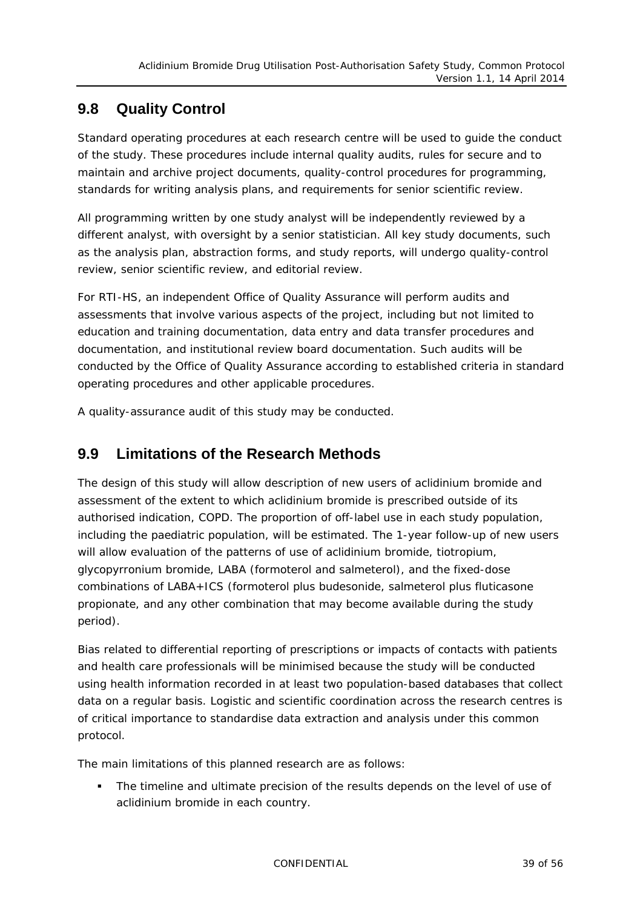### <span id="page-38-0"></span>**9.8 Quality Control**

Standard operating procedures at each research centre will be used to guide the conduct of the study. These procedures include internal quality audits, rules for secure and to maintain and archive project documents, quality-control procedures for programming, standards for writing analysis plans, and requirements for senior scientific review.

All programming written by one study analyst will be independently reviewed by a different analyst, with oversight by a senior statistician. All key study documents, such as the analysis plan, abstraction forms, and study reports, will undergo quality-control review, senior scientific review, and editorial review.

For RTI-HS, an independent Office of Quality Assurance will perform audits and assessments that involve various aspects of the project, including but not limited to education and training documentation, data entry and data transfer procedures and documentation, and institutional review board documentation. Such audits will be conducted by the Office of Quality Assurance according to established criteria in standard operating procedures and other applicable procedures.

<span id="page-38-1"></span>A quality-assurance audit of this study may be conducted.

### **9.9 Limitations of the Research Methods**

The design of this study will allow description of new users of aclidinium bromide and assessment of the extent to which aclidinium bromide is prescribed outside of its authorised indication, COPD. The proportion of off-label use in each study population, including the paediatric population, will be estimated. The 1-year follow-up of new users will allow evaluation of the patterns of use of aclidinium bromide, tiotropium, glycopyrronium bromide, LABA (formoterol and salmeterol), and the fixed-dose combinations of LABA+ICS (formoterol plus budesonide, salmeterol plus fluticasone propionate, and any other combination that may become available during the study period).

Bias related to differential reporting of prescriptions or impacts of contacts with patients and health care professionals will be minimised because the study will be conducted using health information recorded in at least two population-based databases that collect data on a regular basis. Logistic and scientific coordination across the research centres is of critical importance to standardise data extraction and analysis under this common protocol.

The main limitations of this planned research are as follows:

 The timeline and ultimate precision of the results depends on the level of use of aclidinium bromide in each country.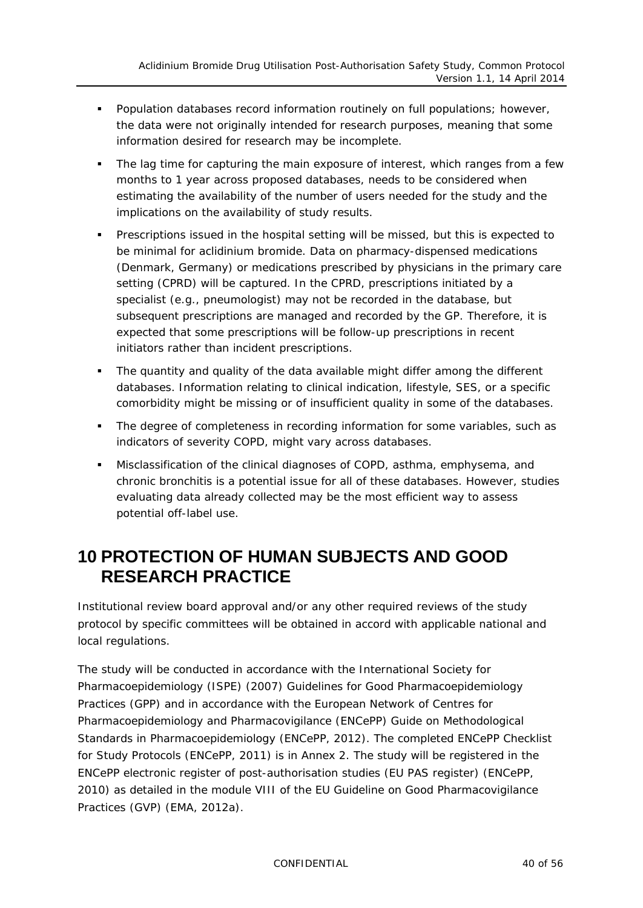- Population databases record information routinely on full populations; however, the data were not originally intended for research purposes, meaning that some information desired for research may be incomplete.
- The lag time for capturing the main exposure of interest, which ranges from a few months to 1 year across proposed databases, needs to be considered when estimating the availability of the number of users needed for the study and the implications on the availability of study results.
- Prescriptions issued in the hospital setting will be missed, but this is expected to be minimal for aclidinium bromide. Data on pharmacy-dispensed medications (Denmark, Germany) or medications prescribed by physicians in the primary care setting (CPRD) will be captured. In the CPRD, prescriptions initiated by a specialist (e.g., pneumologist) may not be recorded in the database, but subsequent prescriptions are managed and recorded by the GP. Therefore, it is expected that some prescriptions will be follow-up prescriptions in recent initiators rather than incident prescriptions.
- The quantity and quality of the data available might differ among the different databases. Information relating to clinical indication, lifestyle, SES, or a specific comorbidity might be missing or of insufficient quality in some of the databases.
- The degree of completeness in recording information for some variables, such as indicators of severity COPD, might vary across databases.
- Misclassification of the clinical diagnoses of COPD, asthma, emphysema, and chronic bronchitis is a potential issue for all of these databases. However, studies evaluating data already collected may be the most efficient way to assess potential off-label use.

### <span id="page-39-0"></span>**10 PROTECTION OF HUMAN SUBJECTS AND GOOD RESEARCH PRACTICE**

Institutional review board approval and/or any other required reviews of the study protocol by specific committees will be obtained in accord with applicable national and local regulations.

The study will be conducted in accordance with the International Society for Pharmacoepidemiology (ISPE) (2007) Guidelines for Good Pharmacoepidemiology Practices (GPP) and in accordance with the European Network of Centres for Pharmacoepidemiology and Pharmacovigilance (ENCePP) Guide on Methodological Standards in Pharmacoepidemiology (ENCePP, 2012). The completed ENCePP Checklist for Study Protocols (ENCePP, 2011) is in Annex 2. The study will be registered in the ENCePP electronic register of post-authorisation studies (EU PAS register) (ENCePP, 2010) as detailed in the module VIII of the EU Guideline on Good Pharmacovigilance Practices (GVP) (EMA, 2012a).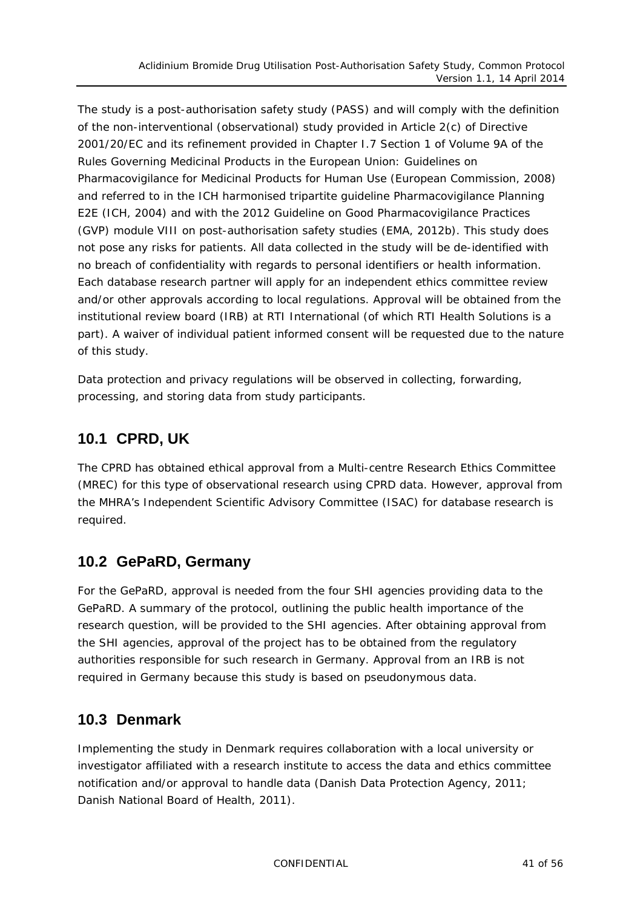The study is a post-authorisation safety study (PASS) and will comply with the definition of the non-interventional (observational) study provided in Article 2(c) of Directive 2001/20/EC and its refinement provided in Chapter I.7 Section 1 of Volume 9A of the Rules Governing Medicinal Products in the European Union: Guidelines on Pharmacovigilance for Medicinal Products for Human Use (European Commission, 2008) and referred to in the ICH harmonised tripartite guideline Pharmacovigilance Planning E2E (ICH, 2004) and with the 2012 Guideline on Good Pharmacovigilance Practices (GVP) module VIII on post-authorisation safety studies (EMA, 2012b). This study does not pose any risks for patients. All data collected in the study will be de-identified with no breach of confidentiality with regards to personal identifiers or health information. Each database research partner will apply for an independent ethics committee review and/or other approvals according to local regulations. Approval will be obtained from the institutional review board (IRB) at RTI International (of which RTI Health Solutions is a part). A waiver of individual patient informed consent will be requested due to the nature of this study.

Data protection and privacy regulations will be observed in collecting, forwarding, processing, and storing data from study participants.

### <span id="page-40-0"></span>**10.1 CPRD, UK**

The CPRD has obtained ethical approval from a Multi-centre Research Ethics Committee (MREC) for this type of observational research using CPRD data. However, approval from the MHRA's Independent Scientific Advisory Committee [\(ISAC\)](http://www.gprd.com/ISAC/default.asp) for database research is required.

### <span id="page-40-1"></span>**10.2 GePaRD, Germany**

For the GePaRD, approval is needed from the four SHI agencies providing data to the GePaRD. A summary of the protocol, outlining the public health importance of the research question, will be provided to the SHI agencies. After obtaining approval from the SHI agencies, approval of the project has to be obtained from the regulatory authorities responsible for such research in Germany. Approval from an IRB is not required in Germany because this study is based on pseudonymous data.

### <span id="page-40-2"></span>**10.3 Denmark**

Implementing the study in Denmark requires collaboration with a local university or investigator affiliated with a research institute to access the data and ethics committee notification and/or approval to handle data (Danish Data Protection Agency, 2011; Danish National Board of Health, 2011).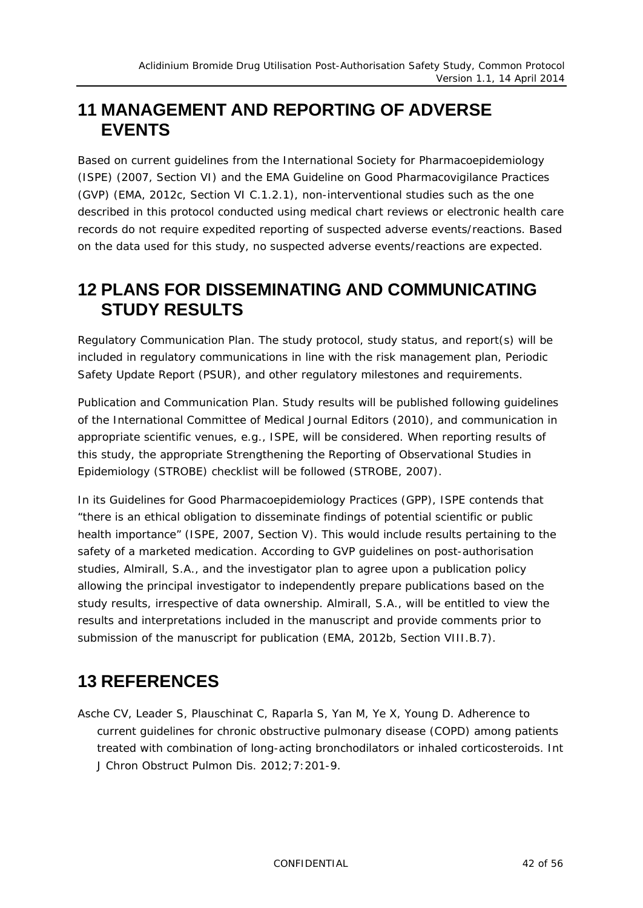### <span id="page-41-0"></span>**11 MANAGEMENT AND REPORTING OF ADVERSE EVENTS**

Based on current guidelines from the International Society for Pharmacoepidemiology (ISPE) (2007, Section VI) and the EMA Guideline on Good Pharmacovigilance Practices (GVP) (EMA, 2012c, Section VI C.1.2.1), non-interventional studies such as the one described in this protocol conducted using medical chart reviews or electronic health care records do not require expedited reporting of suspected adverse events/reactions. Based on the data used for this study, no suspected adverse events/reactions are expected.

### <span id="page-41-1"></span>**12 PLANS FOR DISSEMINATING AND COMMUNICATING STUDY RESULTS**

*Regulatory Communication Plan*. The study protocol, study status, and report(s) will be included in regulatory communications in line with the risk management plan, Periodic Safety Update Report (PSUR), and other regulatory milestones and requirements.

*Publication and Communication Plan*. Study results will be published following guidelines of the International Committee of Medical Journal Editors (2010), and communication in appropriate scientific venues, e.g., ISPE, will be considered. When reporting results of this study, the appropriate Strengthening the Reporting of Observational Studies in Epidemiology (STROBE) checklist will be followed (STROBE, 2007).

In its Guidelines for Good Pharmacoepidemiology Practices (GPP), ISPE contends that "there is an ethical obligation to disseminate findings of potential scientific or public health importance" (ISPE, 2007, Section V). This would include results pertaining to the safety of a marketed medication. According to GVP guidelines on post-authorisation studies, Almirall, S.A., and the investigator plan to agree upon a publication policy allowing the principal investigator to independently prepare publications based on the study results, irrespective of data ownership. Almirall, S.A., will be entitled to view the results and interpretations included in the manuscript and provide comments prior to submission of the manuscript for publication (EMA, 2012b, Section VIII.B.7).

## <span id="page-41-2"></span>**13 REFERENCES**

Asche CV, Leader S, Plauschinat C, Raparla S, Yan M, Ye X, Young D. Adherence to current guidelines for chronic obstructive pulmonary disease (COPD) among patients treated with combination of long-acting bronchodilators or inhaled corticosteroids. Int J Chron Obstruct Pulmon Dis. 2012;7:201-9.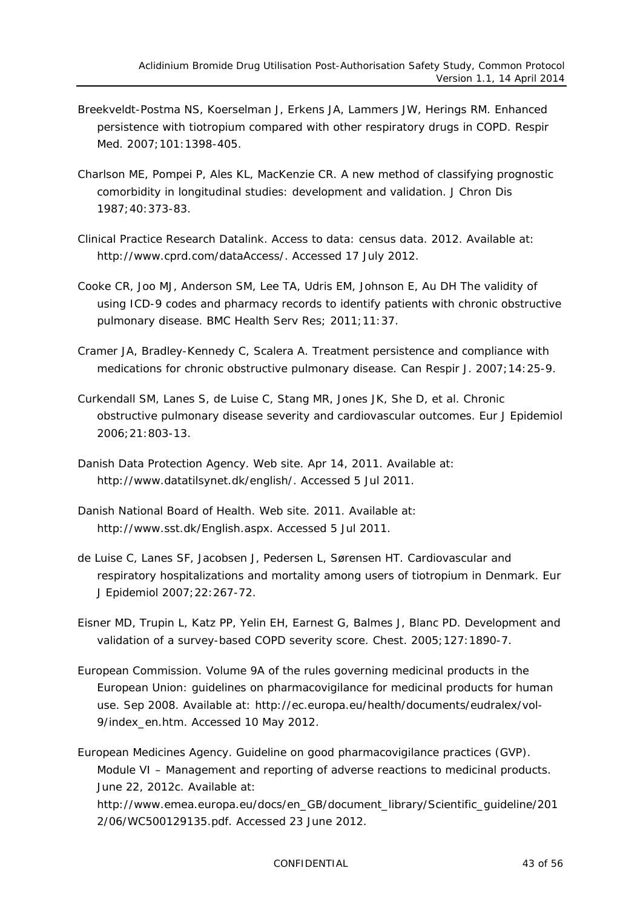- Breekveldt-Postma NS, Koerselman J, Erkens JA, Lammers JW, Herings RM. Enhanced persistence with tiotropium compared with other respiratory drugs in COPD. Respir Med. 2007;101:1398-405.
- Charlson ME, Pompei P, Ales KL, MacKenzie CR. A new method of classifying prognostic comorbidity in longitudinal studies: development and validation. J Chron Dis 1987;40:373-83.
- Clinical Practice Research Datalink. Access to data: census data. 2012. Available at: [http://www.cprd.com/dataAccess/.](http://www.cprd.com/dataAccess/) Accessed 17 July 2012.
- Cooke CR, Joo MJ, Anderson SM, Lee TA, Udris EM, Johnson E, Au DH The validity of using ICD-9 codes and pharmacy records to identify patients with chronic obstructive pulmonary disease. BMC Health Serv Res; 2011;11:37.
- Cramer JA, Bradley-Kennedy C, Scalera A. [Treatment persistence and compliance with](http://www.ncbi.nlm.nih.gov/pubmed/17315055)  [medications for chronic obstructive pulmonary disease.](http://www.ncbi.nlm.nih.gov/pubmed/17315055) Can Respir J. 2007;14:25-9.
- Curkendall SM, Lanes S, de Luise C, Stang MR, Jones JK, She D, et al. Chronic obstructive pulmonary disease severity and cardiovascular outcomes. Eur J Epidemiol 2006;21:803-13.
- Danish Data Protection Agency. Web site. Apr 14, 2011. Available at: http://www.datatilsynet.dk/english/. Accessed 5 Jul 2011.
- Danish National Board of Health. Web site. 2011. Available at: [http://www.sst.dk/English.aspx. Accessed 5 Jul 2011.](http://www.sst.dk/English.aspx.%20Accessed%205%20Jul%202011)
- de Luise C, Lanes SF, Jacobsen J, Pedersen L, Sørensen HT. Cardiovascular and respiratory hospitalizations and mortality among users of tiotropium in Denmark. Eur J Epidemiol 2007;22:267-72.
- Eisner MD, Trupin L, Katz PP, Yelin EH, Earnest G, Balmes J, Blanc PD. Development and validation of a survey-based COPD severity score. Chest. 2005;127:1890-7.
- European Commission. Volume 9A of the rules governing medicinal products in the European Union: guidelines on pharmacovigilance for medicinal products for human use. Sep 2008. Available at: [http://ec.europa.eu/health/documents/eudralex/vol-](http://ec.europa.eu/health/documents/eudralex/vol-9/index_en.htm)[9/index\\_en.htm.](http://ec.europa.eu/health/documents/eudralex/vol-9/index_en.htm) Accessed 10 May 2012.

European Medicines Agency. Guideline on good pharmacovigilance practices (GVP). Module VI – Management and reporting of adverse reactions to medicinal products. June 22, 2012c. Available at:

[http://www.emea.europa.eu/docs/en\\_GB/document\\_library/Scientific\\_guideline/201](http://www.emea.europa.eu/docs/en_GB/document_library/Scientific_guideline/2012/06/WC500129135.pdf) [2/06/WC500129135.pdf.](http://www.emea.europa.eu/docs/en_GB/document_library/Scientific_guideline/2012/06/WC500129135.pdf) Accessed 23 June 2012.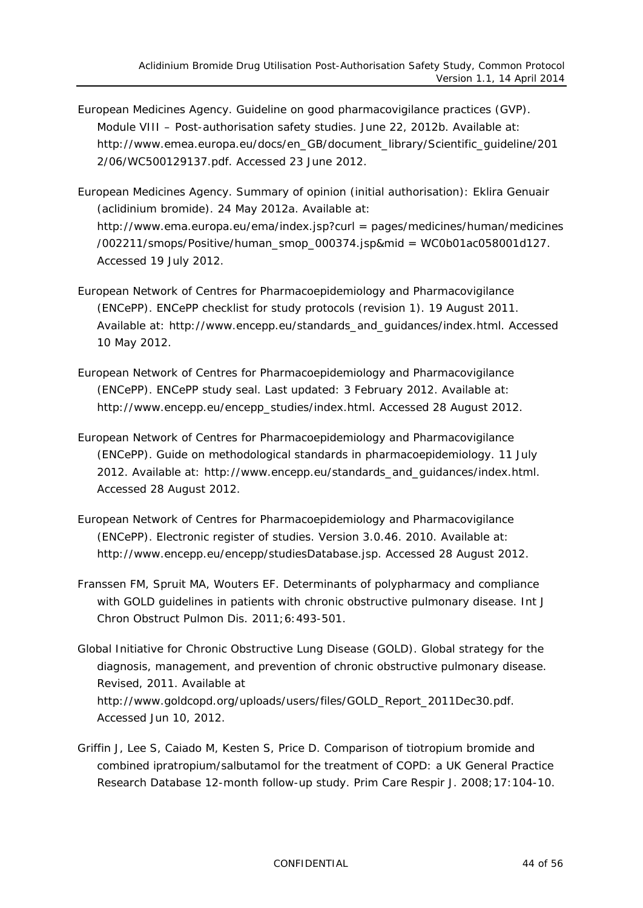- European Medicines Agency. Guideline on good pharmacovigilance practices (GVP). Module VIII – Post-authorisation safety studies. June 22, 2012b. Available at: [http://www.emea.europa.eu/docs/en\\_GB/document\\_library/Scientific\\_guideline/201](http://www.emea.europa.eu/docs/en_GB/document_library/Scientific_guideline/2012/06/WC500129137.pdf) [2/06/WC500129137.pdf.](http://www.emea.europa.eu/docs/en_GB/document_library/Scientific_guideline/2012/06/WC500129137.pdf) Accessed 23 June 2012.
- European Medicines Agency. Summary of opinion (initial authorisation): Eklira Genuair (aclidinium bromide). 24 May 2012a. Available at: [http://www.ema.europa.eu/ema/index.jsp?curl](http://www.ema.europa.eu/ema/index.jsp?curl=pages/medicines/human/medicines/002211/smops/Positive/human_smop_000374.jsp&mid=WC0b01ac058001d127) = pages/medicines/human/medicines [/002211/smops/Positive/human\\_smop\\_000374.jsp&mid](http://www.ema.europa.eu/ema/index.jsp?curl=pages/medicines/human/medicines/002211/smops/Positive/human_smop_000374.jsp&mid=WC0b01ac058001d127) = WC0b01ac058001d127. Accessed 19 July 2012.
- European Network of Centres for Pharmacoepidemiology and Pharmacovigilance (ENCePP). ENCePP checklist for study protocols (revision 1). 19 August 2011. Available at: [http://www.encepp.eu/standards\\_and\\_guidances/index.html.](http://www.encepp.eu/standards_and_guidances/index.html) Accessed 10 May 2012.
- European Network of Centres for Pharmacoepidemiology and Pharmacovigilance (ENCePP). ENCePP study seal. Last updated: 3 February 2012. Available at: [http://www.encepp.eu/encepp\\_studies/index.html.](http://www.encepp.eu/encepp_studies/index.html) Accessed 28 August 2012.
- European Network of Centres for Pharmacoepidemiology and Pharmacovigilance (ENCePP). Guide on methodological standards in pharmacoepidemiology. 11 July 2012. Available at: [http://www.encepp.eu/standards\\_and\\_guidances/index.html.](http://www.encepp.eu/standards_and_guidances/index.html) Accessed 28 August 2012.
- European Network of Centres for Pharmacoepidemiology and Pharmacovigilance (ENCePP). Electronic register of studies. Version 3.0.46. 2010. Available at: [http://www.encepp.eu/encepp/studiesDatabase.jsp.](http://www.encepp.eu/encepp/studiesDatabase.jsp) Accessed 28 August 2012.
- Franssen FM, Spruit MA, Wouters EF. Determinants of polypharmacy and compliance with GOLD guidelines in patients with chronic obstructive pulmonary disease. Int J Chron Obstruct Pulmon Dis. 2011;6:493-501.
- Global Initiative for Chronic Obstructive Lung Disease (GOLD). Global strategy for the diagnosis, management, and prevention of chronic obstructive pulmonary disease. Revised, 2011. Available at http://www.goldcopd.org/uploads/users/files/GOLD\_Report\_2011Dec30.pdf. Accessed Jun 10, 2012.
- Griffin J, Lee S, Caiado M, Kesten S, Price D. Comparison of tiotropium bromide and combined ipratropium/salbutamol for the treatment of COPD: a UK General Practice Research Database 12-month follow-up study. Prim Care Respir J. 2008;17:104-10.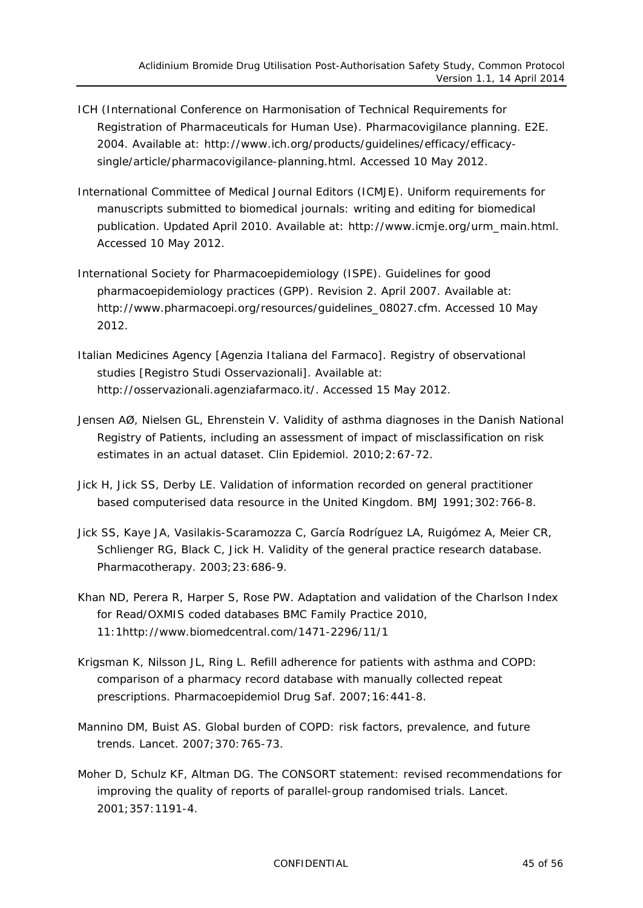- ICH (International Conference on Harmonisation of Technical Requirements for Registration of Pharmaceuticals for Human Use). Pharmacovigilance planning. E2E. 2004. Available at: [http://www.ich.org/products/guidelines/efficacy/efficacy](http://www.ich.org/products/guidelines/efficacy/efficacy-single/article/pharmacovigilance-planning.html)[single/article/pharmacovigilance-planning.html.](http://www.ich.org/products/guidelines/efficacy/efficacy-single/article/pharmacovigilance-planning.html) Accessed 10 May 2012.
- International Committee of Medical Journal Editors (ICMJE). Uniform requirements for manuscripts submitted to biomedical journals: writing and editing for biomedical publication. Updated April 2010. Available at: [http://www.icmje.org/urm\\_main.html.](http://www.icmje.org/urm_main.html) Accessed 10 May 2012.
- International Society for Pharmacoepidemiology (ISPE). Guidelines for good pharmacoepidemiology practices (GPP). Revision 2. April 2007. Available at: [http://www.pharmacoepi.org/resources/guidelines\\_08027.cfm.](http://www.pharmacoepi.org/resources/guidelines_08027.cfm) Accessed 10 May 2012.
- Italian Medicines Agency [Agenzia Italiana del Farmaco]. Registry of observational studies [Registro Studi Osservazionali]. Available at: [http://osservazionali.agenziafarmaco.it/.](http://osservazionali.agenziafarmaco.it/) Accessed 15 May 2012.
- Jensen AØ, Nielsen GL, Ehrenstein V. Validity of asthma diagnoses in the Danish National Registry of Patients, including an assessment of impact of misclassification on risk estimates in an actual dataset. Clin Epidemiol. 2010;2:67-72.
- Jick H, Jick SS, Derby LE. Validation of information recorded on general practitioner based computerised data resource in the United Kingdom. BMJ 1991;302:766-8.
- Jick SS, Kaye JA, Vasilakis-Scaramozza C, García Rodríguez LA, Ruigómez A, Meier CR, Schlienger RG, Black C, Jick H. Validity of the general practice research database. Pharmacotherapy. 2003;23:686-9.
- Khan ND, Perera R, Harper S, Rose PW. Adaptation and validation of the Charlson Index for Read/OXMIS coded databases BMC Family Practice 2010, 11:1http://www.biomedcentral.com/1471-2296/11/1
- Krigsman K, Nilsson JL, Ring L. Refill adherence for patients with asthma and COPD: comparison of a pharmacy record database with manually collected repeat prescriptions. Pharmacoepidemiol Drug Saf. 2007;16:441-8.
- Mannino DM, Buist AS. Global burden of COPD: risk factors, prevalence, and future trends. Lancet. 2007;370:765-73.
- Moher D, Schulz KF, Altman DG. The CONSORT statement: revised recommendations for improving the quality of reports of parallel-group randomised trials. Lancet. 2001;357:1191-4.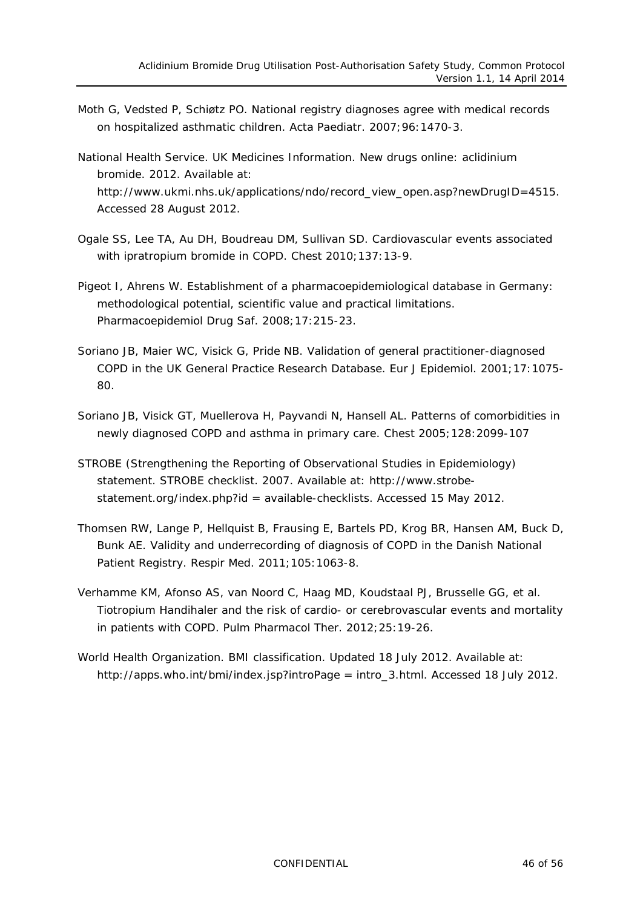- Moth G, Vedsted P, Schiøtz PO. National registry diagnoses agree with medical records on hospitalized asthmatic children. Acta Paediatr. 2007;96:1470-3.
- National Health Service. UK Medicines Information. New drugs online: aclidinium bromide. 2012. Available at: [http://www.ukmi.nhs.uk/applications/ndo/record\\_view\\_open.asp?newDrugID=4515.](http://www.ukmi.nhs.uk/applications/ndo/record_view_open.asp?newDrugID=4515) Accessed 28 August 2012.
- Ogale SS, Lee TA, Au DH, Boudreau DM, Sullivan SD. Cardiovascular events associated with ipratropium bromide in COPD. Chest 2010;137:13-9.
- Pigeot I, Ahrens W. Establishment of a pharmacoepidemiological database in Germany: methodological potential, scientific value and practical limitations. Pharmacoepidemiol Drug Saf. 2008;17:215-23.
- Soriano JB, Maier WC, Visick G, Pride NB. Validation of general practitioner-diagnosed COPD in the UK General Practice Research Database. Eur J Epidemiol. 2001;17:1075- 80.
- Soriano JB, Visick GT, Muellerova H, Payvandi N, Hansell AL. Patterns of comorbidities in newly diagnosed COPD and asthma in primary care. Chest 2005;128:2099-107
- STROBE (Strengthening the Reporting of Observational Studies in Epidemiology) statement. STROBE checklist. 2007. Available at: [http://www.strobe](http://www.strobe-statement.org/index.php?id=available-checklists)[statement.org/index.php?id](http://www.strobe-statement.org/index.php?id=available-checklists) = available-checklists. Accessed 15 May 2012.
- Thomsen RW, Lange P, Hellquist B, Frausing E, Bartels PD, Krog BR, Hansen AM, Buck D, Bunk AE. Validity and underrecording of diagnosis of COPD in the Danish National Patient Registry. Respir Med. 2011;105:1063-8.
- Verhamme KM, Afonso AS, van Noord C, Haag MD, Koudstaal PJ, Brusselle GG, et al. Tiotropium Handihaler and the risk of cardio- or cerebrovascular events and mortality in patients with COPD. Pulm Pharmacol Ther. 2012;25:19-26.
- World Health Organization. BMI classification. Updated 18 July 2012. Available at: [http://apps.who.int/bmi/index.jsp?introPage](http://apps.who.int/bmi/index.jsp?introPage=intro_3.html) = intro\_3.html. Accessed 18 July 2012.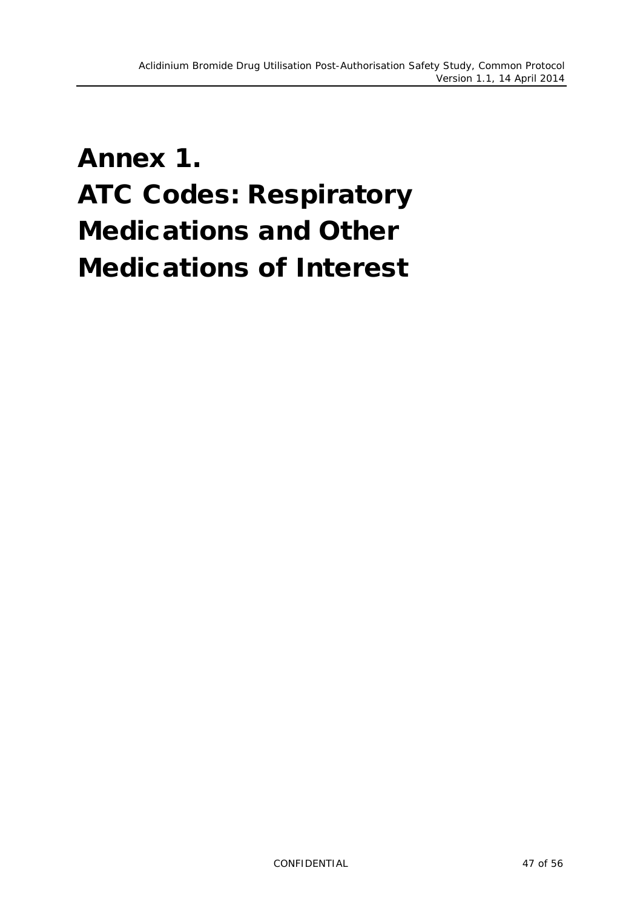# <span id="page-46-0"></span>Annex 1. ATC Codes: Respiratory Medications and Other Medications of Interest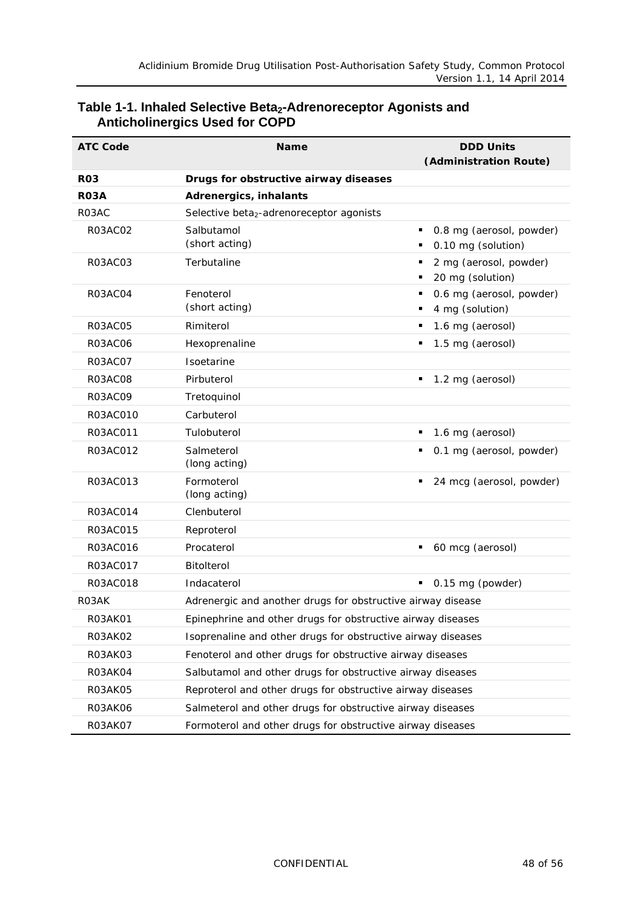| <b>ATC Code</b> | <b>DDD Units</b><br><b>Name</b><br>(Administration Route)    |                                                  |  |
|-----------------|--------------------------------------------------------------|--------------------------------------------------|--|
| <b>RO3</b>      | Drugs for obstructive airway diseases                        |                                                  |  |
| <b>RO3A</b>     | Adrenergics, inhalants                                       |                                                  |  |
| R03AC           | Selective beta <sub>2</sub> -adrenoreceptor agonists         |                                                  |  |
| <b>R03AC02</b>  | Salbutamol<br>(short acting)                                 | 0.8 mg (aerosol, powder)<br>0.10 mg (solution)   |  |
| R03AC03         | Terbutaline                                                  | 2 mg (aerosol, powder)<br>20 mg (solution)       |  |
| R03AC04         | Fenoterol<br>(short acting)                                  | 0.6 mg (aerosol, powder)<br>٠<br>4 mg (solution) |  |
| <b>R03AC05</b>  | Rimiterol                                                    | 1.6 mg (aerosol)<br>٠                            |  |
| <b>R03AC06</b>  | Hexoprenaline                                                | 1.5 mg (aerosol)<br>٠                            |  |
| R03AC07         | Isoetarine                                                   |                                                  |  |
| <b>R03AC08</b>  | Pirbuterol                                                   | 1.2 mg (aerosol)<br>٠                            |  |
| <b>R03AC09</b>  | Tretoquinol                                                  |                                                  |  |
| R03AC010        | Carbuterol                                                   |                                                  |  |
| R03AC011        | Tulobuterol                                                  | 1.6 mg (aerosol)                                 |  |
| R03AC012        | Salmeterol<br>(long acting)                                  | 0.1 mg (aerosol, powder)                         |  |
| R03AC013        | Formoterol<br>(long acting)                                  | 24 mcg (aerosol, powder)                         |  |
| R03AC014        | Clenbuterol                                                  |                                                  |  |
| R03AC015        | Reproterol                                                   |                                                  |  |
| R03AC016        | Procaterol                                                   | 60 mcg (aerosol)<br>٠                            |  |
| R03AC017        | Bitolterol                                                   |                                                  |  |
| R03AC018        | Indacaterol                                                  | 0.15 mg (powder)<br>٠                            |  |
| <b>RO3AK</b>    | Adrenergic and another drugs for obstructive airway disease  |                                                  |  |
| R03AK01         | Epinephrine and other drugs for obstructive airway diseases  |                                                  |  |
| <b>R03AK02</b>  | Isoprenaline and other drugs for obstructive airway diseases |                                                  |  |
| R03AK03         | Fenoterol and other drugs for obstructive airway diseases    |                                                  |  |
| R03AK04         | Salbutamol and other drugs for obstructive airway diseases   |                                                  |  |
| R03AK05         | Reproterol and other drugs for obstructive airway diseases   |                                                  |  |
| R03AK06         | Salmeterol and other drugs for obstructive airway diseases   |                                                  |  |
| R03AK07         | Formoterol and other drugs for obstructive airway diseases   |                                                  |  |

#### <span id="page-47-0"></span>Table 1-1. Inhaled Selective Beta<sub>2</sub>-Adrenoreceptor Agonists and **Anticholinergics Used for COPD**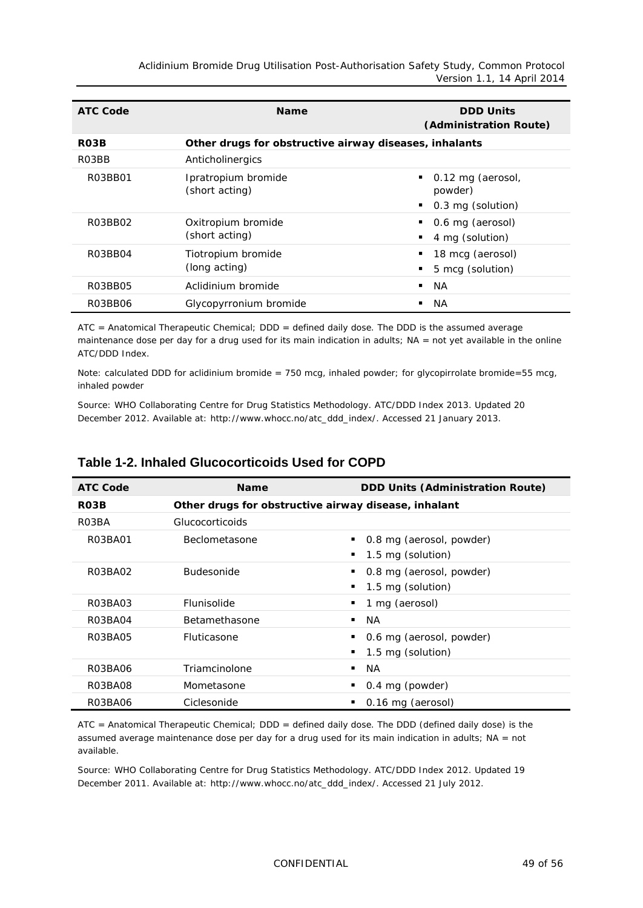*Aclidinium Bromide Drug Utilisation Post-Authorisation Safety Study, Common Protocol Version 1.1, 14 April 2014*

| <b>ATC Code</b>                  | <b>Name</b>                                            | <b>DDD Units</b><br>(Administration Route)                       |  |  |  |  |
|----------------------------------|--------------------------------------------------------|------------------------------------------------------------------|--|--|--|--|
| R <sub>0</sub> 3B                | Other drugs for obstructive airway diseases, inhalants |                                                                  |  |  |  |  |
| R03BB                            | Anticholinergics                                       |                                                                  |  |  |  |  |
| R03BB01                          | Ipratropium bromide<br>(short acting)                  | $\blacksquare$ 0.12 mg (aerosol,<br>powder)<br>0.3 mg (solution) |  |  |  |  |
| R03BB02                          | Oxitropium bromide<br>(short acting)                   | 0.6 mg (aerosol)<br>4 mg (solution)                              |  |  |  |  |
| R <sub>0</sub> 3BB <sub>04</sub> | Tiotropium bromide<br>(long acting)                    | 18 mcg (aerosol)<br>5 mcg (solution)                             |  |  |  |  |
| R03BB05                          | Aclidinium bromide                                     | NA.                                                              |  |  |  |  |
| R03BB06                          | Glycopyrronium bromide                                 | NA.                                                              |  |  |  |  |

ATC = Anatomical Therapeutic Chemical; DDD = defined daily dose. The DDD is the assumed average maintenance dose per day for a drug used for its main indication in adults; NA = not yet available in the online ATC/DDD Index.

Note: calculated DDD for aclidinium bromide = 750 mcg, inhaled powder; for glycopirrolate bromide=55 mcg, inhaled powder

Source: WHO Collaborating Centre for Drug Statistics Methodology. ATC/DDD Index 2013. Updated 20 December 2012. Available at: [http://www.whocc.no/atc\\_ddd\\_index/.](http://www.whocc.no/atc_ddd_index/) Accessed 21 January 2013.

| <b>ATC Code</b> | <b>Name</b>            | <b>DDD Units (Administration Route)</b>              |  |  |  |  |
|-----------------|------------------------|------------------------------------------------------|--|--|--|--|
| RO3B            |                        | Other drugs for obstructive airway disease, inhalant |  |  |  |  |
| R03BA           | <b>Glucocorticoids</b> |                                                      |  |  |  |  |
| R03BA01         | <b>Beclometasone</b>   | 0.8 mg (aerosol, powder)                             |  |  |  |  |
|                 |                        | 1.5 mg (solution)                                    |  |  |  |  |
| R03BA02         | <b>Budesonide</b>      | 0.8 mg (aerosol, powder)                             |  |  |  |  |
|                 |                        | 1.5 mg (solution)                                    |  |  |  |  |
| R03BA03         | Flunisolide            | 1 mg (aerosol)                                       |  |  |  |  |
| R03BA04         | <b>Betamethasone</b>   | NA.<br>٠                                             |  |  |  |  |
| R03BA05         | <b>Fluticasone</b>     | 0.6 mg (aerosol, powder)                             |  |  |  |  |
|                 |                        | 1.5 mg (solution)                                    |  |  |  |  |
| R03BA06         | Triamcinolone          | NA.                                                  |  |  |  |  |
| R03BA08         | Mometasone             | 0.4 mg (powder)                                      |  |  |  |  |
| R03BA06         | Ciclesonide            | 0.16 mg (aerosol)                                    |  |  |  |  |

#### <span id="page-48-0"></span>**Table 1-2. Inhaled Glucocorticoids Used for COPD**

ATC = Anatomical Therapeutic Chemical; DDD = defined daily dose. The DDD (defined daily dose) is the assumed average maintenance dose per day for a drug used for its main indication in adults; NA = not available.

Source: WHO Collaborating Centre for Drug Statistics Methodology. ATC/DDD Index 2012. Updated 19 December 2011. Available at: [http://www.whocc.no/atc\\_ddd\\_index/.](http://www.whocc.no/atc_ddd_index/) Accessed 21 July 2012.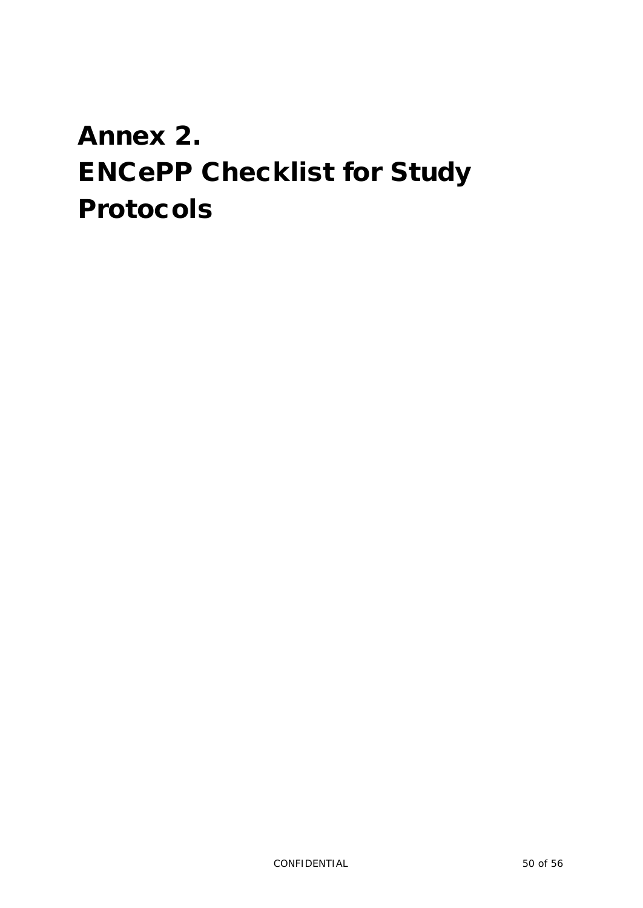# <span id="page-49-0"></span>Annex 2. ENCePP Checklist for Study Protocols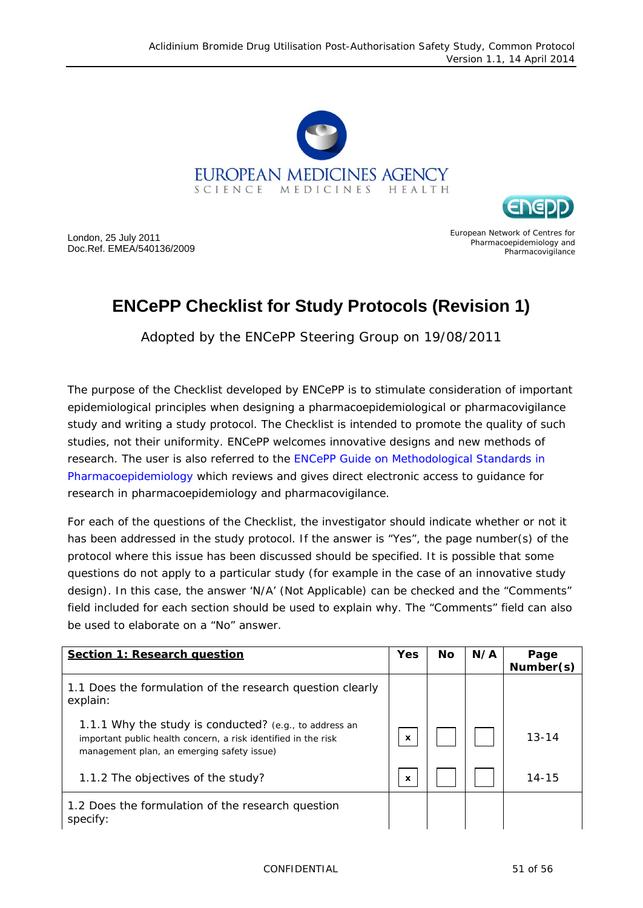



London, 25 July 2011 Doc.Ref. EMEA/540136/2009 European Network of Centres for Pharmacoepidemiology and **Pharmacovigilance** 

# **ENCePP Checklist for Study Protocols (Revision 1)**

Adopted by the ENCePP Steering Group on 19/08/2011

The purpose of the Checklist developed by ENCePP is to stimulate consideration of important epidemiological principles when designing a pharmacoepidemiological or pharmacovigilance study and writing a study protocol. The Checklist is intended to promote the quality of such studies, not their uniformity. ENCePP welcomes innovative designs and new methods of research. The user is also referred to the [ENCePP Guide on Methodological Standards in](http://www.encepp.eu/standards_and_guidances/documents/ENCePPGuideofMethStandardsinPE.pdf)  [Pharmacoepidemiology](http://www.encepp.eu/standards_and_guidances/documents/ENCePPGuideofMethStandardsinPE.pdf) which reviews and gives direct electronic access to guidance for research in pharmacoepidemiology and pharmacovigilance.

For each of the questions of the Checklist, the investigator should indicate whether or not it has been addressed in the study protocol. If the answer is "Yes", the page number(s) of the protocol where this issue has been discussed should be specified. It is possible that some questions do not apply to a particular study (for example in the case of an innovative study design). In this case, the answer 'N/A' (Not Applicable) can be checked and the "Comments" field included for each section should be used to explain why. The "Comments" field can also be used to elaborate on a "No" answer.

| Section 1: Research question                                                                                                                                           | <b>Yes</b>                | <b>No</b> | N/A | Page<br>Number(s) |
|------------------------------------------------------------------------------------------------------------------------------------------------------------------------|---------------------------|-----------|-----|-------------------|
| 1.1 Does the formulation of the research question clearly<br>explain:                                                                                                  |                           |           |     |                   |
| 1.1.1 Why the study is conducted? (e.g., to address an<br>important public health concern, a risk identified in the risk<br>management plan, an emerging safety issue) | $\boldsymbol{\mathsf{x}}$ |           |     | $13 - 14$         |
| 1.1.2 The objectives of the study?                                                                                                                                     | $\boldsymbol{\mathsf{x}}$ |           |     | $14 - 15$         |
| 1.2 Does the formulation of the research question<br>specify:                                                                                                          |                           |           |     |                   |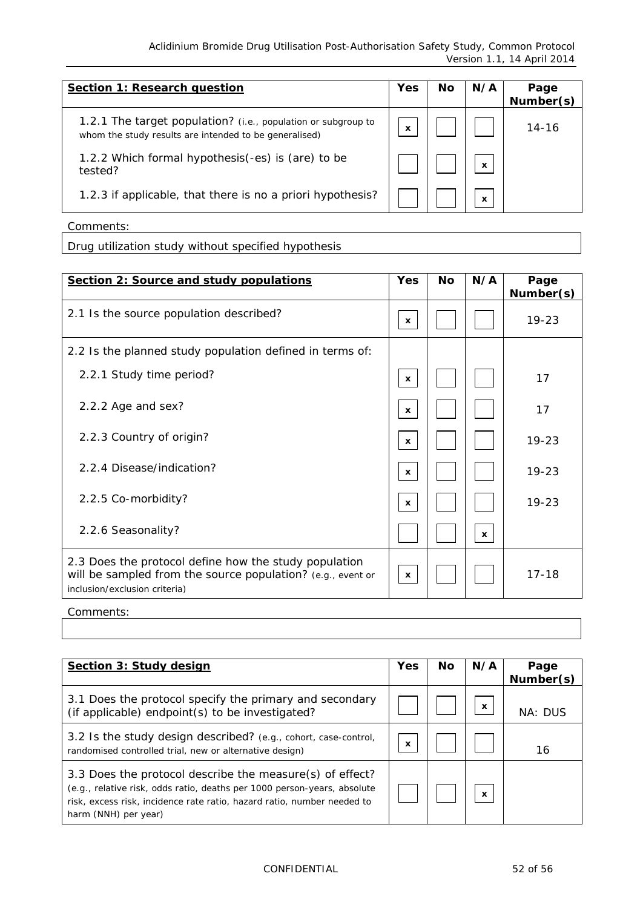| <b>Section 1: Research question</b>                                                                                     | Yes                       | Nο | N/A | Page<br>Number(s) |
|-------------------------------------------------------------------------------------------------------------------------|---------------------------|----|-----|-------------------|
| 1.2.1 The target population? (i.e., population or subgroup to<br>whom the study results are intended to be generalised) | $\boldsymbol{\mathsf{x}}$ |    |     | 14-16             |
| 1.2.2 Which formal hypothesis(-es) is (are) to be<br>tested?                                                            |                           |    | X   |                   |
| 1.2.3 if applicable, that there is no a priori hypothesis?                                                              |                           |    | x   |                   |

| Comments: |  |
|-----------|--|
|-----------|--|

Drug utilization study without specified hypothesis

| Section 2: Source and study populations                                                                                                               | Yes                       | <b>No</b> | N/A          | Page<br>Number(s) |
|-------------------------------------------------------------------------------------------------------------------------------------------------------|---------------------------|-----------|--------------|-------------------|
| 2.1 Is the source population described?                                                                                                               | $\mathbf{x}$              |           |              | $19 - 23$         |
| 2.2 Is the planned study population defined in terms of:                                                                                              |                           |           |              |                   |
| 2.2.1 Study time period?                                                                                                                              | $\mathbf{x}$              |           |              | 17                |
| 2.2.2 Age and sex?                                                                                                                                    | $\boldsymbol{\mathsf{x}}$ |           |              | 17                |
| 2.2.3 Country of origin?                                                                                                                              | $\mathbf{x}$              |           |              | $19 - 23$         |
| 2.2.4 Disease/indication?                                                                                                                             | $\mathbf{x}$              |           |              | $19 - 23$         |
| 2.2.5 Co-morbidity?                                                                                                                                   | $\mathbf{x}$              |           |              | $19 - 23$         |
| 2.2.6 Seasonality?                                                                                                                                    |                           |           | $\mathbf{x}$ |                   |
| 2.3 Does the protocol define how the study population<br>will be sampled from the source population? (e.g., event or<br>inclusion/exclusion criteria) | $\mathbf{x}$              |           |              | $17 - 18$         |

Comments:

| Section 3: Study design                                                                                                                                                                                                                 | <b>Yes</b> | Nο | N/A                       | Page<br>Number(s) |
|-----------------------------------------------------------------------------------------------------------------------------------------------------------------------------------------------------------------------------------------|------------|----|---------------------------|-------------------|
| 3.1 Does the protocol specify the primary and secondary<br>(if applicable) endpoint(s) to be investigated?                                                                                                                              |            |    | $\mathbf{x}$              | NA: DUS           |
| 3.2 Is the study design described? (e.g., cohort, case-control,<br>randomised controlled trial, new or alternative design)                                                                                                              | X          |    |                           | 16                |
| 3.3 Does the protocol describe the measure(s) of effect?<br>(e.g., relative risk, odds ratio, deaths per 1000 person-years, absolute<br>risk, excess risk, incidence rate ratio, hazard ratio, number needed to<br>harm (NNH) per year) |            |    | $\boldsymbol{\mathsf{x}}$ |                   |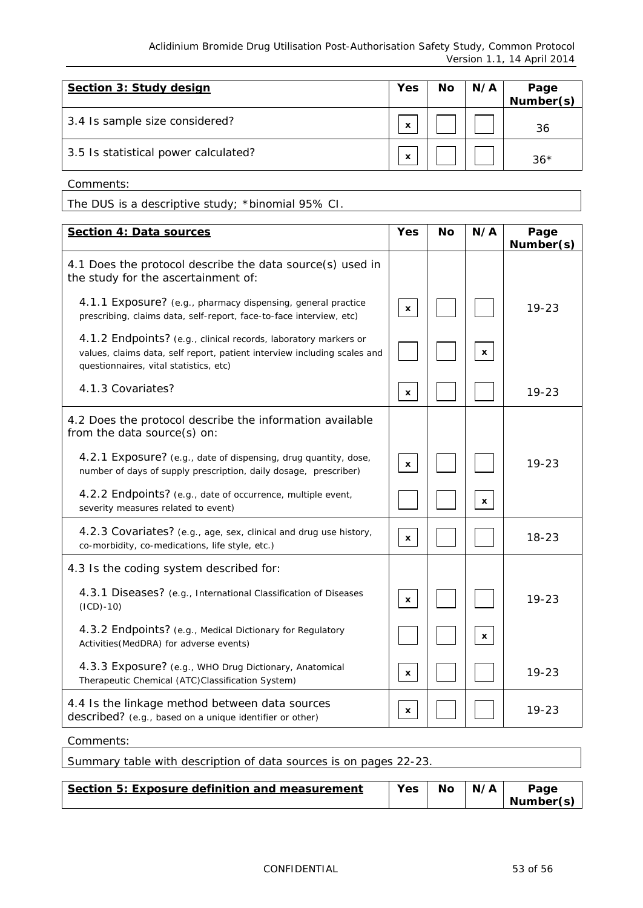*Aclidinium Bromide Drug Utilisation Post-Authorisation Safety Study, Common Protocol Version 1.1, 14 April 2014*

| Section 3: Study design              | Yes                       | No | N/A | Page<br>Number(s) |
|--------------------------------------|---------------------------|----|-----|-------------------|
| 3.4 Is sample size considered?       | X                         |    |     | 36                |
| 3.5 Is statistical power calculated? | $\boldsymbol{\mathsf{x}}$ |    |     | $36*$             |

Comments:

The DUS is a descriptive study; \*binomial 95% CI.

| <b>Section 4: Data sources</b>                                                                                                                                                        | Yes          | <b>No</b> | N/A          | Page<br>Number(s) |
|---------------------------------------------------------------------------------------------------------------------------------------------------------------------------------------|--------------|-----------|--------------|-------------------|
| 4.1 Does the protocol describe the data source(s) used in<br>the study for the ascertainment of:                                                                                      |              |           |              |                   |
| 4.1.1 Exposure? (e.g., pharmacy dispensing, general practice<br>prescribing, claims data, self-report, face-to-face interview, etc)                                                   | $\mathbf{x}$ |           |              | $19 - 23$         |
| 4.1.2 Endpoints? (e.g., clinical records, laboratory markers or<br>values, claims data, self report, patient interview including scales and<br>questionnaires, vital statistics, etc) |              |           | x            |                   |
| 4.1.3 Covariates?                                                                                                                                                                     | x            |           |              | $19 - 23$         |
| 4.2 Does the protocol describe the information available<br>from the data source(s) on:                                                                                               |              |           |              |                   |
| 4.2.1 Exposure? (e.g., date of dispensing, drug quantity, dose,<br>number of days of supply prescription, daily dosage, prescriber)                                                   | $\mathbf{x}$ |           |              | $19 - 23$         |
| 4.2.2 Endpoints? (e.g., date of occurrence, multiple event,<br>severity measures related to event)                                                                                    |              |           | $\mathbf{x}$ |                   |
| 4.2.3 Covariates? (e.g., age, sex, clinical and drug use history,<br>co-morbidity, co-medications, life style, etc.)                                                                  | $\mathbf{x}$ |           |              | $18 - 23$         |
| 4.3 Is the coding system described for:                                                                                                                                               |              |           |              |                   |
| 4.3.1 Diseases? (e.g., International Classification of Diseases<br>$(ICD) - 10)$                                                                                                      | $\mathbf{x}$ |           |              | $19 - 23$         |
| 4.3.2 Endpoints? (e.g., Medical Dictionary for Regulatory<br>Activities (MedDRA) for adverse events)                                                                                  |              |           | $\mathbf x$  |                   |
| 4.3.3 Exposure? (e.g., WHO Drug Dictionary, Anatomical<br>Therapeutic Chemical (ATC)Classification System)                                                                            | x            |           |              | $19 - 23$         |
| 4.4 Is the linkage method between data sources<br>described? (e.g., based on a unique identifier or other)                                                                            | x            |           |              | $19 - 23$         |
| Comments:                                                                                                                                                                             |              |           |              |                   |

| Continue E. Evangering definition and monocrossement.             | $V_{\text{max}}$ $N_{\text{max}}$ $N_{\text{max}}$ |  |  |
|-------------------------------------------------------------------|----------------------------------------------------|--|--|
|                                                                   |                                                    |  |  |
| Summary table with description of data sources is on pages 22-23. |                                                    |  |  |

| Section 5: Exposure definition and measurement | Yes | <b>No</b> | N/A | Page      |
|------------------------------------------------|-----|-----------|-----|-----------|
|                                                |     |           |     | Number(s) |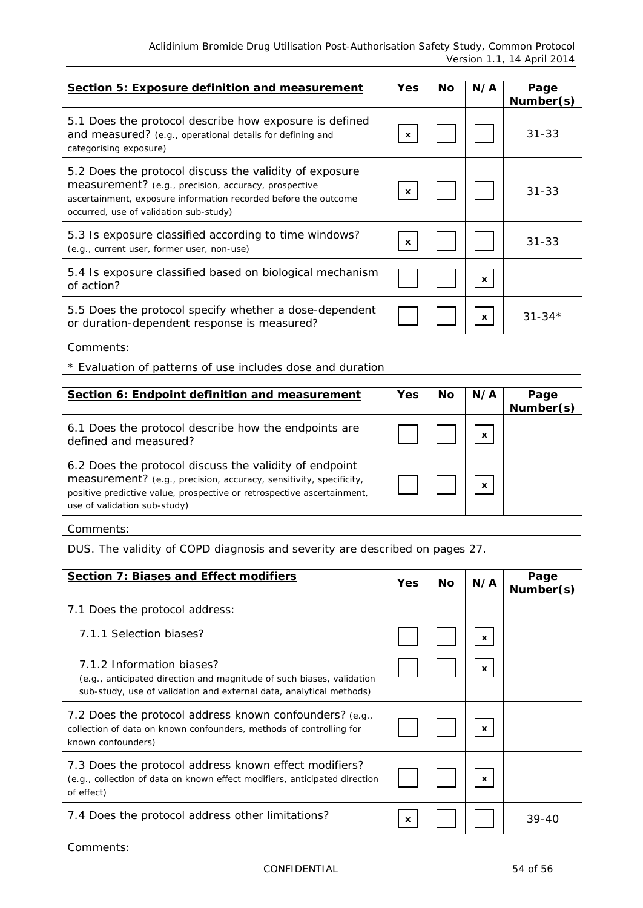| Section 5: Exposure definition and measurement                                                                                                                                                                              | <b>Yes</b>   | Nο | N/A          | Page<br>Number(s) |
|-----------------------------------------------------------------------------------------------------------------------------------------------------------------------------------------------------------------------------|--------------|----|--------------|-------------------|
| 5.1 Does the protocol describe how exposure is defined<br>and measured? (e.g., operational details for defining and<br>categorising exposure)                                                                               | x            |    |              | $31 - 33$         |
| 5.2 Does the protocol discuss the validity of exposure<br>measurement? (e.g., precision, accuracy, prospective<br>ascertainment, exposure information recorded before the outcome<br>occurred, use of validation sub-study) | $\mathbf{x}$ |    |              | $31 - 33$         |
| 5.3 Is exposure classified according to time windows?<br>(e.g., current user, former user, non-use)                                                                                                                         | x            |    |              | $31 - 33$         |
| 5.4 Is exposure classified based on biological mechanism<br>of action?                                                                                                                                                      |              |    | $\mathbf{x}$ |                   |
| 5.5 Does the protocol specify whether a dose-dependent<br>or duration-dependent response is measured?                                                                                                                       |              |    | $\mathbf{x}$ | $31 - 34*$        |

Comments:

\* Evaluation of patterns of use includes dose and duration

| Section 6: Endpoint definition and measurement                                                                                                                                                                                         | <b>Yes</b> | Nο | N/A                       | Page<br>Number(s) |
|----------------------------------------------------------------------------------------------------------------------------------------------------------------------------------------------------------------------------------------|------------|----|---------------------------|-------------------|
| 6.1 Does the protocol describe how the endpoints are<br>defined and measured?                                                                                                                                                          |            |    | $\boldsymbol{\mathsf{x}}$ |                   |
| 6.2 Does the protocol discuss the validity of endpoint<br>measurement? (e.g., precision, accuracy, sensitivity, specificity,<br>positive predictive value, prospective or retrospective ascertainment,<br>use of validation sub-study) |            |    | $\boldsymbol{\mathsf{x}}$ |                   |

Comments:

DUS. The validity of COPD diagnosis and severity are described on pages 27.

| <b>Section 7: Biases and Effect modifiers</b>                                                                                                                             | Yes         | <b>No</b> | N/A                       | Page<br>Number(s) |
|---------------------------------------------------------------------------------------------------------------------------------------------------------------------------|-------------|-----------|---------------------------|-------------------|
| 7.1 Does the protocol address:                                                                                                                                            |             |           |                           |                   |
| 7.1.1 Selection biases?                                                                                                                                                   |             |           | $\mathbf{x}$              |                   |
| 7.1.2 Information biases?<br>(e.g., anticipated direction and magnitude of such biases, validation<br>sub-study, use of validation and external data, analytical methods) |             |           | x                         |                   |
| 7.2 Does the protocol address known confounders? (e.g.,<br>collection of data on known confounders, methods of controlling for<br>known confounders)                      |             |           | $\boldsymbol{\mathsf{x}}$ |                   |
| 7.3 Does the protocol address known effect modifiers?<br>(e.g., collection of data on known effect modifiers, anticipated direction<br>of effect)                         |             |           | $\boldsymbol{\mathsf{x}}$ |                   |
| 7.4 Does the protocol address other limitations?                                                                                                                          | $\mathbf x$ |           |                           | $39 - 40$         |

Comments: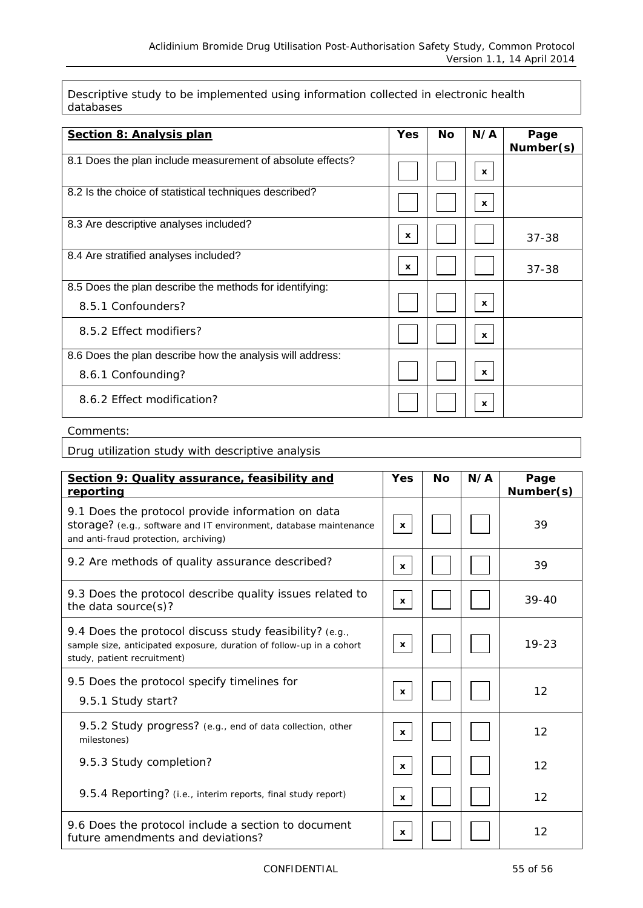Descriptive study to be implemented using information collected in electronic health databases

| <b>Section 8: Analysis plan</b>                            | <b>Yes</b>   | <b>No</b> | N/A                       | Page<br>Number(s) |
|------------------------------------------------------------|--------------|-----------|---------------------------|-------------------|
| 8.1 Does the plan include measurement of absolute effects? |              |           | $\boldsymbol{\mathsf{x}}$ |                   |
| 8.2 Is the choice of statistical techniques described?     |              |           | $\boldsymbol{\mathsf{x}}$ |                   |
| 8.3 Are descriptive analyses included?                     | $\mathbf{x}$ |           |                           | $37 - 38$         |
| 8.4 Are stratified analyses included?                      | $\mathbf{x}$ |           |                           | $37 - 38$         |
| 8.5 Does the plan describe the methods for identifying:    |              |           |                           |                   |
| 8.5.1 Confounders?                                         |              |           | X                         |                   |
| 8.5.2 Effect modifiers?                                    |              |           | $\mathbf{x}$              |                   |
| 8.6 Does the plan describe how the analysis will address:  |              |           |                           |                   |
| 8.6.1 Confounding?                                         |              |           | $\mathbf{x}$              |                   |
| 8.6.2 Effect modification?                                 |              |           | X                         |                   |

#### Comments:

Drug utilization study with descriptive analysis

| Section 9: Quality assurance, feasibility and<br>reporting                                                                                                      | Yes          | <b>No</b> | N/A | Page<br>Number(s) |
|-----------------------------------------------------------------------------------------------------------------------------------------------------------------|--------------|-----------|-----|-------------------|
| 9.1 Does the protocol provide information on data<br>storage? (e.g., software and IT environment, database maintenance<br>and anti-fraud protection, archiving) | $\mathbf{x}$ |           |     | 39                |
| 9.2 Are methods of quality assurance described?                                                                                                                 | $\mathbf x$  |           |     | 39                |
| 9.3 Does the protocol describe quality issues related to<br>the data source(s)?                                                                                 | $\mathbf{x}$ |           |     | $39 - 40$         |
| 9.4 Does the protocol discuss study feasibility? (e.g.,<br>sample size, anticipated exposure, duration of follow-up in a cohort<br>study, patient recruitment)  | $\mathbf{x}$ |           |     | $19 - 23$         |
| 9.5 Does the protocol specify timelines for<br>9.5.1 Study start?                                                                                               | $\mathbf{x}$ |           |     | 12                |
| 9.5.2 Study progress? (e.g., end of data collection, other<br>milestones)                                                                                       | $\mathbf{x}$ |           |     | 12                |
| 9.5.3 Study completion?                                                                                                                                         | $\mathbf{x}$ |           |     | 12                |
| 9.5.4 Reporting? (i.e., interim reports, final study report)                                                                                                    | $\mathbf{x}$ |           |     | 12                |
| 9.6 Does the protocol include a section to document<br>future amendments and deviations?                                                                        | $\mathbf{x}$ |           |     | 12                |